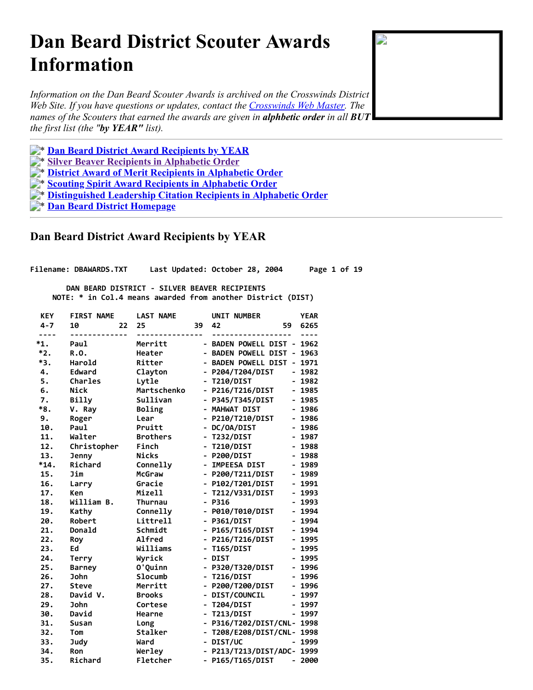# <span id="page-0-1"></span>**Dan Beard District Scouter Awards Information**

*Information on the Dan Beard Scouter Awards is archived on the Crosswinds District Web Site. If you have questions or updates, contact the [Crosswinds Web Master.](mailto:Xwinds@bigfoot.com) The names of the Scouters that earned the awards are given in alphbetic order in all BUT the first list (the "by YEAR" list).*

**Example 3 Pan Beard District Award Recipients by YEAR** 

\* **[Silver Beaver Recipients in Alphabetic Order](#page-13-0)**

\* **[District Award of Merit Recipients in Alphabetic Order](#page-14-0)**

- \* **[Scouting Spirit Award Recipients in Alphabetic Order](#page-16-0)**
- \* **[Distinguished Leadership Citation Recipients in Alphabetic Order](#page-16-1)**

\* **[Dan Beard District Homepage](http://crosswindsbsa.org/awards-files/index.html)**

# <span id="page-0-0"></span> **Dan Beard District Award Recipients by YEAR**

**Filename: DBAWARDS.TXT Last Updated: October 28, 2004 Page 1 of 19**

 **DAN BEARD DISTRICT - SILVER BEAVER RECIPIENTS NOTE: \* in Col.4 means awarded from another District (DIST)**

| <b>KEY</b>    | <b>FIRST NAME</b> | <b>LAST NAME</b> |    | <b>UNIT NUMBER</b>         |                              | <b>YEAR</b> |
|---------------|-------------------|------------------|----|----------------------------|------------------------------|-------------|
| $4 - 7$       | 10<br>22          | 25               | 39 | 42                         | 59                           | 6265        |
| ----<br>$*1.$ | Paul              | Merritt          |    | - BADEN POWELL DIST - 1962 |                              |             |
| $*2.$         | R.O.              | Heater           |    | - BADEN POWELL DIST        | $\qquad \qquad \blacksquare$ | 1963        |
| *3.           | Harold            | Ritter           |    | - BADEN POWELL DIST        | $\overline{\phantom{0}}$     | 1971        |
| 4.            | Edward            | Clayton          |    | - P204/T204/DIST           |                              | $-1982$     |
| 5.            | <b>Charles</b>    | Lytle            |    | - T210/DIST                |                              | $-1982$     |
| 6.            | <b>Nick</b>       | Martschenko      |    | - P216/T216/DIST           |                              | - 1985      |
| 7.            | Billy             | Sullivan         |    | - P345/T345/DIST           |                              | $-1985$     |
| *8.           | V. Ray            | Boling           |    | - MAHWAT DIST              |                              | $-1986$     |
| 9.            | Roger             | Lear             |    | - P210/T210/DIST           |                              | $-1986$     |
| 10.           | Paul              | Pruitt           |    | - DC/OA/DIST               |                              | - 1986      |
| 11.           | Walter            | <b>Brothers</b>  |    | - T232/DIST                |                              | - 1987      |
| 12.           | Christopher       | Finch            |    | - T210/DIST                |                              | $-1988$     |
| 13.           | <b>Jenny</b>      | <b>Nicks</b>     |    | - P200/DIST                |                              | $-1988$     |
| $*14.$        | Richard           | Connelly         |    | - IMPEESA DIST             |                              | $-1989$     |
| 15.           | Jim               | McGraw           |    | - P200/T211/DIST           |                              | $-1989$     |
| 16.           | Larry             | Gracie           |    | - P102/T201/DIST           |                              | $-1991$     |
| 17.           | Ken               | Mizell           |    | - T212/V331/DIST           | $\overline{\phantom{0}}$     | 1993        |
| 18.           | William B.        | <b>Thurnau</b>   |    | $- P316$                   | $\overline{\phantom{0}}$     | 1993        |
| 19.           | Kathy             | Connelly         |    | - P010/T010/DIST           |                              | $-1994$     |
| 20.           | Robert            | Littrell         |    | - P361/DIST                |                              | $-1994$     |
| 21.           | Donald            | Schmidt          |    | - P165/T165/DIST           | $\overline{\phantom{0}}$     | 1994        |
| 22.           | Roy               | Alfred           |    | - P216/T216/DIST           | $\overline{\phantom{0}}$     | 1995        |
| 23.           | Ed                | Williams         |    | - T165/DIST                | $\qquad \qquad \blacksquare$ | 1995        |
| 24.           | Terry             | Wyrick           |    | - DIST                     | $\overline{\phantom{0}}$     | 1995        |
| 25.           | <b>Barney</b>     | O'Quinn          |    | - P320/T320/DIST           | $\overline{\phantom{0}}$     | 1996        |
| 26.           | <b>John</b>       | Slocumb          |    | - T216/DIST                | $\qquad \qquad \blacksquare$ | 1996        |
| 27.           | <b>Steve</b>      | Merritt          |    | - P200/T200/DIST           | $\qquad \qquad \blacksquare$ | 1996        |
| 28.           | David V.          | <b>Brooks</b>    |    | - DIST/COUNCIL             | $\qquad \qquad \blacksquare$ | 1997        |
| 29.           | <b>John</b>       | Cortese          |    | - T204/DIST                | -                            | 1997        |
| 30.           | David             | Hearne           |    | - T213/DIST                | $\overline{\phantom{0}}$     | 1997        |
| 31.           | <b>Susan</b>      | Long             |    | - P316/T202/DIST/CNL-      |                              | 1998        |
| 32.           | Tom               | Stalker          |    | - T208/E208/DIST/CNL-      |                              | 1998        |
| 33.           | <b>Judy</b>       | Ward             |    | - DIST/UC                  |                              | - 1999      |
| 34.           | Ron               | Werley           |    | - P213/T213/DIST/ADC- 1999 |                              |             |
| 35.           | Richard           | Fletcher         |    | - P165/T165/DIST           | $\overline{\phantom{0}}$     | 2000        |

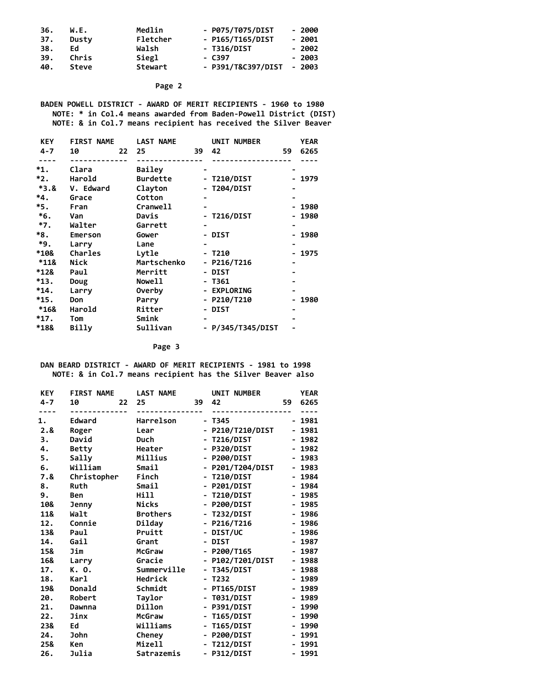| 36. | W.E.  | Medlin   | - P075/T075/DIST   | - 2000  |
|-----|-------|----------|--------------------|---------|
| 37. | Dusty | Fletcher | - P165/T165/DIST   | - 2001  |
| 38. | Ed    | Walsh    | - T316/DIST        | $-2002$ |
| 39. | Chris | Siegl    | - C397             | $-2003$ |
| 40. | Steve | Stewart  | - P391/T&C397/DIST | - 2003  |

 **BADEN POWELL DISTRICT - AWARD OF MERIT RECIPIENTS - 1960 to 1980 NOTE: \* in Col.4 means awarded from Baden-Powell District (DIST) NOTE: & in Col.7 means recipient has received the Silver Beaver**

| <b>KEY</b> | <b>FIRST NAME</b> | <b>LAST NAME</b> |    | UNIT NUMBER       |     | <b>YEAR</b> |
|------------|-------------------|------------------|----|-------------------|-----|-------------|
| $4 - 7$    | 10<br>22          | 25               | 39 | 42                | 59. | 6265        |
|            |                   |                  |    |                   |     |             |
| *1.        | Clara             | <b>Bailey</b>    |    |                   |     |             |
| $*2.$      | Harold            | <b>Burdette</b>  |    | - T210/DIST       |     | - 1979      |
| $*3.8$     | V. Edward         | Clayton          |    | - T204/DIST       |     |             |
| $*4.$      | Grace             | Cotton           |    |                   |     |             |
| *5.        | Fran              | Cranwell         |    |                   |     | - 1980      |
| $*_{6}$ .  | Van               | Davis            |    | - T216/DIST       |     | - 1980      |
| $*7.$      | Walter            | Garrett          |    |                   |     |             |
| $*8.$      | Emerson           | Gower            |    | - DIST            |     | $-1980$     |
| *9.        | Larry             | Lane             |    |                   |     |             |
| *10&       | Charles           | Lytle            |    | - T210            |     | - 1975      |
| $*118$     | Nick              | Martschenko      |    | - P216/T216       |     |             |
| *12&       | Paul              | Merritt          |    | - DIST            |     |             |
| *13.       | Doug              | <b>Nowell</b>    |    | - T361            |     |             |
| $*14.$     | Larry             | <b>Overby</b>    |    | - EXPLORING       |     |             |
| $*15.$     | Don               | Parry            |    | - P210/T210       |     | - 1980      |
| *16&       | Harold            | Ritter           |    | - DIST            |     |             |
| $*17.$     | Tom               | Smink            |    |                   |     |             |
| *18&       | Billy             | Sullivan         |    | - P/345/T345/DIST |     |             |

**Page 3**

 **DAN BEARD DISTRICT - AWARD OF MERIT RECIPIENTS - 1981 to 1998 NOTE: & in Col.7 means recipient has the Silver Beaver also**

| <b>KEY</b> | <b>FIRST NAME</b> | <b>LAST NAME</b> |                              | UNIT NUMBER      |                              | <b>YEAR</b> |
|------------|-------------------|------------------|------------------------------|------------------|------------------------------|-------------|
| $4 - 7$    | 10<br>22          | 25               | 39                           | 42               | 59                           | 6265        |
| 1.         | Edward            | Harrelson        |                              | $- T345$         | $\overline{\phantom{0}}$     | 1981        |
| 2.8        | Roger             | Lear             | $\overline{a}$               | P210/T210/DIST   |                              | 1981        |
| 3.         | David             | Duch             |                              | <b>T216/DIST</b> |                              | 1982        |
| 4.         | <b>Betty</b>      | Heater           | $\overline{a}$               | P320/DIST        | $\blacksquare$               | 1982        |
| 5.         | Sally             | Millius          | $\qquad \qquad \blacksquare$ | P200/DIST        |                              | 1983        |
| 6.         | William           | Smail            | -                            | P201/T204/DIST   | -                            | 1983        |
| 7.&        | Christopher       | Finch            | $\overline{\phantom{0}}$     | <b>T210/DIST</b> |                              | 1984        |
| 8.         | Ruth              | Smail            | $\blacksquare$               | P201/DIST        | $\qquad \qquad \blacksquare$ | 1984        |
| 9.         | Ben               | Hill             | -                            | <b>T210/DIST</b> | $\overline{\phantom{0}}$     | 1985        |
| 10&        | Jenny             | Nicks            | -                            | P200/DIST        | -                            | 1985        |
| 11&        | Walt              | <b>Brothers</b>  | $\overline{a}$               | <b>T232/DIST</b> | $\overline{\phantom{0}}$     | 1986        |
| 12.        | Connie            | Dilday           | -                            | P216/T216        | $\qquad \qquad \blacksquare$ | 1986        |
| 13&        | Paul              | Pruitt           | -                            | DIST/UC          | -                            | 1986        |
| 14.        | Gail              | Grant            | -                            | <b>DIST</b>      |                              | 1987        |
| 15&        | Jim               | McGraw           | $\blacksquare$               | P200/T165        | -                            | 1987        |
| 16&        | Larry             | Gracie           | -                            | P102/T201/DIST   |                              | 1988        |
| 17.        | K. O.             | Summerville      | $\qquad \qquad \blacksquare$ | <b>T345/DIST</b> |                              | 1988        |
| 18.        | Karl              | Hedrick          | $\overline{a}$               | T232             |                              | 1989        |
| 19&        | Donald            | Schmidt          | $\blacksquare$               | PT165/DIST       | $\qquad \qquad \blacksquare$ | 1989        |
| 20.        | Robert            | Taylor           | $\overline{a}$               | <b>T031/DIST</b> | $\overline{a}$               | 1989        |
| 21.        | Dawnna            | Dillon           | -                            | P391/DIST        |                              | 1990        |
| 22.        | Jinx              | <b>McGraw</b>    | $\qquad \qquad \blacksquare$ | <b>T165/DIST</b> | $\qquad \qquad \blacksquare$ | 1990        |
| 23&        | Ed                | Williams         | -                            | <b>T165/DIST</b> |                              | 1990        |
| 24.        | <b>John</b>       | Cheney           | -                            | P200/DIST        | $\qquad \qquad \blacksquare$ | 1991        |
| 25&        | Ken               | Mizell           | -                            | <b>T212/DIST</b> |                              | 1991        |
| 26.        | Julia             | Satrazemis       | $\qquad \qquad \blacksquare$ | P312/DIST        | -                            | 1991        |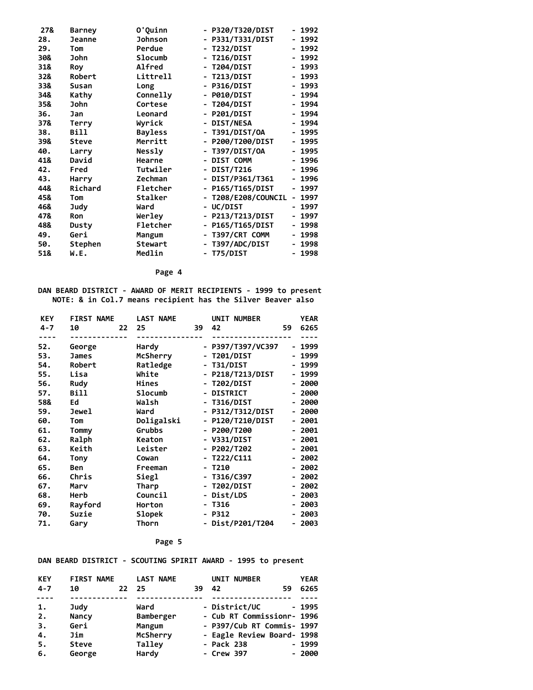| 27& | <b>Barney</b> | O'Quinn        | - P320/T320/DIST  | $\overline{\phantom{0}}$ | 1992   |
|-----|---------------|----------------|-------------------|--------------------------|--------|
| 28. | Jeanne        | <b>Johnson</b> | P331/T331/DIST    |                          | 1992   |
| 29. | Tom           | Perdue         | <b>T232/DIST</b>  | -                        | 1992   |
| 30& | John          | Slocumb        | <b>T216/DIST</b>  |                          | - 1992 |
| 31& | Roy           | <b>Alfred</b>  | <b>T204/DIST</b>  |                          | - 1993 |
| 32& | Robert        | Littrell       | <b>T213/DIST</b>  |                          | - 1993 |
| 33& | Susan         | Long           | P316/DIST         |                          | - 1993 |
| 34& | Kathy         | Connelly       | <b>P010/DIST</b>  |                          | - 1994 |
| 35& | John          | Cortese        | <b>T204/DIST</b>  |                          | - 1994 |
| 36. | Jan           | Leonard        | P201/DIST         |                          | - 1994 |
| 37& | Terry         | Wyrick         | <b>DIST/NESA</b>  |                          | - 1994 |
| 38. | Bill          | <b>Bayless</b> | T391/DIST/0A      |                          | 1995   |
| 39& | Steve         | Merritt        | P200/T200/DIST    | $\blacksquare$           | 1995   |
| 40. | Larry         | Nessly         | T397/DIST/0A      |                          | 1995   |
| 41& | David         | Hearne         | DIST COMM         | $\blacksquare$           | 1996   |
| 42. | Fred          | Tutwiler       | DIST/T216         |                          | 1996   |
| 43. | Harry         | Zechman        | DIST/P361/T361    |                          | 1996   |
| 44& | Richard       | Fletcher       | P165/T165/DIST    |                          | 1997   |
| 45& | Tom           | Stalker        | T208/E208/COUNCIL |                          | 1997   |
| 46& | Judy          | Ward           | UC/DIST           |                          | 1997   |
| 47& | <b>Ron</b>    | Werley         | - P213/T213/DIST  |                          | 1997   |
| 48& | Dusty         | Fletcher       | P165/T165/DIST    |                          | 1998   |
| 49. | Geri          | Mangum         | T397/CRT COMM     |                          | 1998   |
| 50. | Stephen       | Stewart        | T397/ADC/DIST     |                          | - 1998 |
| 51& | W.E.          | Medlin         | - T75/DIST        |                          | 1998   |

**DAN BEARD DISTRICT - AWARD OF MERIT RECIPIENTS - 1999 to present NOTE: & in Col.7 means recipient has the Silver Beaver also**

| <b>KEY</b> | <b>FIRST NAME</b> |    | <b>LAST NAME</b> |                          | UNIT NUMBER       |    | YEAR    |
|------------|-------------------|----|------------------|--------------------------|-------------------|----|---------|
| $4 - 7$    | 10                | 22 | 25               | 39                       | 42                | 59 | 6265    |
| ----       |                   |    |                  |                          |                   |    |         |
| 52.        | George            |    | Hardy            |                          | - P397/T397/VC397 |    | 1999    |
| 53.        | <b>James</b>      |    | McSherry         |                          | - T201/DIST       |    | 1999    |
| 54.        | Robert            |    | Ratledge         |                          | - T31/DIST        |    | 1999    |
| 55.        | Lisa              |    | White            |                          | - P218/T213/DIST  |    | 1999    |
| 56.        | Rudy              |    | Hines            |                          | - T202/DIST       |    | 2000    |
| 57.        | Bill              |    | Slocumb          | $\overline{\phantom{a}}$ | <b>DISTRICT</b>   |    | 2000    |
| 58&        | Ed                |    | Walsh            | $\blacksquare$           | <b>T316/DIST</b>  |    | 2000    |
| 59.        | Jewel             |    | Ward             |                          | - P312/T312/DIST  |    | 2000    |
| 60.        | Tom               |    | Doligalski       |                          | - P120/T210/DIST  |    | 2001    |
| 61.        | Tommy             |    | Grubbs           |                          | $-$ P200/T200     |    | 2001    |
| 62.        | Ralph             |    | Keaton           |                          | - V331/DIST       |    | $-2001$ |
| 63.        | Keith             |    | Leister          |                          | - P202/T202       |    | 2001    |
| 64.        | Tony              |    | Cowan            |                          | $- T222/C111$     |    | 2002    |
| 65.        | Ben               |    | Freeman          |                          | T210              |    | 2002    |
| 66.        | Chris             |    | Siegl            | $\blacksquare$           | T316/C397         |    | 2002    |
| 67.        | Marv              |    | Tharp            |                          | - T202/DIST       |    | 2002    |
| 68.        | Herb              |    | Council          |                          | - Dist/LDS        |    | 2003    |
| 69.        | Rayford           |    | Horton           | $\blacksquare$           | T316              |    | 2003    |
| 70.        | Suzie             |    | <b>Slopek</b>    |                          | $- P312$          |    | 2003    |
| 71.        | Gary              |    | Thorn            |                          | - Dist/P201/T204  |    | 2003    |
|            |                   |    |                  |                          |                   |    |         |

#### **Page 5**

**DAN BEARD DISTRICT - SCOUTING SPIRIT AWARD - 1995 to present**

| <b>KEY</b> | <b>FIRST NAME</b> |       | <b>LAST NAME</b> |     | UNIT NUMBER                |    | <b>YEAR</b> |
|------------|-------------------|-------|------------------|-----|----------------------------|----|-------------|
| $4 - 7$    | 10                | 22 25 |                  | 39. | 42                         | 59 | 6265        |
|            |                   |       |                  |     |                            |    |             |
| 1.         | Judy              |       | Ward             |     | - District/UC              |    | $-1995$     |
| 2.         | Nancy             |       | Bamberger        |     | - Cub RT Commissionr- 1996 |    |             |
| 3.         | Geri              |       | Mangum           |     | - P397/Cub RT Commis- 1997 |    |             |
| 4.         | Jim               |       | McSherry         |     | - Eagle Review Board- 1998 |    |             |
| 5.         | Steve             |       | Talley           |     | - Pack 238                 |    | $-1999$     |
| 6.         | George            |       | Hardy            |     | - Crew 397                 |    | $-2000$     |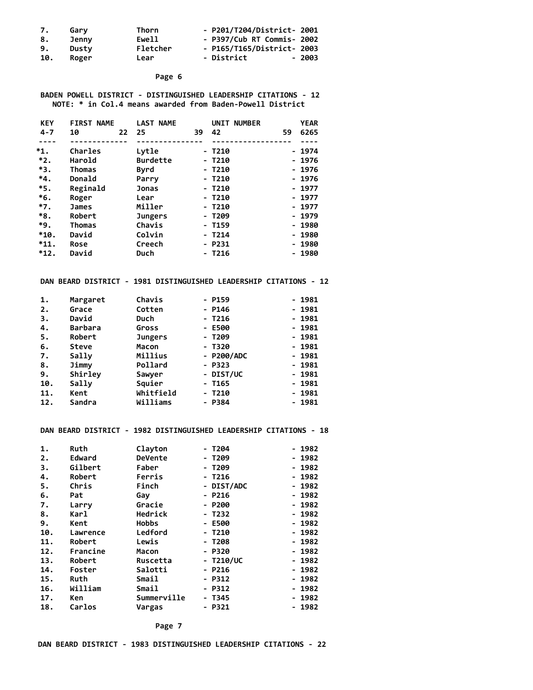| 7.  | Garv  | Thorn    | - P201/T204/District- 2001 |
|-----|-------|----------|----------------------------|
| 8.  | Jenny | Ewell    | - P397/Cub RT Commis- 2002 |
| 9.  | Dusty | Fletcher | - P165/T165/District- 2003 |
| 10. | Roger | Lear     | - District<br>- 2003       |

#### **BADEN POWELL DISTRICT - DISTINGUISHED LEADERSHIP CITATIONS - 12 NOTE: \* in Col.4 means awarded from Baden-Powell District**

| <b>KEY</b> | <b>FIRST NAME</b> | <b>LAST NAME</b> |          | UNIT NUMBER |    | <b>YEAR</b> |
|------------|-------------------|------------------|----------|-------------|----|-------------|
| $4 - 7$    | 10<br>22          | 25               | 42<br>39 |             | 59 | 6265        |
|            |                   |                  |          |             |    |             |
| $^*1.$     | Charles           | Lytle            | - T210   |             |    | - 1974      |
| $*2.$      | Harold            | <b>Burdette</b>  | $- T210$ |             |    | - 1976      |
| *3.        | Thomas            | Byrd             | - T210   |             |    | - 1976      |
| *4.        | Donald            | Parry            | - T210   |             |    | - 1976      |
| *5.        | Reginald          | Jonas            | - T210   |             |    | - 1977      |
| *6.        | Roger             | Lear             | - T210   |             |    | - 1977      |
| $*7.$      | <b>James</b>      | Miller           | - T210   |             |    | - 1977      |
| *8.        | Robert            | <b>Jungers</b>   | - T209   |             |    | - 1979      |
| *9.        | Thomas            | Chavis           | - T159   |             |    | - 1980      |
| $*10.$     | David             | Colvin           | - T214   |             |    | - 1980      |
| $*11.$     | <b>Rose</b>       | Creech           | - P231   |             |    | - 1980      |
| $*12.$     | David             | Duch             | - T216   |             |    | $-1980$     |

#### **DAN BEARD DISTRICT - 1981 DISTINGUISHED LEADERSHIP CITATIONS - 12**

| 1.  | Margaret       | Chavis         | $- P159$   | - 1981  |
|-----|----------------|----------------|------------|---------|
| 2.  | Grace          | Cotten         | $- P146$   | $-1981$ |
| 3.  | David          | Duch           | - T216     | - 1981  |
| 4.  | <b>Barbara</b> | Gross          | - E500     | - 1981  |
| 5.  | Robert         | <b>Jungers</b> | - T209     | - 1981  |
| 6.  | Steve          | Macon          | - T320     | - 1981  |
| 7.  | Sally          | Millius        | - P200/ADC | - 1981  |
| 8.  | Jimmy          | Pollard        | - P323     | - 1981  |
| 9.  | Shirley        | Sawyer         | - DIST/UC  | - 1981  |
| 10. | Sally          | Squier         | - T165     | - 1981  |
| 11. | Kent           | Whitfield      | - T210     | - 1981  |
| 12. | Sandra         | Williams       | - P384     | - 1981  |

#### **DAN BEARD DISTRICT - 1982 DISTINGUISHED LEADERSHIP CITATIONS - 18**

| 1.  | Ruth     | Clayton      | - Т204      | - 1982 |
|-----|----------|--------------|-------------|--------|
| 2.  | Edward   | DeVente      | - T209      | - 1982 |
| З.  | Gilbert  | Faber        | - T209      | - 1982 |
| 4.  | Robert   | Ferris       | $-1216$     | - 1982 |
| 5.  | Chris    | Finch        | - DIST/ADC  | - 1982 |
| 6.  | Pat      | Gay          | - P216      | - 1982 |
| 7.  | Larry    | Gracie       | - P200      | - 1982 |
| 8.  | Karl     | Hedrick      | - T232      | - 1982 |
| 9.  | Kent     | <b>Hobbs</b> | - E500      | - 1982 |
| 10. | Lawrence | Ledford      | - T210      | - 1982 |
| 11. | Robert   | Lewis        | - T208      | - 1982 |
| 12. | Francine | Macon        | - P320      | - 1982 |
| 13. | Robert   | Ruscetta     | $- T210/UC$ | - 1982 |
| 14. | Foster   | Salotti      | $- P216$    | - 1982 |
| 15. | Ruth     | Smail        | - P312      | - 1982 |
| 16. | William  | Smail        | - P312      | - 1982 |
| 17. | Ken      | Summerville  | - T345      | - 1982 |
| 18. | Carlos   | Vargas       | - P321      | - 1982 |

 **Page 7**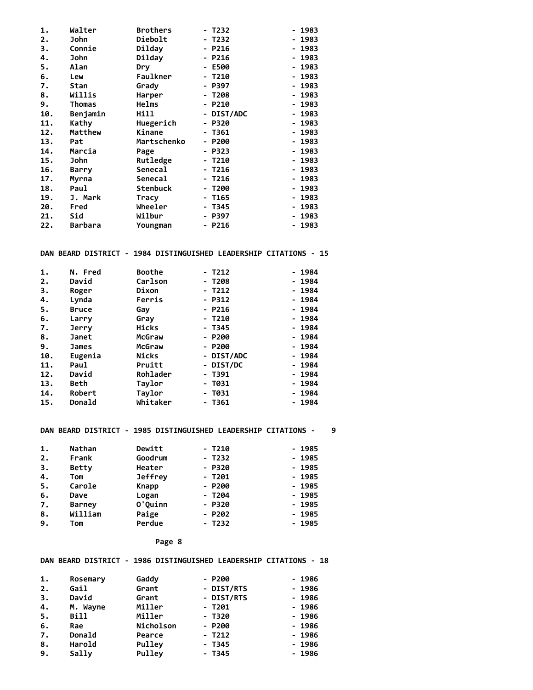| 1.  | Walter       | <b>Brothers</b> | - T232     | - 1983 |
|-----|--------------|-----------------|------------|--------|
| 2.  | John         | Diebolt         | - T232     | - 1983 |
| 3.  | Connie       | Dilday          | - P216     | - 1983 |
| 4.  | John         | Dilday          | - P216     | - 1983 |
| 5.  | Alan         | Dry             | - E500     | - 1983 |
| 6.  | Lew          | Faulkner        | - T210     | - 1983 |
| 7.  | Stan         | Grady           | - P397     | - 1983 |
| 8.  | Willis       | Harper          | - T208     | - 1983 |
| 9.  | Thomas       | Helms           | - P210     | - 1983 |
| 10. | Benjamin     | Hill            | - DIST/ADC | - 1983 |
| 11. | Kathy        | Huegerich       | - P320     | - 1983 |
| 12. | Matthew      | Kinane          | - T361     | - 1983 |
| 13. | Pat          | Martschenko     | - P200     | - 1983 |
| 14. | Marcia       | Page            | - P323     | - 1983 |
| 15. | John         | Rutledge        | - T210     | - 1983 |
| 16. | <b>Barry</b> | Senecal         | $-7216$    | - 1983 |
| 17. | Myrna        | Senecal         | - T216     | - 1983 |
| 18. | Paul         | Stenbuck        | - Т200     | - 1983 |
| 19. | J. Mark      | Tracy           | - T165     | - 1983 |
| 20. | Fred         | Wheeler         | - T345     | - 1983 |
| 21. | Sid          | Wilbur          | - P397     | - 1983 |
| 22. | Barbara      | Youngman        | - P216     | - 1983 |
|     |              |                 |            |        |
|     |              |                 |            |        |
|     |              |                 |            |        |

#### **DAN BEARD DISTRICT - 1984 DISTINGUISHED LEADERSHIP CITATIONS - 15**

| 1.  | N. Fred      | <b>Boothe</b> | - T212     | - 1984  |
|-----|--------------|---------------|------------|---------|
| 2.  | David        | Carlson       | - T208     | - 1984  |
| 3.  | Roger        | Dixon         | - T212     | - 1984  |
| 4.  | Lynda        | Ferris        | $-$ P312   | - 1984  |
| 5.  | <b>Bruce</b> | Gav           | - P216     | - 1984  |
| 6.  | Larry        | Gray          | $-1210$    | - 1984  |
| 7.  | <b>Jerry</b> | Hicks         | - T345     | $-1984$ |
| 8.  | Janet        | McGraw        | $- P200$   | - 1984  |
| 9.  | James        | McGraw        | - P200     | - 1984  |
| 10. | Eugenia      | Nicks         | - DIST/ADC | - 1984  |
| 11. | Paul         | Pruitt        | - DIST/DC  | - 1984  |
| 12. | David        | Rohlader      | - T391     | - 1984  |
| 13. | Beth         | Taylor        | - 1031     | - 1984  |
| 14. | Robert       | Taylor        | - 1031     | - 1984  |
| 15. | Donald       | Whitaker      | - T361     | - 1984  |

#### **DAN BEARD DISTRICT - 1985 DISTINGUISHED LEADERSHIP CITATIONS - 9**

| 1. | Nathan        | Dewitt         | $- T210$ | $-1985$ |
|----|---------------|----------------|----------|---------|
| 2. | Frank         | Goodrum        | $- T232$ | $-1985$ |
| з. | <b>Betty</b>  | Heater         | $- P320$ | $-1985$ |
| 4. | Tom           | <b>Jeffrey</b> | - T201   | $-1985$ |
| 5. | Carole        | Knapp          | $- P200$ | $-1985$ |
| 6. | Dave          | Logan          | - T204   | $-1985$ |
| 7. | <b>Barney</b> | O'Quinn        | $- P320$ | $-1985$ |
| 8. | William       | Paige          | $- P202$ | $-1985$ |
| 9. | Tom           | Perdue         | $- T232$ | $-1985$ |
|    |               |                |          |         |

#### **Page 8**

#### **DAN BEARD DISTRICT - 1986 DISTINGUISHED LEADERSHIP CITATIONS - 18**

| 1. | Rosemary | Gaddy     | $- P200$   | $-1986$ |
|----|----------|-----------|------------|---------|
| 2. | Gail     | Grant     | - DIST/RTS | $-1986$ |
| 3. | David    | Grant     | - DIST/RTS | $-1986$ |
| 4. | M. Wayne | Miller    | - T201     | $-1986$ |
| 5. | Bill     | Miller    | - T320     | $-1986$ |
| 6. | Rae      | Nicholson | $- P200$   | $-1986$ |
| 7. | Donald   | Pearce    | $-1212$    | $-1986$ |
| 8. | Harold   | Pulley    | - T345     | $-1986$ |
| 9. | Sally    | Pulley    | - T345     | $-1986$ |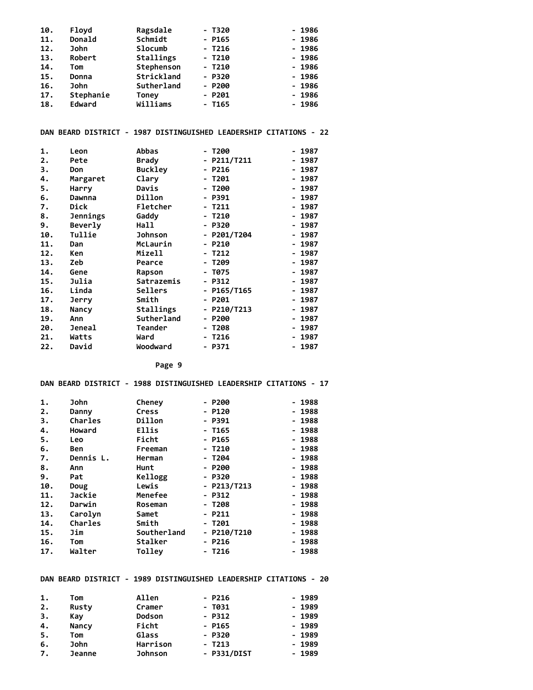| 10. | Floyd       | Ragsdale   | - T320   | $-1986$ |
|-----|-------------|------------|----------|---------|
| 11. | Donald      | Schmidt    | $-$ P165 | $-1986$ |
| 12. | <b>John</b> | Slocumb    | $-7216$  | $-1986$ |
| 13. | Robert      | Stallings  | $- T210$ | $-1986$ |
| 14. | Tom         | Stephenson | $- T210$ | $-1986$ |
| 15. | Donna       | Strickland | $- P320$ | $-1986$ |
| 16. | John        | Sutherland | $- P200$ | $-1986$ |
| 17. | Stephanie   | Toney      | $- P201$ | $-1986$ |
| 18. | Edward      | Williams   | $-1165$  | $-1986$ |

#### **DAN BEARD DISTRICT - 1987 DISTINGUISHED LEADERSHIP CITATIONS - 22**

| 1.  | Leon     | Abbas          | - Т200      | - 1987                               |
|-----|----------|----------------|-------------|--------------------------------------|
| 2.  | Pete     | <b>Brady</b>   | - P211/T211 | - 1987                               |
| З.  | Don      | <b>Buckley</b> | - P216      | $-1987$                              |
| 4.  | Margaret | Clary          | - T201      | - 1987                               |
| 5.  | Harry    | Davis          | - Т200      | - 1987                               |
| 6.  | Dawnna   | Dillon         | - P391      | 1987<br>$\qquad \qquad \blacksquare$ |
| 7.  | Dick     | Fletcher       | - T211      | - 1987                               |
| 8.  | Jennings | Gaddy          | - T210      | - 1987                               |
| 9.  | Beverly  | Hall           | - P320      | 1987<br>$\qquad \qquad \blacksquare$ |
| 10. | Tullie   | <b>Johnson</b> | - P201/T204 | - 1987                               |
| 11. | Dan      | McLaurin       | $- P210$    | - 1987                               |
| 12. | Ken      | Mizell         | - T212      | - 1987                               |
| 13. | Zeb      | Pearce         | - T209      | - 1987                               |
| 14. | Gene     | Rapson         | - T075      | - 1987                               |
| 15. | Julia    | Satrazemis     | $- P312$    | - 1987                               |
| 16. | Linda    | Sellers        | - P165/T165 | - 1987                               |
| 17. | Jerry    | Smith          | - P201      | - 1987                               |
| 18. | Nancy    | Stallings      | - P210/T213 | - 1987                               |
| 19. | Ann      | Sutherland     | - P200      | 1987<br>$\qquad \qquad \blacksquare$ |
| 20. | Jeneal   | Teander        | - T208      | - 1987                               |
| 21. | Watts    | Ward           | - T216      | - 1987                               |
| 22. | David    | Woodward       | - P371      | 1987<br>-                            |

 **Page 9**

#### **DAN BEARD DISTRICT - 1988 DISTINGUISHED LEADERSHIP CITATIONS - 17**

| 1.  | John      | Cheney       | $- P200$      | $-1988$ |
|-----|-----------|--------------|---------------|---------|
| 2.  | Danny     | Cress        | - P120        | $-1988$ |
| З.  | Charles   | Dillon       | - P391        | $-1988$ |
| 4.  | Howard    | <b>Ellis</b> | - T165        | $-1988$ |
| 5.  | Leo       | Ficht        | - P165        | $-1988$ |
| 6.  | Ben       | Freeman      | $-1210$       | $-1988$ |
| 7.  | Dennis L. | Herman       | - T204        | - 1988  |
| 8.  | Ann       | Hunt         | $- P200$      | $-1988$ |
| 9.  | Pat       | Kellogg      | - P320        | $-1988$ |
| 10. | Doug      | Lewis        | $-$ P213/T213 | $-1988$ |
| 11. | Jackie    | Menefee      | $-$ P312      | - 1988  |
| 12. | Darwin    | Roseman      | $-1208$       | $-1988$ |
| 13. | Carolyn   | Samet        | - P211        | - 1988  |
| 14. | Charles   | Smith        | - T201        | $-1988$ |
| 15. | Jim       | Southerland  | $-$ P210/T210 | - 1988  |
| 16. | Tom       | Stalker      | - P216        | - 1988  |
| 17. | Walter    | Tolley       | $-7216$       | $-1988$ |

#### **DAN BEARD DISTRICT - 1989 DISTINGUISHED LEADERSHIP CITATIONS - 20**

| 1. | Tom           | Allen          | - P216      | $-1989$ |
|----|---------------|----------------|-------------|---------|
| 2. | Rusty         | Cramer         | - T031      | $-1989$ |
| 3. | Kav           | <b>Dodson</b>  | $- P312$    | $-1989$ |
| 4. | Nancy         | Ficht          | $-$ P165    | $-1989$ |
| 5. | Tom           | Glass          | - P320      | $-1989$ |
| 6. | John          | Harrison       | $-$ T213    | $-1989$ |
| 7. | <b>Jeanne</b> | <b>Johnson</b> | - P331/DIST | $-1989$ |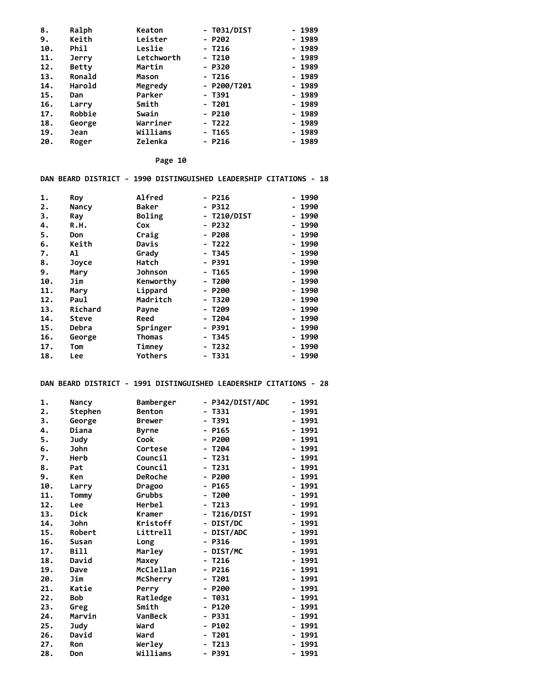| 8.  | Ralph        | Keaton     | - T031/DIST   | - 1989 |
|-----|--------------|------------|---------------|--------|
| 9.  | Keith        | Leister    | $- P202$      | - 1989 |
| 10. | Phil         | Leslie     | - T216        | - 1989 |
| 11. | <b>Jerry</b> | Letchworth | $-1210$       | - 1989 |
| 12. | Betty        | Martin     | - P320        | - 1989 |
| 13. | Ronald       | Mason      | $-7216$       | - 1989 |
| 14. | Harold       | Megredy    | $-$ P200/T201 | - 1989 |
| 15. | Dan          | Parker     | - T391        | - 1989 |
| 16. | Larry        | Smith      | - T201        | - 1989 |
| 17. | Robbie       | Swain      | - P210        | - 1989 |
| 18. | George       | Warriner   | - T222        | - 1989 |
| 19. | Jean         | Williams   | - T165        | - 1989 |
| 20. | Roger        | Zelenka    | - P216        | - 1989 |

#### **DAN BEARD DISTRICT - 1990 DISTINGUISHED LEADERSHIP CITATIONS - 18**

| 1.  | Roy     | <b>Alfred</b>  | $- P216$    | - 1990  |
|-----|---------|----------------|-------------|---------|
| 2.  | Nancy   | <b>Baker</b>   | - P312      | - 1990  |
| З.  | Ray     | Boling         | - T210/DIST | - 1990  |
| 4.  | R.H.    | Cox            | - P232      | - 1990  |
| 5.  | Don     | Craig          | - P208      | - 1990  |
| 6.  | Keith   | Davis          | - T222      | - 1990  |
| 7.  | Al      | Grady          | - T345      | - 1990  |
| 8.  | Joyce   | Hatch          | - P391      | $-1990$ |
| 9.  | Mary    | <b>Johnson</b> | - T165      | - 1990  |
| 10. | Jim     | Kenworthy      | - T200      | - 1990  |
| 11. | Mary    | Lippard        | - P200      | - 1990  |
| 12. | Paul    | Madritch       | - T320      | - 1990  |
| 13. | Richard | Payne          | - T209      | - 1990  |
| 14. | Steve   | Reed           | - T204      | - 1990  |
| 15. | Debra   | Springer       | - P391      | - 1990  |
| 16. | George  | Thomas         | - T345      | - 1990  |
| 17. | Tom     | Timney         | - T232      | - 1990  |
| 18. | Lee     | <b>Yothers</b> | - T331      | - 1990  |

#### **DAN BEARD DISTRICT - 1991 DISTINGUISHED LEADERSHIP CITATIONS - 28**

| 1.               | Nancy        | Bamberger      | - P342/DIST/ADC                              | - 1991                               |
|------------------|--------------|----------------|----------------------------------------------|--------------------------------------|
| $\overline{2}$ . | Stephen      | <b>Benton</b>  | T331<br>-                                    | 1991                                 |
| 3.               | George       | <b>Brewer</b>  | - T391                                       | 1991                                 |
| 4.               | Diana        | <b>Byrne</b>   | - P165                                       | 1991                                 |
| 5.               | Judy         | Cook           | P200<br>-                                    | 1991                                 |
| 6.               | John         | Cortese        | T204                                         | 1991                                 |
| 7.               | Herb         | Council        | T231<br>$\overline{\phantom{0}}$             | 1991                                 |
| 8.               | Pat          | Council        | T231<br>-                                    | 1991                                 |
| 9.               | Ken          | <b>DeRoche</b> | P200                                         | 1991                                 |
| 10.              | Larry        | Dragoo         | - P165                                       | 1991                                 |
| 11.              | Tommy        | Grubbs         | T200                                         | 1991                                 |
| 12.              | Lee          | Herbel         | T213                                         | 1991                                 |
| 13.              | Dick         | Kramer         | <b>T216/DIST</b><br>$\overline{\phantom{0}}$ | 1991                                 |
| 14.              | <b>John</b>  | Kristoff       | DIST/DC<br>$\overline{\phantom{0}}$          | 1991                                 |
| 15.              | Robert       | Littrell       | DIST/ADC                                     | 1991                                 |
| 16.              | <b>Susan</b> | Long           | - P316                                       | 1991                                 |
| 17.              | Bill         | Marley         | DIST/MC<br>$\blacksquare$                    | 1991                                 |
| 18.              | David        | Maxey          | T <sub>216</sub>                             | 1991                                 |
| 19.              | Dave         | McClellan      | P216<br>$\blacksquare$                       | 1991                                 |
| 20.              | Jim          | McSherry       | T201                                         | 1991                                 |
| 21.              | Katie        | Perry          | P200                                         | 1991                                 |
| 22.              | <b>Bob</b>   | Ratledge       | T031                                         | 1991                                 |
| 23.              | Greg         | Smith          | P120<br>۰.                                   | 1991                                 |
| 24.              | Marvin       | <b>VanBeck</b> | P331                                         | 1991                                 |
| 25.              | Judy         | Ward           | P102<br>۰.                                   | 1991<br>-                            |
| 26.              | David        | Ward           | T201                                         | 1991                                 |
| 27.              | <b>Ron</b>   | Werley         | T213                                         | 1991                                 |
| 28.              | Don          | Williams       | - P391                                       | 1991<br>$\qquad \qquad \blacksquare$ |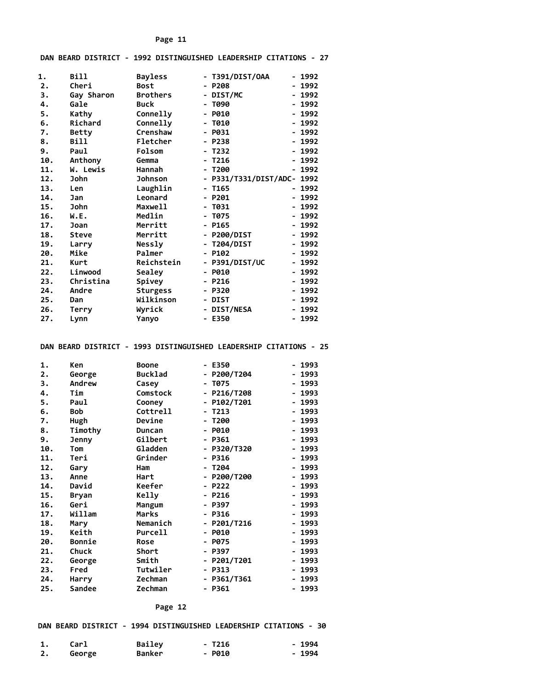#### **DAN BEARD DISTRICT - 1992 DISTINGUISHED LEADERSHIP CITATIONS - 27**

| 1.  | <b>Bill</b>  | <b>Bayless</b>  | - T391/DIST/OAA             | - 1992    |
|-----|--------------|-----------------|-----------------------------|-----------|
| 2.  | Cheri        | <b>Bost</b>     | - P208                      | 1992      |
| 3.  | Gay Sharon   | <b>Brothers</b> | DIST/MC<br>$\blacksquare$   | - 1992    |
| 4.  | Gale         | <b>Buck</b>     | T090<br>-                   | 1992      |
| 5.  | Kathy        | Connelly        | - P010                      | - 1992    |
| 6.  | Richard      | Connelly        | - 7010                      | - 1992    |
| 7.  | <b>Betty</b> | Crenshaw        | - P031                      | - 1992    |
| 8.  | <b>Bill</b>  | Fletcher        | - P238                      | 1992      |
| 9.  | Paul         | Folsom          | - T232                      | - 1992    |
| 10. | Anthony      | Gemma           | $-7216$                     | - 1992    |
| 11. | W. Lewis     | Hannah          | - T200                      | 1992<br>- |
| 12. | <b>John</b>  | <b>Johnson</b>  | - P331/T331/DIST/ADC- 1992  |           |
| 13. | Len          | Laughlin        | - T165                      | - 1992    |
| 14. | Jan          | Leonard         | - P201                      | - 1992    |
| 15. | <b>John</b>  | Maxwell         | - T031                      | - 1992    |
| 16. | W.E.         | Medlin          | - T075                      | 1992      |
| 17. | Joan         | Merritt         | $-$ P165                    | - 1992    |
| 18. | Steve        | Merritt         | P200/DIST<br>$\blacksquare$ | - 1992    |
| 19. | Larry        | Nessly          | - T204/DIST                 | - 1992    |
| 20. | Mike         | Palmer          | $- P102$                    | 1992      |
| 21. | Kurt         | Reichstein      | - P391/DIST/UC              | - 1992    |
| 22. | Linwood      | Sealey          | - P010                      | - 1992    |
| 23. | Christina    | Spivey          | $- P216$                    | $-1992$   |
| 24. | Andre        | <b>Sturgess</b> | - P320                      | - 1992    |
| 25. | Dan          | Wilkinson       | <b>DIST</b><br>۰.           | - 1992    |
| 26. | Terry        | Wyrick          | - DIST/NESA                 | - 1992    |
| 27. | Lynn         | Yanyo           | - E350                      | - 1992    |

#### **DAN BEARD DISTRICT - 1993 DISTINGUISHED LEADERSHIP CITATIONS - 25**

| 1.  | Ken           | <b>Boone</b>   | - E350                                | - 1993 |
|-----|---------------|----------------|---------------------------------------|--------|
| 2.  | George        | <b>Bucklad</b> | P200/T204                             | 1993   |
| 3.  | Andrew        | Casey          | T075                                  | - 1993 |
| 4.  | Tim           | Comstock       | P216/T208<br>$\overline{\phantom{0}}$ | 1993   |
| 5.  | Paul          | Cooney         | P102/T201<br>$\overline{\phantom{0}}$ | - 1993 |
| 6.  | <b>Bob</b>    | Cottrell       | T213                                  | 1993   |
| 7.  | Hugh          | Devine         | - T200                                | - 1993 |
| 8.  | Timothy       | Duncan         | P010<br>$\overline{\phantom{0}}$      | 1993   |
| 9.  | Jenny         | Gilbert        | - P361                                | - 1993 |
| 10. | Tom           | Gladden        | P320/T320<br>$\blacksquare$           | 1993   |
| 11. | Teri          | Grinder        | - P316                                | - 1993 |
| 12. | Gary          | Ham            | - T204                                | - 1993 |
| 13. | Anne          | Hart           | P200/T200<br>$\overline{\phantom{0}}$ | - 1993 |
| 14. | David         | Keefer         | $- P222$                              | - 1993 |
| 15. | Bryan         | <b>Kelly</b>   | $- P216$                              | - 1993 |
| 16. | Geri          | Mangum         | P397<br>۰.                            | - 1993 |
| 17. | Willam        | Marks          | - P316                                | - 1993 |
| 18. | Mary          | Nemanich       | P201/T216<br>$\blacksquare$           | - 1993 |
| 19. | Keith         | Purcell        | P010<br>۰.                            | - 1993 |
| 20. | Bonnie        | <b>Rose</b>    | <b>P075</b>                           | - 1993 |
| 21. | Chuck         | Short          | P397<br>۰.                            | - 1993 |
| 22. | George        | Smith          | P201/T201                             | 1993   |
| 23. | Fred          | Tutwiler       | P313<br>$\overline{\phantom{0}}$      | - 1993 |
| 24. | Harry         | Zechman        | P361/T361<br>н.                       | 1993   |
| 25. | <b>Sandee</b> | Zechman        | - P361                                | 1993   |

#### **Page 12**

#### **DAN BEARD DISTRICT - 1994 DISTINGUISHED LEADERSHIP CITATIONS - 30**

| Carl   | Bailey        | $- T216$ | - 1994 |
|--------|---------------|----------|--------|
| George | <b>Banker</b> | $-$ P010 | - 1994 |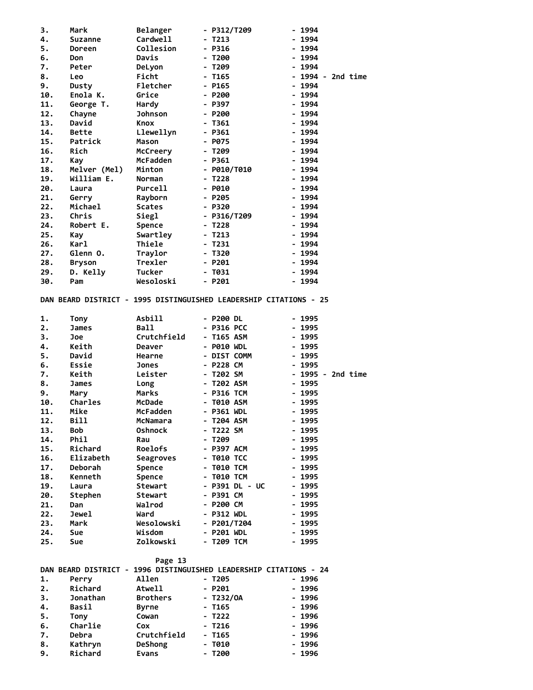| Cardwell<br>$-1994$<br>4.<br>$-$ T213<br><b>Suzanne</b><br>5.<br>Collesion<br>$- P316$<br>$-1994$<br><b>Doreen</b><br>6.<br>Davis<br>$- T200$<br>- 1994<br>Don<br>7.<br>DeLyon<br>- T209<br>- 1994<br>Peter<br>Ficht<br>8.<br>- T165<br>Leo<br>9.<br>Fletcher<br>$-$ P165<br>$-1994$<br>Dusty<br>$-1994$<br>10.<br>Enola K.<br>Grice<br>$- P200$<br>11.<br>Hardy<br>- P397<br>$-1994$<br>George T.<br><b>Johnson</b><br>12.<br>Chayne<br>- P200<br>$-1994$<br>13.<br>David<br>$-1361$<br>$-1994$<br>Knox<br>14.<br>Llewellyn<br>$-$ P361<br>$-1994$<br>Bette<br>$-1994$<br>15.<br>Patrick<br>Mason<br>$-$ P075<br>$-1994$<br>16.<br>Rich<br>McCreery<br>- T209<br>17.<br>McFadden<br>$- P361$<br>$-1994$<br>Kay<br>18.<br>Melver (Mel)<br>Minton<br>$-$ P010/T010<br>$-1994$<br>19.<br>William E.<br>$- T228$<br>$-1994$<br>Norman<br>20.<br>Purcell<br>$-$ P010<br>$-1994$<br>Laura<br>21.<br>Rayborn<br>- 1994<br>Gerry<br>- P205<br>Michael<br>22.<br><b>Scates</b><br>$-1994$<br>- P320<br>23.<br>Chris<br>Siegl<br>- P316/T209<br>$-1994$<br>24.<br>Robert E.<br>Spence<br>- T228<br>$-1994$<br>$-1994$<br>25.<br>Swartley<br>- T213<br>Kay<br>26.<br>Karl<br>Thiele<br>$- T231$<br>$-1994$<br>$-1994$<br>27.<br>Glenn O.<br>Traylor<br>- T320<br>28.<br>Trexler<br>$- P201$<br>$-1994$<br>Bryson<br>29.<br>D. Kelly<br>Tucker<br>- T031<br>- 1994<br>Wesoloski<br>$- P201$<br>$-1994$<br>30.<br>Pam<br>DAN BEARD DISTRICT - 1995 DISTINGUISHED LEADERSHIP CITATIONS - 25<br>1.<br><b>Asbill</b><br>- P200 DL<br>Tony<br>- 1995<br>Ball<br>2.<br>- P316 PCC<br>$-1995$<br>James<br>3.<br>Crutchfield<br>- T165 ASM<br>$-1995$<br>Joe<br>4.<br>Keith<br>- P010 WDL<br>$-1995$<br>Deaver<br>5.<br>David<br>- DIST COMM<br>- 1995<br>Hearne<br>Essie<br>- P228 CM<br>$-1995$<br>6.<br>Jones<br>7.<br>Keith<br>Leister<br>- T202 SM<br>8.<br>- T202 ASM<br>$-1995$<br>James<br>Long<br>9.<br>Marks<br>- P316 TCM<br>$-1995$<br>Mary<br>- T010 ASM<br>10.<br>Charles<br>McDade<br>$-1995$<br>Mike<br>McFadden<br>- P361 WDL<br>- 1995<br>11.<br>Bill<br>12.<br>McNamara<br>- T204 ASM<br>- 1995<br>13.<br>- T222 SM<br>Bob<br><b>Oshnock</b><br>- 1995<br>14.<br>Phil<br>- T209<br>- 1995<br>Rau<br>15.<br>Richard<br>Roelofs<br>- P397 ACM<br>- 1995<br>Elizabeth<br>16.<br><b>- T010 TCC</b><br>- 1995<br>Seagroves<br>17.<br>- T010 TCM<br>- 1995<br><b>Deborah</b><br>Spence<br>18.<br>Kenneth<br>Spence<br>- T010 TCM<br>- 1995<br>19.<br><b>Stewart</b><br>- P391 DL - UC<br>- 1995<br>Laura<br>20.<br>Stephen<br>- P391 CM<br>$-1995$<br>Stewart<br>21.<br>Walrod<br>- P200 CM<br>- 1995<br>Dan<br>22.<br>- 1995<br>Jewel<br>Ward<br>- P312 WDL<br>23.<br>Mark<br>Wesolowski<br>- P201/T204<br>- 1995<br>24.<br>Sue<br>Wisdom<br>- P201 WDL<br>- 1995<br>Zolkowski<br>- T209 TCM<br>- 1995<br>25.<br>Sue<br>Page 13<br>DAN BEARD DISTRICT - 1996 DISTINGUISHED LEADERSHIP CITATIONS - 24<br>1.<br>Allen<br>$-1996$<br>Perry<br>- T205<br>Richard<br>2.<br><b>Atwell</b><br>- P201<br>- 1996<br>3.<br><b>Brothers</b><br>Jonathan<br>- T232/OA<br>- 1996<br>4.<br>Basil<br>- T165<br>- 1996<br>Byrne<br>5.<br>Tony<br>Cowan<br>- T222<br>- 1996<br>Charlie<br>6.<br>- T216<br>- 1996<br>Cox<br>Debra<br>Crutchfield<br>- T165<br>- 1996<br>7.<br>8.<br><b>DeShong</b><br>- Т010<br>- 1996<br>Kathryn<br>9.<br>Richard<br>- T200<br>- 1996<br>Evans | 3. | Mark | <b>Belanger</b> | $-$ P312/T209 | $-1994$           |
|----------------------------------------------------------------------------------------------------------------------------------------------------------------------------------------------------------------------------------------------------------------------------------------------------------------------------------------------------------------------------------------------------------------------------------------------------------------------------------------------------------------------------------------------------------------------------------------------------------------------------------------------------------------------------------------------------------------------------------------------------------------------------------------------------------------------------------------------------------------------------------------------------------------------------------------------------------------------------------------------------------------------------------------------------------------------------------------------------------------------------------------------------------------------------------------------------------------------------------------------------------------------------------------------------------------------------------------------------------------------------------------------------------------------------------------------------------------------------------------------------------------------------------------------------------------------------------------------------------------------------------------------------------------------------------------------------------------------------------------------------------------------------------------------------------------------------------------------------------------------------------------------------------------------------------------------------------------------------------------------------------------------------------------------------------------------------------------------------------------------------------------------------------------------------------------------------------------------------------------------------------------------------------------------------------------------------------------------------------------------------------------------------------------------------------------------------------------------------------------------------------------------------------------------------------------------------------------------------------------------------------------------------------------------------------------------------------------------------------------------------------------------------------------------------------------------------------------------------------------------------------------------------------------------------------------------------------------------------------------------------------------------------------------------------------------------------------------------------------------------------------------------------------------------------------------------------------------------------------------------------------------------------------------------------------------------------------------------------------|----|------|-----------------|---------------|-------------------|
|                                                                                                                                                                                                                                                                                                                                                                                                                                                                                                                                                                                                                                                                                                                                                                                                                                                                                                                                                                                                                                                                                                                                                                                                                                                                                                                                                                                                                                                                                                                                                                                                                                                                                                                                                                                                                                                                                                                                                                                                                                                                                                                                                                                                                                                                                                                                                                                                                                                                                                                                                                                                                                                                                                                                                                                                                                                                                                                                                                                                                                                                                                                                                                                                                                                                                                                                                          |    |      |                 |               |                   |
|                                                                                                                                                                                                                                                                                                                                                                                                                                                                                                                                                                                                                                                                                                                                                                                                                                                                                                                                                                                                                                                                                                                                                                                                                                                                                                                                                                                                                                                                                                                                                                                                                                                                                                                                                                                                                                                                                                                                                                                                                                                                                                                                                                                                                                                                                                                                                                                                                                                                                                                                                                                                                                                                                                                                                                                                                                                                                                                                                                                                                                                                                                                                                                                                                                                                                                                                                          |    |      |                 |               |                   |
|                                                                                                                                                                                                                                                                                                                                                                                                                                                                                                                                                                                                                                                                                                                                                                                                                                                                                                                                                                                                                                                                                                                                                                                                                                                                                                                                                                                                                                                                                                                                                                                                                                                                                                                                                                                                                                                                                                                                                                                                                                                                                                                                                                                                                                                                                                                                                                                                                                                                                                                                                                                                                                                                                                                                                                                                                                                                                                                                                                                                                                                                                                                                                                                                                                                                                                                                                          |    |      |                 |               |                   |
|                                                                                                                                                                                                                                                                                                                                                                                                                                                                                                                                                                                                                                                                                                                                                                                                                                                                                                                                                                                                                                                                                                                                                                                                                                                                                                                                                                                                                                                                                                                                                                                                                                                                                                                                                                                                                                                                                                                                                                                                                                                                                                                                                                                                                                                                                                                                                                                                                                                                                                                                                                                                                                                                                                                                                                                                                                                                                                                                                                                                                                                                                                                                                                                                                                                                                                                                                          |    |      |                 |               |                   |
|                                                                                                                                                                                                                                                                                                                                                                                                                                                                                                                                                                                                                                                                                                                                                                                                                                                                                                                                                                                                                                                                                                                                                                                                                                                                                                                                                                                                                                                                                                                                                                                                                                                                                                                                                                                                                                                                                                                                                                                                                                                                                                                                                                                                                                                                                                                                                                                                                                                                                                                                                                                                                                                                                                                                                                                                                                                                                                                                                                                                                                                                                                                                                                                                                                                                                                                                                          |    |      |                 |               | - 1994 - 2nd time |
|                                                                                                                                                                                                                                                                                                                                                                                                                                                                                                                                                                                                                                                                                                                                                                                                                                                                                                                                                                                                                                                                                                                                                                                                                                                                                                                                                                                                                                                                                                                                                                                                                                                                                                                                                                                                                                                                                                                                                                                                                                                                                                                                                                                                                                                                                                                                                                                                                                                                                                                                                                                                                                                                                                                                                                                                                                                                                                                                                                                                                                                                                                                                                                                                                                                                                                                                                          |    |      |                 |               |                   |
|                                                                                                                                                                                                                                                                                                                                                                                                                                                                                                                                                                                                                                                                                                                                                                                                                                                                                                                                                                                                                                                                                                                                                                                                                                                                                                                                                                                                                                                                                                                                                                                                                                                                                                                                                                                                                                                                                                                                                                                                                                                                                                                                                                                                                                                                                                                                                                                                                                                                                                                                                                                                                                                                                                                                                                                                                                                                                                                                                                                                                                                                                                                                                                                                                                                                                                                                                          |    |      |                 |               |                   |
|                                                                                                                                                                                                                                                                                                                                                                                                                                                                                                                                                                                                                                                                                                                                                                                                                                                                                                                                                                                                                                                                                                                                                                                                                                                                                                                                                                                                                                                                                                                                                                                                                                                                                                                                                                                                                                                                                                                                                                                                                                                                                                                                                                                                                                                                                                                                                                                                                                                                                                                                                                                                                                                                                                                                                                                                                                                                                                                                                                                                                                                                                                                                                                                                                                                                                                                                                          |    |      |                 |               |                   |
|                                                                                                                                                                                                                                                                                                                                                                                                                                                                                                                                                                                                                                                                                                                                                                                                                                                                                                                                                                                                                                                                                                                                                                                                                                                                                                                                                                                                                                                                                                                                                                                                                                                                                                                                                                                                                                                                                                                                                                                                                                                                                                                                                                                                                                                                                                                                                                                                                                                                                                                                                                                                                                                                                                                                                                                                                                                                                                                                                                                                                                                                                                                                                                                                                                                                                                                                                          |    |      |                 |               |                   |
|                                                                                                                                                                                                                                                                                                                                                                                                                                                                                                                                                                                                                                                                                                                                                                                                                                                                                                                                                                                                                                                                                                                                                                                                                                                                                                                                                                                                                                                                                                                                                                                                                                                                                                                                                                                                                                                                                                                                                                                                                                                                                                                                                                                                                                                                                                                                                                                                                                                                                                                                                                                                                                                                                                                                                                                                                                                                                                                                                                                                                                                                                                                                                                                                                                                                                                                                                          |    |      |                 |               |                   |
|                                                                                                                                                                                                                                                                                                                                                                                                                                                                                                                                                                                                                                                                                                                                                                                                                                                                                                                                                                                                                                                                                                                                                                                                                                                                                                                                                                                                                                                                                                                                                                                                                                                                                                                                                                                                                                                                                                                                                                                                                                                                                                                                                                                                                                                                                                                                                                                                                                                                                                                                                                                                                                                                                                                                                                                                                                                                                                                                                                                                                                                                                                                                                                                                                                                                                                                                                          |    |      |                 |               |                   |
|                                                                                                                                                                                                                                                                                                                                                                                                                                                                                                                                                                                                                                                                                                                                                                                                                                                                                                                                                                                                                                                                                                                                                                                                                                                                                                                                                                                                                                                                                                                                                                                                                                                                                                                                                                                                                                                                                                                                                                                                                                                                                                                                                                                                                                                                                                                                                                                                                                                                                                                                                                                                                                                                                                                                                                                                                                                                                                                                                                                                                                                                                                                                                                                                                                                                                                                                                          |    |      |                 |               |                   |
|                                                                                                                                                                                                                                                                                                                                                                                                                                                                                                                                                                                                                                                                                                                                                                                                                                                                                                                                                                                                                                                                                                                                                                                                                                                                                                                                                                                                                                                                                                                                                                                                                                                                                                                                                                                                                                                                                                                                                                                                                                                                                                                                                                                                                                                                                                                                                                                                                                                                                                                                                                                                                                                                                                                                                                                                                                                                                                                                                                                                                                                                                                                                                                                                                                                                                                                                                          |    |      |                 |               |                   |
|                                                                                                                                                                                                                                                                                                                                                                                                                                                                                                                                                                                                                                                                                                                                                                                                                                                                                                                                                                                                                                                                                                                                                                                                                                                                                                                                                                                                                                                                                                                                                                                                                                                                                                                                                                                                                                                                                                                                                                                                                                                                                                                                                                                                                                                                                                                                                                                                                                                                                                                                                                                                                                                                                                                                                                                                                                                                                                                                                                                                                                                                                                                                                                                                                                                                                                                                                          |    |      |                 |               |                   |
|                                                                                                                                                                                                                                                                                                                                                                                                                                                                                                                                                                                                                                                                                                                                                                                                                                                                                                                                                                                                                                                                                                                                                                                                                                                                                                                                                                                                                                                                                                                                                                                                                                                                                                                                                                                                                                                                                                                                                                                                                                                                                                                                                                                                                                                                                                                                                                                                                                                                                                                                                                                                                                                                                                                                                                                                                                                                                                                                                                                                                                                                                                                                                                                                                                                                                                                                                          |    |      |                 |               |                   |
|                                                                                                                                                                                                                                                                                                                                                                                                                                                                                                                                                                                                                                                                                                                                                                                                                                                                                                                                                                                                                                                                                                                                                                                                                                                                                                                                                                                                                                                                                                                                                                                                                                                                                                                                                                                                                                                                                                                                                                                                                                                                                                                                                                                                                                                                                                                                                                                                                                                                                                                                                                                                                                                                                                                                                                                                                                                                                                                                                                                                                                                                                                                                                                                                                                                                                                                                                          |    |      |                 |               |                   |
|                                                                                                                                                                                                                                                                                                                                                                                                                                                                                                                                                                                                                                                                                                                                                                                                                                                                                                                                                                                                                                                                                                                                                                                                                                                                                                                                                                                                                                                                                                                                                                                                                                                                                                                                                                                                                                                                                                                                                                                                                                                                                                                                                                                                                                                                                                                                                                                                                                                                                                                                                                                                                                                                                                                                                                                                                                                                                                                                                                                                                                                                                                                                                                                                                                                                                                                                                          |    |      |                 |               |                   |
|                                                                                                                                                                                                                                                                                                                                                                                                                                                                                                                                                                                                                                                                                                                                                                                                                                                                                                                                                                                                                                                                                                                                                                                                                                                                                                                                                                                                                                                                                                                                                                                                                                                                                                                                                                                                                                                                                                                                                                                                                                                                                                                                                                                                                                                                                                                                                                                                                                                                                                                                                                                                                                                                                                                                                                                                                                                                                                                                                                                                                                                                                                                                                                                                                                                                                                                                                          |    |      |                 |               |                   |
|                                                                                                                                                                                                                                                                                                                                                                                                                                                                                                                                                                                                                                                                                                                                                                                                                                                                                                                                                                                                                                                                                                                                                                                                                                                                                                                                                                                                                                                                                                                                                                                                                                                                                                                                                                                                                                                                                                                                                                                                                                                                                                                                                                                                                                                                                                                                                                                                                                                                                                                                                                                                                                                                                                                                                                                                                                                                                                                                                                                                                                                                                                                                                                                                                                                                                                                                                          |    |      |                 |               |                   |
|                                                                                                                                                                                                                                                                                                                                                                                                                                                                                                                                                                                                                                                                                                                                                                                                                                                                                                                                                                                                                                                                                                                                                                                                                                                                                                                                                                                                                                                                                                                                                                                                                                                                                                                                                                                                                                                                                                                                                                                                                                                                                                                                                                                                                                                                                                                                                                                                                                                                                                                                                                                                                                                                                                                                                                                                                                                                                                                                                                                                                                                                                                                                                                                                                                                                                                                                                          |    |      |                 |               |                   |
|                                                                                                                                                                                                                                                                                                                                                                                                                                                                                                                                                                                                                                                                                                                                                                                                                                                                                                                                                                                                                                                                                                                                                                                                                                                                                                                                                                                                                                                                                                                                                                                                                                                                                                                                                                                                                                                                                                                                                                                                                                                                                                                                                                                                                                                                                                                                                                                                                                                                                                                                                                                                                                                                                                                                                                                                                                                                                                                                                                                                                                                                                                                                                                                                                                                                                                                                                          |    |      |                 |               |                   |
|                                                                                                                                                                                                                                                                                                                                                                                                                                                                                                                                                                                                                                                                                                                                                                                                                                                                                                                                                                                                                                                                                                                                                                                                                                                                                                                                                                                                                                                                                                                                                                                                                                                                                                                                                                                                                                                                                                                                                                                                                                                                                                                                                                                                                                                                                                                                                                                                                                                                                                                                                                                                                                                                                                                                                                                                                                                                                                                                                                                                                                                                                                                                                                                                                                                                                                                                                          |    |      |                 |               |                   |
|                                                                                                                                                                                                                                                                                                                                                                                                                                                                                                                                                                                                                                                                                                                                                                                                                                                                                                                                                                                                                                                                                                                                                                                                                                                                                                                                                                                                                                                                                                                                                                                                                                                                                                                                                                                                                                                                                                                                                                                                                                                                                                                                                                                                                                                                                                                                                                                                                                                                                                                                                                                                                                                                                                                                                                                                                                                                                                                                                                                                                                                                                                                                                                                                                                                                                                                                                          |    |      |                 |               |                   |
|                                                                                                                                                                                                                                                                                                                                                                                                                                                                                                                                                                                                                                                                                                                                                                                                                                                                                                                                                                                                                                                                                                                                                                                                                                                                                                                                                                                                                                                                                                                                                                                                                                                                                                                                                                                                                                                                                                                                                                                                                                                                                                                                                                                                                                                                                                                                                                                                                                                                                                                                                                                                                                                                                                                                                                                                                                                                                                                                                                                                                                                                                                                                                                                                                                                                                                                                                          |    |      |                 |               |                   |
|                                                                                                                                                                                                                                                                                                                                                                                                                                                                                                                                                                                                                                                                                                                                                                                                                                                                                                                                                                                                                                                                                                                                                                                                                                                                                                                                                                                                                                                                                                                                                                                                                                                                                                                                                                                                                                                                                                                                                                                                                                                                                                                                                                                                                                                                                                                                                                                                                                                                                                                                                                                                                                                                                                                                                                                                                                                                                                                                                                                                                                                                                                                                                                                                                                                                                                                                                          |    |      |                 |               |                   |
|                                                                                                                                                                                                                                                                                                                                                                                                                                                                                                                                                                                                                                                                                                                                                                                                                                                                                                                                                                                                                                                                                                                                                                                                                                                                                                                                                                                                                                                                                                                                                                                                                                                                                                                                                                                                                                                                                                                                                                                                                                                                                                                                                                                                                                                                                                                                                                                                                                                                                                                                                                                                                                                                                                                                                                                                                                                                                                                                                                                                                                                                                                                                                                                                                                                                                                                                                          |    |      |                 |               |                   |
|                                                                                                                                                                                                                                                                                                                                                                                                                                                                                                                                                                                                                                                                                                                                                                                                                                                                                                                                                                                                                                                                                                                                                                                                                                                                                                                                                                                                                                                                                                                                                                                                                                                                                                                                                                                                                                                                                                                                                                                                                                                                                                                                                                                                                                                                                                                                                                                                                                                                                                                                                                                                                                                                                                                                                                                                                                                                                                                                                                                                                                                                                                                                                                                                                                                                                                                                                          |    |      |                 |               |                   |
|                                                                                                                                                                                                                                                                                                                                                                                                                                                                                                                                                                                                                                                                                                                                                                                                                                                                                                                                                                                                                                                                                                                                                                                                                                                                                                                                                                                                                                                                                                                                                                                                                                                                                                                                                                                                                                                                                                                                                                                                                                                                                                                                                                                                                                                                                                                                                                                                                                                                                                                                                                                                                                                                                                                                                                                                                                                                                                                                                                                                                                                                                                                                                                                                                                                                                                                                                          |    |      |                 |               |                   |
|                                                                                                                                                                                                                                                                                                                                                                                                                                                                                                                                                                                                                                                                                                                                                                                                                                                                                                                                                                                                                                                                                                                                                                                                                                                                                                                                                                                                                                                                                                                                                                                                                                                                                                                                                                                                                                                                                                                                                                                                                                                                                                                                                                                                                                                                                                                                                                                                                                                                                                                                                                                                                                                                                                                                                                                                                                                                                                                                                                                                                                                                                                                                                                                                                                                                                                                                                          |    |      |                 |               |                   |
|                                                                                                                                                                                                                                                                                                                                                                                                                                                                                                                                                                                                                                                                                                                                                                                                                                                                                                                                                                                                                                                                                                                                                                                                                                                                                                                                                                                                                                                                                                                                                                                                                                                                                                                                                                                                                                                                                                                                                                                                                                                                                                                                                                                                                                                                                                                                                                                                                                                                                                                                                                                                                                                                                                                                                                                                                                                                                                                                                                                                                                                                                                                                                                                                                                                                                                                                                          |    |      |                 |               |                   |
|                                                                                                                                                                                                                                                                                                                                                                                                                                                                                                                                                                                                                                                                                                                                                                                                                                                                                                                                                                                                                                                                                                                                                                                                                                                                                                                                                                                                                                                                                                                                                                                                                                                                                                                                                                                                                                                                                                                                                                                                                                                                                                                                                                                                                                                                                                                                                                                                                                                                                                                                                                                                                                                                                                                                                                                                                                                                                                                                                                                                                                                                                                                                                                                                                                                                                                                                                          |    |      |                 |               |                   |
|                                                                                                                                                                                                                                                                                                                                                                                                                                                                                                                                                                                                                                                                                                                                                                                                                                                                                                                                                                                                                                                                                                                                                                                                                                                                                                                                                                                                                                                                                                                                                                                                                                                                                                                                                                                                                                                                                                                                                                                                                                                                                                                                                                                                                                                                                                                                                                                                                                                                                                                                                                                                                                                                                                                                                                                                                                                                                                                                                                                                                                                                                                                                                                                                                                                                                                                                                          |    |      |                 |               |                   |
|                                                                                                                                                                                                                                                                                                                                                                                                                                                                                                                                                                                                                                                                                                                                                                                                                                                                                                                                                                                                                                                                                                                                                                                                                                                                                                                                                                                                                                                                                                                                                                                                                                                                                                                                                                                                                                                                                                                                                                                                                                                                                                                                                                                                                                                                                                                                                                                                                                                                                                                                                                                                                                                                                                                                                                                                                                                                                                                                                                                                                                                                                                                                                                                                                                                                                                                                                          |    |      |                 |               |                   |
|                                                                                                                                                                                                                                                                                                                                                                                                                                                                                                                                                                                                                                                                                                                                                                                                                                                                                                                                                                                                                                                                                                                                                                                                                                                                                                                                                                                                                                                                                                                                                                                                                                                                                                                                                                                                                                                                                                                                                                                                                                                                                                                                                                                                                                                                                                                                                                                                                                                                                                                                                                                                                                                                                                                                                                                                                                                                                                                                                                                                                                                                                                                                                                                                                                                                                                                                                          |    |      |                 |               |                   |
|                                                                                                                                                                                                                                                                                                                                                                                                                                                                                                                                                                                                                                                                                                                                                                                                                                                                                                                                                                                                                                                                                                                                                                                                                                                                                                                                                                                                                                                                                                                                                                                                                                                                                                                                                                                                                                                                                                                                                                                                                                                                                                                                                                                                                                                                                                                                                                                                                                                                                                                                                                                                                                                                                                                                                                                                                                                                                                                                                                                                                                                                                                                                                                                                                                                                                                                                                          |    |      |                 |               | - 1995 - 2nd time |
|                                                                                                                                                                                                                                                                                                                                                                                                                                                                                                                                                                                                                                                                                                                                                                                                                                                                                                                                                                                                                                                                                                                                                                                                                                                                                                                                                                                                                                                                                                                                                                                                                                                                                                                                                                                                                                                                                                                                                                                                                                                                                                                                                                                                                                                                                                                                                                                                                                                                                                                                                                                                                                                                                                                                                                                                                                                                                                                                                                                                                                                                                                                                                                                                                                                                                                                                                          |    |      |                 |               |                   |
|                                                                                                                                                                                                                                                                                                                                                                                                                                                                                                                                                                                                                                                                                                                                                                                                                                                                                                                                                                                                                                                                                                                                                                                                                                                                                                                                                                                                                                                                                                                                                                                                                                                                                                                                                                                                                                                                                                                                                                                                                                                                                                                                                                                                                                                                                                                                                                                                                                                                                                                                                                                                                                                                                                                                                                                                                                                                                                                                                                                                                                                                                                                                                                                                                                                                                                                                                          |    |      |                 |               |                   |
|                                                                                                                                                                                                                                                                                                                                                                                                                                                                                                                                                                                                                                                                                                                                                                                                                                                                                                                                                                                                                                                                                                                                                                                                                                                                                                                                                                                                                                                                                                                                                                                                                                                                                                                                                                                                                                                                                                                                                                                                                                                                                                                                                                                                                                                                                                                                                                                                                                                                                                                                                                                                                                                                                                                                                                                                                                                                                                                                                                                                                                                                                                                                                                                                                                                                                                                                                          |    |      |                 |               |                   |
|                                                                                                                                                                                                                                                                                                                                                                                                                                                                                                                                                                                                                                                                                                                                                                                                                                                                                                                                                                                                                                                                                                                                                                                                                                                                                                                                                                                                                                                                                                                                                                                                                                                                                                                                                                                                                                                                                                                                                                                                                                                                                                                                                                                                                                                                                                                                                                                                                                                                                                                                                                                                                                                                                                                                                                                                                                                                                                                                                                                                                                                                                                                                                                                                                                                                                                                                                          |    |      |                 |               |                   |
|                                                                                                                                                                                                                                                                                                                                                                                                                                                                                                                                                                                                                                                                                                                                                                                                                                                                                                                                                                                                                                                                                                                                                                                                                                                                                                                                                                                                                                                                                                                                                                                                                                                                                                                                                                                                                                                                                                                                                                                                                                                                                                                                                                                                                                                                                                                                                                                                                                                                                                                                                                                                                                                                                                                                                                                                                                                                                                                                                                                                                                                                                                                                                                                                                                                                                                                                                          |    |      |                 |               |                   |
|                                                                                                                                                                                                                                                                                                                                                                                                                                                                                                                                                                                                                                                                                                                                                                                                                                                                                                                                                                                                                                                                                                                                                                                                                                                                                                                                                                                                                                                                                                                                                                                                                                                                                                                                                                                                                                                                                                                                                                                                                                                                                                                                                                                                                                                                                                                                                                                                                                                                                                                                                                                                                                                                                                                                                                                                                                                                                                                                                                                                                                                                                                                                                                                                                                                                                                                                                          |    |      |                 |               |                   |
|                                                                                                                                                                                                                                                                                                                                                                                                                                                                                                                                                                                                                                                                                                                                                                                                                                                                                                                                                                                                                                                                                                                                                                                                                                                                                                                                                                                                                                                                                                                                                                                                                                                                                                                                                                                                                                                                                                                                                                                                                                                                                                                                                                                                                                                                                                                                                                                                                                                                                                                                                                                                                                                                                                                                                                                                                                                                                                                                                                                                                                                                                                                                                                                                                                                                                                                                                          |    |      |                 |               |                   |
|                                                                                                                                                                                                                                                                                                                                                                                                                                                                                                                                                                                                                                                                                                                                                                                                                                                                                                                                                                                                                                                                                                                                                                                                                                                                                                                                                                                                                                                                                                                                                                                                                                                                                                                                                                                                                                                                                                                                                                                                                                                                                                                                                                                                                                                                                                                                                                                                                                                                                                                                                                                                                                                                                                                                                                                                                                                                                                                                                                                                                                                                                                                                                                                                                                                                                                                                                          |    |      |                 |               |                   |
|                                                                                                                                                                                                                                                                                                                                                                                                                                                                                                                                                                                                                                                                                                                                                                                                                                                                                                                                                                                                                                                                                                                                                                                                                                                                                                                                                                                                                                                                                                                                                                                                                                                                                                                                                                                                                                                                                                                                                                                                                                                                                                                                                                                                                                                                                                                                                                                                                                                                                                                                                                                                                                                                                                                                                                                                                                                                                                                                                                                                                                                                                                                                                                                                                                                                                                                                                          |    |      |                 |               |                   |
|                                                                                                                                                                                                                                                                                                                                                                                                                                                                                                                                                                                                                                                                                                                                                                                                                                                                                                                                                                                                                                                                                                                                                                                                                                                                                                                                                                                                                                                                                                                                                                                                                                                                                                                                                                                                                                                                                                                                                                                                                                                                                                                                                                                                                                                                                                                                                                                                                                                                                                                                                                                                                                                                                                                                                                                                                                                                                                                                                                                                                                                                                                                                                                                                                                                                                                                                                          |    |      |                 |               |                   |
|                                                                                                                                                                                                                                                                                                                                                                                                                                                                                                                                                                                                                                                                                                                                                                                                                                                                                                                                                                                                                                                                                                                                                                                                                                                                                                                                                                                                                                                                                                                                                                                                                                                                                                                                                                                                                                                                                                                                                                                                                                                                                                                                                                                                                                                                                                                                                                                                                                                                                                                                                                                                                                                                                                                                                                                                                                                                                                                                                                                                                                                                                                                                                                                                                                                                                                                                                          |    |      |                 |               |                   |
|                                                                                                                                                                                                                                                                                                                                                                                                                                                                                                                                                                                                                                                                                                                                                                                                                                                                                                                                                                                                                                                                                                                                                                                                                                                                                                                                                                                                                                                                                                                                                                                                                                                                                                                                                                                                                                                                                                                                                                                                                                                                                                                                                                                                                                                                                                                                                                                                                                                                                                                                                                                                                                                                                                                                                                                                                                                                                                                                                                                                                                                                                                                                                                                                                                                                                                                                                          |    |      |                 |               |                   |
|                                                                                                                                                                                                                                                                                                                                                                                                                                                                                                                                                                                                                                                                                                                                                                                                                                                                                                                                                                                                                                                                                                                                                                                                                                                                                                                                                                                                                                                                                                                                                                                                                                                                                                                                                                                                                                                                                                                                                                                                                                                                                                                                                                                                                                                                                                                                                                                                                                                                                                                                                                                                                                                                                                                                                                                                                                                                                                                                                                                                                                                                                                                                                                                                                                                                                                                                                          |    |      |                 |               |                   |
|                                                                                                                                                                                                                                                                                                                                                                                                                                                                                                                                                                                                                                                                                                                                                                                                                                                                                                                                                                                                                                                                                                                                                                                                                                                                                                                                                                                                                                                                                                                                                                                                                                                                                                                                                                                                                                                                                                                                                                                                                                                                                                                                                                                                                                                                                                                                                                                                                                                                                                                                                                                                                                                                                                                                                                                                                                                                                                                                                                                                                                                                                                                                                                                                                                                                                                                                                          |    |      |                 |               |                   |
|                                                                                                                                                                                                                                                                                                                                                                                                                                                                                                                                                                                                                                                                                                                                                                                                                                                                                                                                                                                                                                                                                                                                                                                                                                                                                                                                                                                                                                                                                                                                                                                                                                                                                                                                                                                                                                                                                                                                                                                                                                                                                                                                                                                                                                                                                                                                                                                                                                                                                                                                                                                                                                                                                                                                                                                                                                                                                                                                                                                                                                                                                                                                                                                                                                                                                                                                                          |    |      |                 |               |                   |
|                                                                                                                                                                                                                                                                                                                                                                                                                                                                                                                                                                                                                                                                                                                                                                                                                                                                                                                                                                                                                                                                                                                                                                                                                                                                                                                                                                                                                                                                                                                                                                                                                                                                                                                                                                                                                                                                                                                                                                                                                                                                                                                                                                                                                                                                                                                                                                                                                                                                                                                                                                                                                                                                                                                                                                                                                                                                                                                                                                                                                                                                                                                                                                                                                                                                                                                                                          |    |      |                 |               |                   |
|                                                                                                                                                                                                                                                                                                                                                                                                                                                                                                                                                                                                                                                                                                                                                                                                                                                                                                                                                                                                                                                                                                                                                                                                                                                                                                                                                                                                                                                                                                                                                                                                                                                                                                                                                                                                                                                                                                                                                                                                                                                                                                                                                                                                                                                                                                                                                                                                                                                                                                                                                                                                                                                                                                                                                                                                                                                                                                                                                                                                                                                                                                                                                                                                                                                                                                                                                          |    |      |                 |               |                   |
|                                                                                                                                                                                                                                                                                                                                                                                                                                                                                                                                                                                                                                                                                                                                                                                                                                                                                                                                                                                                                                                                                                                                                                                                                                                                                                                                                                                                                                                                                                                                                                                                                                                                                                                                                                                                                                                                                                                                                                                                                                                                                                                                                                                                                                                                                                                                                                                                                                                                                                                                                                                                                                                                                                                                                                                                                                                                                                                                                                                                                                                                                                                                                                                                                                                                                                                                                          |    |      |                 |               |                   |
|                                                                                                                                                                                                                                                                                                                                                                                                                                                                                                                                                                                                                                                                                                                                                                                                                                                                                                                                                                                                                                                                                                                                                                                                                                                                                                                                                                                                                                                                                                                                                                                                                                                                                                                                                                                                                                                                                                                                                                                                                                                                                                                                                                                                                                                                                                                                                                                                                                                                                                                                                                                                                                                                                                                                                                                                                                                                                                                                                                                                                                                                                                                                                                                                                                                                                                                                                          |    |      |                 |               |                   |
|                                                                                                                                                                                                                                                                                                                                                                                                                                                                                                                                                                                                                                                                                                                                                                                                                                                                                                                                                                                                                                                                                                                                                                                                                                                                                                                                                                                                                                                                                                                                                                                                                                                                                                                                                                                                                                                                                                                                                                                                                                                                                                                                                                                                                                                                                                                                                                                                                                                                                                                                                                                                                                                                                                                                                                                                                                                                                                                                                                                                                                                                                                                                                                                                                                                                                                                                                          |    |      |                 |               |                   |
|                                                                                                                                                                                                                                                                                                                                                                                                                                                                                                                                                                                                                                                                                                                                                                                                                                                                                                                                                                                                                                                                                                                                                                                                                                                                                                                                                                                                                                                                                                                                                                                                                                                                                                                                                                                                                                                                                                                                                                                                                                                                                                                                                                                                                                                                                                                                                                                                                                                                                                                                                                                                                                                                                                                                                                                                                                                                                                                                                                                                                                                                                                                                                                                                                                                                                                                                                          |    |      |                 |               |                   |
|                                                                                                                                                                                                                                                                                                                                                                                                                                                                                                                                                                                                                                                                                                                                                                                                                                                                                                                                                                                                                                                                                                                                                                                                                                                                                                                                                                                                                                                                                                                                                                                                                                                                                                                                                                                                                                                                                                                                                                                                                                                                                                                                                                                                                                                                                                                                                                                                                                                                                                                                                                                                                                                                                                                                                                                                                                                                                                                                                                                                                                                                                                                                                                                                                                                                                                                                                          |    |      |                 |               |                   |
|                                                                                                                                                                                                                                                                                                                                                                                                                                                                                                                                                                                                                                                                                                                                                                                                                                                                                                                                                                                                                                                                                                                                                                                                                                                                                                                                                                                                                                                                                                                                                                                                                                                                                                                                                                                                                                                                                                                                                                                                                                                                                                                                                                                                                                                                                                                                                                                                                                                                                                                                                                                                                                                                                                                                                                                                                                                                                                                                                                                                                                                                                                                                                                                                                                                                                                                                                          |    |      |                 |               |                   |
|                                                                                                                                                                                                                                                                                                                                                                                                                                                                                                                                                                                                                                                                                                                                                                                                                                                                                                                                                                                                                                                                                                                                                                                                                                                                                                                                                                                                                                                                                                                                                                                                                                                                                                                                                                                                                                                                                                                                                                                                                                                                                                                                                                                                                                                                                                                                                                                                                                                                                                                                                                                                                                                                                                                                                                                                                                                                                                                                                                                                                                                                                                                                                                                                                                                                                                                                                          |    |      |                 |               |                   |
|                                                                                                                                                                                                                                                                                                                                                                                                                                                                                                                                                                                                                                                                                                                                                                                                                                                                                                                                                                                                                                                                                                                                                                                                                                                                                                                                                                                                                                                                                                                                                                                                                                                                                                                                                                                                                                                                                                                                                                                                                                                                                                                                                                                                                                                                                                                                                                                                                                                                                                                                                                                                                                                                                                                                                                                                                                                                                                                                                                                                                                                                                                                                                                                                                                                                                                                                                          |    |      |                 |               |                   |
|                                                                                                                                                                                                                                                                                                                                                                                                                                                                                                                                                                                                                                                                                                                                                                                                                                                                                                                                                                                                                                                                                                                                                                                                                                                                                                                                                                                                                                                                                                                                                                                                                                                                                                                                                                                                                                                                                                                                                                                                                                                                                                                                                                                                                                                                                                                                                                                                                                                                                                                                                                                                                                                                                                                                                                                                                                                                                                                                                                                                                                                                                                                                                                                                                                                                                                                                                          |    |      |                 |               |                   |
|                                                                                                                                                                                                                                                                                                                                                                                                                                                                                                                                                                                                                                                                                                                                                                                                                                                                                                                                                                                                                                                                                                                                                                                                                                                                                                                                                                                                                                                                                                                                                                                                                                                                                                                                                                                                                                                                                                                                                                                                                                                                                                                                                                                                                                                                                                                                                                                                                                                                                                                                                                                                                                                                                                                                                                                                                                                                                                                                                                                                                                                                                                                                                                                                                                                                                                                                                          |    |      |                 |               |                   |
|                                                                                                                                                                                                                                                                                                                                                                                                                                                                                                                                                                                                                                                                                                                                                                                                                                                                                                                                                                                                                                                                                                                                                                                                                                                                                                                                                                                                                                                                                                                                                                                                                                                                                                                                                                                                                                                                                                                                                                                                                                                                                                                                                                                                                                                                                                                                                                                                                                                                                                                                                                                                                                                                                                                                                                                                                                                                                                                                                                                                                                                                                                                                                                                                                                                                                                                                                          |    |      |                 |               |                   |
|                                                                                                                                                                                                                                                                                                                                                                                                                                                                                                                                                                                                                                                                                                                                                                                                                                                                                                                                                                                                                                                                                                                                                                                                                                                                                                                                                                                                                                                                                                                                                                                                                                                                                                                                                                                                                                                                                                                                                                                                                                                                                                                                                                                                                                                                                                                                                                                                                                                                                                                                                                                                                                                                                                                                                                                                                                                                                                                                                                                                                                                                                                                                                                                                                                                                                                                                                          |    |      |                 |               |                   |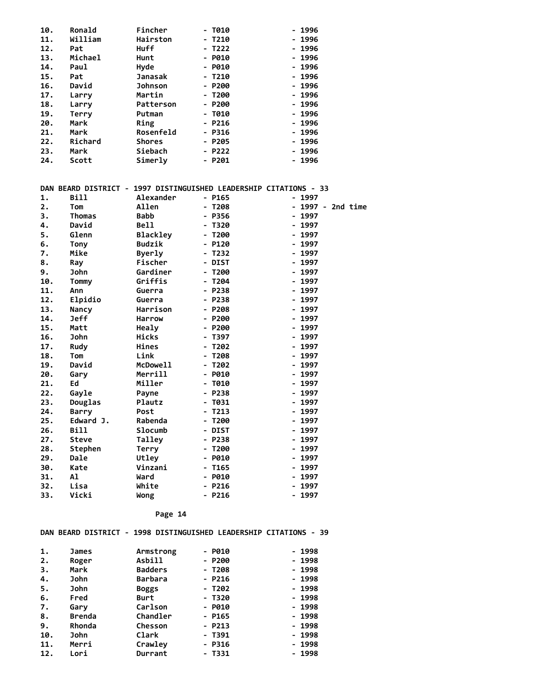| 10. | Ronald       | Fincher         | - T010                                                            | - 1996            |
|-----|--------------|-----------------|-------------------------------------------------------------------|-------------------|
| 11. | William      | Hairston        | - T210                                                            | - 1996            |
| 12. | Pat          | <b>Huff</b>     | - T222                                                            | - 1996            |
| 13. | Michael      | Hunt            | - P010                                                            | - 1996            |
| 14. | Paul         | Hyde            | - P010                                                            | - 1996            |
| 15. | Pat          | <b>Janasak</b>  | $- T210$                                                          | $-1996$           |
| 16. | David        | <b>Johnson</b>  | - P200                                                            | - 1996            |
| 17. | Larry        | Martin          | - T200                                                            | - 1996            |
| 18. | Larry        | Patterson       | - P200                                                            | - 1996            |
| 19. | Terry        | Putman          | $-1010$                                                           | - 1996            |
| 20. | Mark         | Ring            | $- P216$                                                          | - 1996            |
| 21. | Mark         | Rosenfeld       | - P316                                                            | - 1996            |
| 22. | Richard      | <b>Shores</b>   | $- P205$                                                          | - 1996            |
| 23. | Mark         | Siebach         | - P222                                                            | - 1996            |
| 24. | Scott        | Simerly         | $- P201$                                                          | - 1996            |
|     |              |                 |                                                                   |                   |
|     |              |                 |                                                                   |                   |
|     |              |                 | DAN BEARD DISTRICT - 1997 DISTINGUISHED LEADERSHIP CITATIONS - 33 |                   |
| 1.  | Bill         | Alexander       | - P165                                                            | - 1997            |
| 2.  | Tom          | Allen           | $- T208$                                                          | - 1997 - 2nd time |
| 3.  | Thomas       | Babb            | - P356                                                            | - 1997            |
| 4.  | David        | <b>Bell</b>     | - T320                                                            | - 1997            |
| 5.  | Glenn        | <b>Blackley</b> | - T200                                                            | $-1997$           |
| 6.  | Tony         | Budzik          | - P120                                                            | - 1997            |
| 7.  | Mike         | Byerly          | - T232                                                            | - 1997            |
| 8.  | Ray          | Fischer         | - DIST                                                            | - 1997            |
| 9.  | John         | Gardiner        | $- T200$                                                          | - 1997            |
| 10. | Tommy        | Griffis         | $- T204$                                                          | - 1997            |
| 11. | Ann          | Guerra          | - P238                                                            | - 1997            |
| 12. | Elpidio      | Guerra          | $- P238$                                                          | - 1997            |
| 13. | Nancy        | Harrison        | - P208                                                            | - 1997            |
| 14. | <b>Jeff</b>  | <b>Harrow</b>   | $- P200$                                                          | - 1997            |
| 15. | Matt         | Healy           | - P200                                                            | - 1997            |
| 16. | John         | Hicks           | - T397                                                            | - 1997            |
| 17. | Rudy         | Hines           | - T202                                                            | - 1997            |
| 18. | Tom          | Link            | - T208                                                            | - 1997            |
| 19. | David        | McDowell        | - T202                                                            | - 1997            |
| 20. | Gary         | Merrill         | $-$ P010                                                          | - 1997            |
| 21. | Ed           | Miller          | $- T010$                                                          | - 1997            |
| 22. | Gayle        | Payne           | $- P238$                                                          | - 1997            |
| 23. | Douglas      | Plautz          | - T031                                                            | - 1997            |
| 24. | <b>Barry</b> | Post            | - T213                                                            | - 1997            |
| 25. | Edward J.    | Rabenda         | - T200                                                            | - 1997            |
| 26. | Bill         | Slocumb         | - DIST                                                            | - 1997            |
| 27. | Steve        | Tallev          | - P238                                                            | 1997              |
| 28. | Stephen      | <b>Terry</b>    | $- T200$                                                          | - 1997            |
| 29. | Dale         | Utley           | - P010                                                            | - 1997            |

| 30. | Kate  | Vinzani | - T165   | - 1997 |
|-----|-------|---------|----------|--------|
| 31. | Al    | Ward    | $-$ P010 | - 1997 |
| 32. | Lisa  | White   | - P216   | - 1997 |
| 33. | Vicki | Wong    | - P216   | - 1997 |
|     |       |         |          |        |

#### **DAN BEARD DISTRICT - 1998 DISTINGUISHED LEADERSHIP CITATIONS - 39**

| 1.  | James  | Armstrong      | - P010   | $-1998$ |
|-----|--------|----------------|----------|---------|
| 2.  | Roger  | Asbill         | - P200   | $-1998$ |
| з.  | Mark   | <b>Badders</b> | $- T208$ | - 1998  |
| 4.  | John   | <b>Barbara</b> | $- P216$ | - 1998  |
| 5.  | John   | <b>Boggs</b>   | $-1202$  | $-1998$ |
| 6.  | Fred   | Burt           | - T320   | - 1998  |
| 7.  | Gary   | Carlson        | - P010   | - 1998  |
| 8.  | Brenda | Chandler       | - P165   | - 1998  |
| 9.  | Rhonda | Chesson        | $-$ P213 | - 1998  |
| 10. | John   | Clark          | - T391   | - 1998  |
| 11. | Merri  | Crawley        | $-$ P316 | - 1998  |
| 12. | Lori   | Durrant        | - T331   | - 1998  |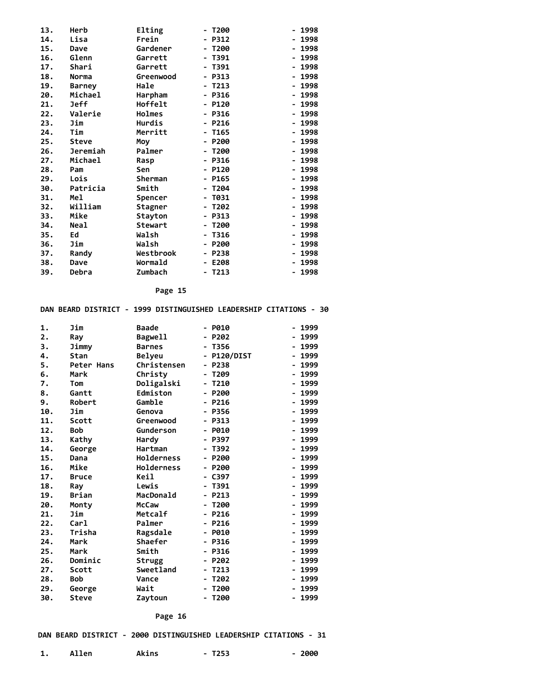| 13. | Herb          | Elting         | T200<br>-                            | 1998<br>-                            |
|-----|---------------|----------------|--------------------------------------|--------------------------------------|
| 14. | Lisa          | Frein          | P312<br>-                            | 1998                                 |
| 15. | Dave          | Gardener       | T200<br>$\qquad \qquad \blacksquare$ | 1998<br>-                            |
| 16. | Glenn         | Garrett        | - T391                               | 1998<br>$\blacksquare$               |
| 17. | Shari         | Garrett        | T391<br>$\qquad \qquad \blacksquare$ | 1998                                 |
| 18. | Norma         | Greenwood      | P313<br>-                            | 1998<br>-                            |
| 19. | <b>Barney</b> | Hale           | - T213                               | - 1998                               |
| 20. | Michael       | Harpham        | - P316                               | 1998<br>-                            |
| 21. | <b>Jeff</b>   | Hoffelt        | $- P120$                             | 1998                                 |
| 22. | Valerie       | Holmes         | $-$ P316                             | 1998<br>-                            |
| 23. | Jim           | Hurdis         | $- P216$                             | 1998<br>۰.                           |
| 24. | Tim           | Merritt        | - T165                               | 1998<br>$\blacksquare$               |
| 25. | Steve         | Moy            | $- P200$                             | 1998<br>-                            |
| 26. | Jeremiah      | Palmer         | T200<br>$\blacksquare$               | 1998                                 |
| 27. | Michael       | Rasp           | $- P316$                             | 1998<br>$\qquad \qquad \blacksquare$ |
| 28. | Pam           | Sen            | $- P120$                             | 1998<br>-                            |
| 29. | Lois          | Sherman        | $-$ P165                             | - 1998                               |
| 30. | Patricia      | Smith          | T204<br>$\qquad \qquad \blacksquare$ | 1998<br>-                            |
| 31. | Mel           | Spencer        | T031<br>$\blacksquare$               | 1998                                 |
| 32. | William       | Stagner        | - T202                               | 1998<br>$\blacksquare$               |
| 33. | Mike          | Stayton        | P313<br>$\qquad \qquad \blacksquare$ | 1998                                 |
| 34. | <b>Neal</b>   | <b>Stewart</b> | T200<br>-                            | 1998                                 |
| 35. | Ed            | Walsh          | T316<br>$\overline{\phantom{0}}$     | 1998<br>$\blacksquare$               |
| 36. | Jim           | Walsh          | $- P200$                             | 1998<br>$\overline{\phantom{a}}$     |
| 37. | Randy         | Westbrook      | - P238                               | - 1998                               |
| 38. | Dave          | Wormald        | E208<br>-                            | 1998                                 |
| 39. | Debra         | Zumbach        | T213<br>-                            | 1998                                 |

#### **DAN BEARD DISTRICT - 1999 DISTINGUISHED LEADERSHIP CITATIONS - 30**

| 1.  | Jim          | <b>Baade</b>      | P010                             | 1999<br>- |
|-----|--------------|-------------------|----------------------------------|-----------|
| 2.  | Ray          | Bagwell           | P202                             | 1999      |
| 3.  | Jimmy        | <b>Barnes</b>     | T356<br>-                        | 1999      |
| 4.  | Stan         | <b>Belyeu</b>     | P120/DIST<br>-                   | 1999      |
| 5.  | Peter Hans   | Christensen       | P238<br>-                        | 1999      |
| 6.  | Mark         | Christy           | T209<br>$\overline{\phantom{a}}$ | 1999      |
| 7.  | Tom          | Doligalski        | - T210                           | 1999      |
| 8.  | Gantt        | Edmiston          | P200<br>$\overline{\phantom{0}}$ | 1999      |
| 9.  | Robert       | Gamble            | P216                             | 1999      |
| 10. | Jim          | Genova            | P356<br>۰.                       | 1999      |
| 11. | Scott        | Greenwood         | P313<br>-                        | 1999      |
| 12. | <b>Bob</b>   | Gunderson         | P010<br>-                        | 1999      |
| 13. | Kathy        | Hardy             | P397                             | 1999      |
| 14. | George       | Hartman           | T392                             | 1999      |
| 15. | Dana         | Holderness        | P200                             | 1999      |
| 16. | Mike         | <b>Holderness</b> | P200<br>-                        | 1999      |
| 17. | <b>Bruce</b> | Keil              | C397                             | 1999      |
| 18. | Ray          | Lewis             | T391                             | 1999      |
| 19. | Brian        | MacDonald         | P213                             | 1999      |
| 20. | Monty        | <b>McCaw</b>      | T200<br>-                        | 1999      |
| 21. | Jim          | Metcalf           | P216                             | 1999      |
| 22. | Carl         | Palmer            | P216<br>$\blacksquare$           | 1999      |
| 23. | Trisha       | Ragsdale          | P010                             | 1999      |
| 24. | Mark         | Shaefer           | P316<br>-                        | 1999      |
| 25. | Mark         | Smith             | P316                             | 1999      |
| 26. | Dominic      | Strugg            | P202<br>-                        | 1999<br>- |
| 27. | Scott        | Sweetland         | T <sub>213</sub>                 | 1999      |
| 28. | <b>Bob</b>   | Vance             | T202<br>-                        | 1999      |
| 29. | George       | Wait              | T200                             | 1999      |
| 30. | <b>Steve</b> | Zaytoun           | T200                             | 1999      |

 **Page 16**

#### **DAN BEARD DISTRICT - 2000 DISTINGUISHED LEADERSHIP CITATIONS - 31**

1. Allen **Akins** - T253 - 2000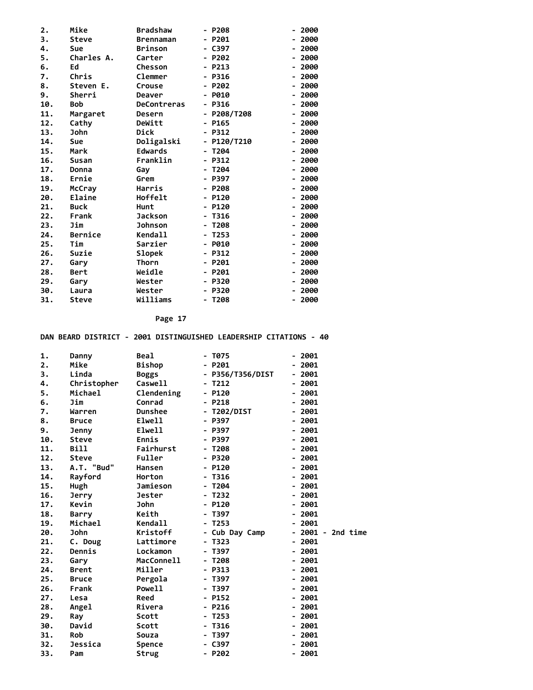| 2.  | Mike           | <b>Bradshaw</b>    | P208                                         | 2000 |
|-----|----------------|--------------------|----------------------------------------------|------|
| 3.  | <b>Steve</b>   | <b>Brennaman</b>   | P201<br>-                                    | 2000 |
| 4.  | Sue            | <b>Brinson</b>     | C397                                         | 2000 |
| 5.  | Charles A.     | Carter             | P202<br>$\overline{\phantom{0}}$             | 2000 |
| 6.  | Ed             | Chesson            | P213                                         | 2000 |
| 7.  | Chris          | Clemmer            | P316<br>$\blacksquare$                       | 2000 |
| 8.  | Steven E.      | Crouse             | P202                                         | 2000 |
| 9.  | Sherri         | Deaver             | P010<br>-                                    | 2000 |
| 10. | <b>Bob</b>     | <b>DeContreras</b> | P316                                         | 2000 |
| 11. | Margaret       | Desern             | P208/T208<br>-                               | 2000 |
| 12. | Cathy          | DeWitt             | P165<br>-                                    | 2000 |
| 13. | John           | Dick               | P312<br>-                                    | 2000 |
| 14. | Sue            | Doligalski         | P120/T210<br>$\qquad \qquad \blacksquare$    | 2000 |
| 15. | Mark           | <b>Edwards</b>     | T204<br>$\overline{\phantom{0}}$             | 2000 |
| 16. | Susan          | Franklin           | P312<br>$\qquad \qquad \blacksquare$         | 2000 |
| 17. | Donna          | Gay                | T204<br>-                                    | 2000 |
| 18. | Ernie          | Grem               | P397                                         | 2000 |
| 19. | McCray         | Harris             | P208                                         | 2000 |
| 20. | Elaine         | Hoffelt            | P120<br>-                                    | 2000 |
| 21. | <b>Buck</b>    | Hunt               | P120<br>$\overline{\phantom{0}}$             | 2000 |
| 22. | Frank          | <b>Jackson</b>     | T316<br>$\blacksquare$                       | 2000 |
| 23. | Jim            | <b>Johnson</b>     | T208                                         | 2000 |
| 24. | <b>Bernice</b> | <b>Kendall</b>     | T <sub>253</sub><br>$\overline{\phantom{0}}$ | 2000 |
| 25. | Tim            | Sarzier            | P010<br>-                                    | 2000 |
| 26. | Suzie          | Slopek             | P312<br>-                                    | 2000 |
| 27. | Gary           | Thorn              | P201                                         | 2000 |
| 28. | Bert           | Weidle             | P201<br>$\overline{\phantom{0}}$             | 2000 |
| 29. | Gary           | Wester             | P320<br>-                                    | 2000 |
| 30. | Laura          | Wester             | P320                                         | 2000 |
| 31. | <b>Steve</b>   | Williams           | T208                                         | 2000 |
|     |                |                    |                                              |      |

 **DAN BEARD DISTRICT - 2001 DISTINGUISHED LEADERSHIP CITATIONS - 40**

| 1.  | Danny        | <b>Beal</b>    | - T075           | - 2001                 |
|-----|--------------|----------------|------------------|------------------------|
| 2.  | Mike         | <b>Bishop</b>  | - P201           | $-2001$                |
| 3.  | Linda        | <b>Boggs</b>   | - P356/T356/DIST | - 2001                 |
| 4.  | Christopher  | Caswell        | T212             | $-2001$                |
| 5.  | Michael      | Clendening     | $- P120$         | $-2001$                |
| 6.  | Jim          | Conrad         | - P218           | 2001<br>$\blacksquare$ |
| 7.  | Warren       | <b>Dunshee</b> | - T202/DIST      | $-2001$                |
| 8.  | <b>Bruce</b> | Elwell         | <b>P397</b>      | 2001                   |
| 9.  | Jenny        | Elwell         | - P397           | $-2001$                |
| 10. | Steve        | Ennis          | - P397           | $-2001$                |
| 11. | Bill         | Fairhurst      | - T208           | $-2001$                |
| 12. | Steve        | Fuller         | $- P320$         | $-2001$                |
| 13. | A.T. "Bud"   | <b>Hansen</b>  | - P120           | $-2001$                |
| 14. | Rayford      | Horton         | - T316           | $-2001$                |
| 15. | Hugh         | Jamieson       | - T204           | $-2001$                |
| 16. | <b>Jerry</b> | Jester         | - T232           | $-2001$                |
| 17. | Kevin        | <b>John</b>    | - P120           | $-2001$                |
| 18. | <b>Barry</b> | Keith          | - T397           | $-2001$                |
| 19. | Michael      | Kendall        | - T253           | $-2001$                |
| 20. | <b>John</b>  | Kristoff       | - Cub Day Camp   | - 2001 - 2nd time      |
| 21. | C. Doug      | Lattimore      | - T323           | $-2001$                |
| 22. | Dennis       | Lockamon       | - T397           | $-2001$                |
| 23. | Gary         | MacConnell     | - T208           | $-2001$                |
| 24. | <b>Brent</b> | Miller         | - P313           | $-2001$                |
| 25. | <b>Bruce</b> | Pergola        | - T397           | $-2001$                |
| 26. | Frank        | Powell         | - T397           | $-2001$                |
| 27. | Lesa         | Reed           | - P152           | $-2001$                |
| 28. | Angel        | Rivera         | $- P216$         | $-2001$                |
| 29. | Ray          | Scott          | - T253           | $-2001$                |
| 30. | David        | Scott          | - T316           | $-2001$                |
| 31. | <b>Rob</b>   | Souza          | - T397           | $-2001$                |
| 32. | Jessica      | <b>Spence</b>  | - C397           | $-2001$                |
| 33. | Pam          | Strug          | - P202           | $-2001$                |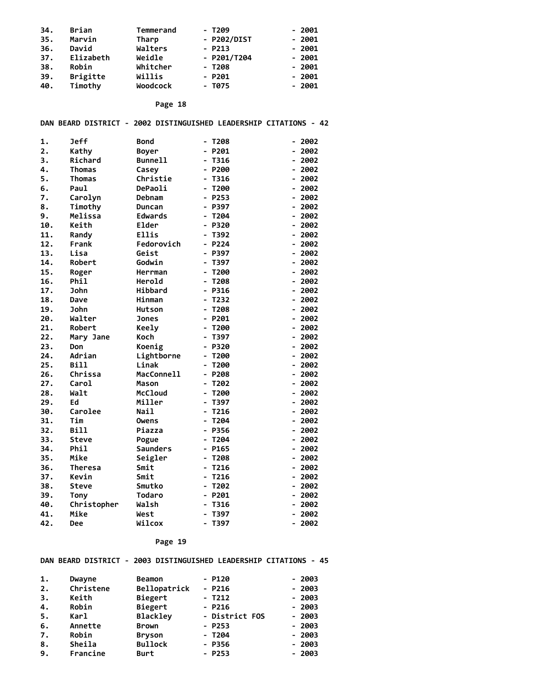| 34. | Brian           | Temmerand | - T209        | - 2001  |
|-----|-----------------|-----------|---------------|---------|
| 35. | Marvin          | Tharp     | - P202/DIST   | $-2001$ |
| 36. | David           | Walters   | $- P213$      | $-2001$ |
| 37. | Elizabeth       | Weidle    | $-$ P201/T204 | $-2001$ |
| 38. | Robin           | Whitcher  | $-1208$       | $-2001$ |
| 39. | <b>Brigitte</b> | Willis    | $- P201$      | $-2001$ |
| 40. | Timothy         | Woodcock  | - T075        | $-2001$ |

 **DAN BEARD DISTRICT - 2002 DISTINGUISHED LEADERSHIP CITATIONS - 42**

| 1.  | Jeff           | <b>Bond</b>       | - T208                               | 2002<br>н.                           |
|-----|----------------|-------------------|--------------------------------------|--------------------------------------|
| 2.  | Kathy          | Boyer             | P201                                 | 2002                                 |
| 3.  | Richard        | <b>Bunnell</b>    | T316                                 | 2002<br>-                            |
| 4.  | Thomas         | Casey             | P200                                 | 2002<br>-                            |
| 5.  | Thomas         | Christie          | T316                                 | 2002                                 |
| 6.  | Paul           | DePaoli           | T200                                 | 2002                                 |
| 7.  | Carolyn        | Debnam            | P253                                 | 2002<br>-                            |
| 8.  | Timothy        | Duncan            | P397                                 | 2002<br>-                            |
| 9.  | Melissa        | <b>Edwards</b>    | T204                                 | 2002                                 |
| 10. | Keith          | Elder             | P320                                 | 2002                                 |
| 11. | Randy          | <b>Ellis</b>      | T392                                 | 2002                                 |
| 12. | Frank          | Fedorovich        | P224                                 | 2002<br>-                            |
| 13. | Lisa           | Geist             | P397                                 | 2002                                 |
| 14. | Robert         | Godwin            | T397                                 | 2002                                 |
| 15. | Roger          | Herrman           | T200                                 | 2002                                 |
| 16. | Phil           | Herold            | T208<br>$\qquad \qquad \blacksquare$ | 2002<br>-                            |
| 17. | <b>John</b>    | Hibbard           | P316<br>$\blacksquare$               | 2002<br>-                            |
| 18. | Dave           | Hinman            | T232                                 | 2002<br>-                            |
| 19. | John           | <b>Hutson</b>     | T208                                 | 2002                                 |
| 20. | Walter         | <b>Jones</b>      | P201                                 | 2002                                 |
| 21. | Robert         | <b>Keely</b>      | T200                                 | 2002<br>-                            |
| 22. | Mary Jane      | Koch              | T397<br>$\blacksquare$               | 2002<br>$\blacksquare$               |
| 23. | Don            | Koenig            | P320                                 | 2002                                 |
| 24. | Adrian         | Lightborne        | T200                                 | 2002                                 |
| 25. | <b>Bill</b>    | Linak             | T200<br>$\qquad \qquad \blacksquare$ | 2002<br>$\overline{\phantom{0}}$     |
| 26. | Chrissa        | <b>MacConnell</b> | P208                                 | 2002<br>-                            |
| 27. | Carol          | Mason             | T202                                 | 2002<br>-                            |
| 28. | Walt           | <b>McCloud</b>    | T200                                 | 2002                                 |
| 29. | Ed             | Miller            | T397                                 | 2002                                 |
| 30. | Carolee        | <b>Nail</b>       | T216                                 | 2002                                 |
| 31. | Tim            | <b>Owens</b>      | T204                                 | 2002<br>-                            |
| 32. | <b>Bill</b>    | Piazza            | P356                                 | 2002                                 |
| 33. | Steve          | Pogue             | T204                                 | 2002                                 |
| 34. | Phil           | <b>Saunders</b>   | P165                                 | 2002                                 |
| 35. | Mike           | Seigler           | T208                                 | 2002<br>$\qquad \qquad \blacksquare$ |
| 36. | <b>Theresa</b> | Smit              | T216                                 | 2002<br>-                            |
| 37. | Kevin          | Smit              | T216                                 | 2002                                 |
| 38. | <b>Steve</b>   | Smutko            | T202                                 | 2002                                 |
| 39. | <b>Tony</b>    | <b>Todaro</b>     | P201                                 | 2002                                 |
| 40. | Christopher    | Walsh             | T316                                 | 2002<br>$\overline{a}$               |
| 41. | Mike           | West              | T397                                 | 2002                                 |
| 42. | Dee            | Wilcox            | T397                                 | 2002                                 |

#### **Page 19**

#### **DAN BEARD DISTRICT - 2003 DISTINGUISHED LEADERSHIP CITATIONS - 45**

| 1. | Dwayne    | Beamon          | $- P120$       | $-2003$ |
|----|-----------|-----------------|----------------|---------|
| 2. | Christene | Bellopatrick    | $- P216$       | $-2003$ |
| 3. | Keith     | Biegert         | $-1212$        | $-2003$ |
| 4. | Robin     | Biegert         | $- P216$       | $-2003$ |
| 5. | Karl      | <b>Blackley</b> | - District FOS | $-2003$ |
| 6. | Annette   | <b>Brown</b>    | $- P253$       | $-2003$ |
| 7. | Robin     | <b>Bryson</b>   | - T204         | $-2003$ |
| 8. | Sheila    | <b>Bullock</b>  | - P356         | $-2003$ |
| 9. | Francine  | <b>Burt</b>     | $- P253$       | $-2003$ |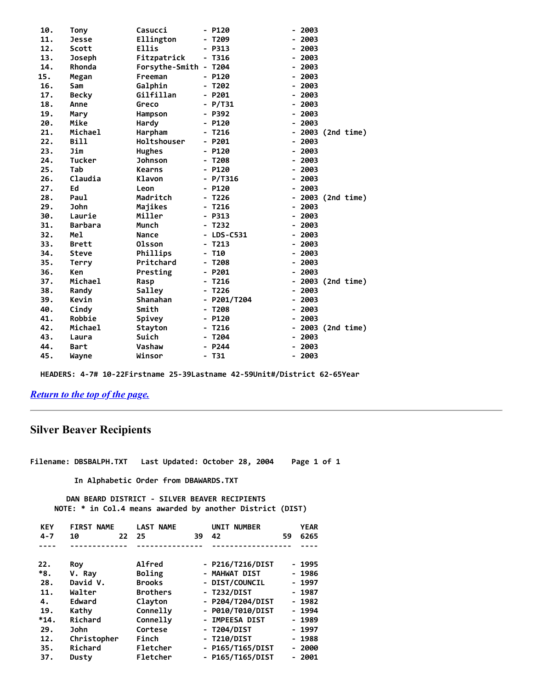| 10. | Tony           | Casucci               |                          | P120         |   | 2003 |                 |
|-----|----------------|-----------------------|--------------------------|--------------|---|------|-----------------|
| 11. | <b>Jesse</b>   | Ellington             |                          | T209         |   | 2003 |                 |
| 12. | Scott          | <b>Ellis</b>          |                          | P313         |   | 2003 |                 |
| 13. | Joseph         | Fitzpatrick           | ۰.                       | T316         |   | 2003 |                 |
| 14. | Rhonda         | Forsythe-Smith - T204 |                          |              |   | 2003 |                 |
| 15. | Megan          | Freeman               |                          | - P120       |   | 2003 |                 |
| 16. | Sam            | Galphin               |                          | T202         |   | 2003 |                 |
| 17. | <b>Becky</b>   | Gilfillan             |                          | $- P201$     |   | 2003 |                 |
| 18. | Anne           | Greco                 |                          | <b>P/T31</b> |   | 2003 |                 |
| 19. | Mary           | Hampson               |                          | P392         |   | 2003 |                 |
| 20. | Mike           | Hardy                 |                          | P120         |   | 2003 |                 |
| 21. | Michael        | Harpham               |                          | T216         |   |      | 2003 (2nd time) |
| 22. | <b>Bill</b>    | Holtshouser           |                          | P201         |   | 2003 |                 |
| 23. | Jim            | <b>Hughes</b>         |                          | P120         |   | 2003 |                 |
| 24. | <b>Tucker</b>  | <b>Johnson</b>        |                          | T208         | ۰ | 2003 |                 |
| 25. | Tab            | <b>Kearns</b>         | -                        | P120         |   | 2003 |                 |
| 26. | Claudia        | Klavon                | -                        | P/T316       |   | 2003 |                 |
| 27. | Ed             | Leon                  | $\overline{\phantom{0}}$ | P120         | - | 2003 |                 |
| 28. | Paul           | Madritch              |                          | T226         |   |      | 2003 (2nd time) |
| 29. | <b>John</b>    | Majikes               |                          | T216         | - | 2003 |                 |
| 30. | Laurie         | Miller                |                          | P313         |   | 2003 |                 |
| 31. | <b>Barbara</b> | Munch                 |                          | T232         |   | 2003 |                 |
| 32. | Mel            | <b>Nance</b>          |                          | LDS-C531     |   | 2003 |                 |
| 33. | <b>Brett</b>   | 01sson                |                          | T213         |   | 2003 |                 |
| 34. | <b>Steve</b>   | Phillips              |                          | T10          |   | 2003 |                 |
| 35. | Terry          | Pritchard             |                          | T208         |   | 2003 |                 |
| 36. | <b>Ken</b>     | Presting              |                          | P201         |   | 2003 |                 |
| 37. | Michael        | Rasp                  |                          | T216         |   |      | 2003 (2nd time) |
| 38. | Randy          | Salley                |                          | T226         | - | 2003 |                 |
| 39. | Kevin          | <b>Shanahan</b>       | -                        | P201/T204    |   | 2003 |                 |
| 40. | Cindy          | Smith                 | -                        | T208         |   | 2003 |                 |
| 41. | Robbie         | Spivey                | -                        | P120         |   | 2003 |                 |
| 42. | Michael        | <b>Stayton</b>        |                          | T216         |   |      | 2003 (2nd time) |
| 43. | Laura          | Suich                 |                          | T204         |   | 2003 |                 |
| 44. | Bart           | Vashaw                |                          | P244         |   | 2003 |                 |
| 45. | Wayne          | Winsor                |                          | T31          |   | 2003 |                 |

 **HEADERS: 4-7# 10-22Firstname 25-39Lastname 42-59Unit#/District 62-65Year**

## *[Return to the top of the page.](#page-0-1)*

## <span id="page-13-0"></span> **Silver Beaver Recipients**

**Filename: DBSBALPH.TXT Last Updated: October 28, 2004 Page 1 of 1**

 **In Alphabetic Order from DBAWARDS.TXT**

 **DAN BEARD DISTRICT - SILVER BEAVER RECIPIENTS NOTE: \* in Col.4 means awarded by another District (DIST)**

| <b>KEY</b> | <b>FIRST NAME</b> | <b>LAST NAME</b> |    | <b>NUMBER</b><br>UNIT |    | <b>YEAR</b> |
|------------|-------------------|------------------|----|-----------------------|----|-------------|
| $4 - 7$    | 10<br>22          | 25               | 39 | 42                    | 59 | 6265        |
|            |                   |                  |    |                       |    |             |
| 22.        | Roy               | <b>Alfred</b>    |    | - P216/T216/DIST      |    | - 1995      |
| $*8.$      | V. Ray            | Boling           |    | - MAHWAT DIST         |    | - 1986      |
| 28.        | David V.          | <b>Brooks</b>    |    | - DIST/COUNCIL        |    | - 1997      |
| 11.        | Walter            | <b>Brothers</b>  |    | - T232/DIST           |    | - 1987      |
| 4.         | Edward            | Clayton          |    | - P204/T204/DIST      |    | $-1982$     |
| 19.        | Kathy             | Connelly         |    | - P010/T010/DIST      |    | - 1994      |
| $*14.$     | Richard           | Connelly         |    | - IMPEESA DIST        |    | - 1989      |
| 29.        | <b>John</b>       | Cortese          |    | - T204/DIST           |    | - 1997      |
| 12.        | Christopher       | Finch            |    | - T210/DIST           |    | - 1988      |
| 35.        | Richard           | Fletcher         |    | - P165/T165/DIST      |    | - 2000      |
| 37.        | Dusty             | Fletcher         |    | - P165/T165/DIST      |    | - 2001      |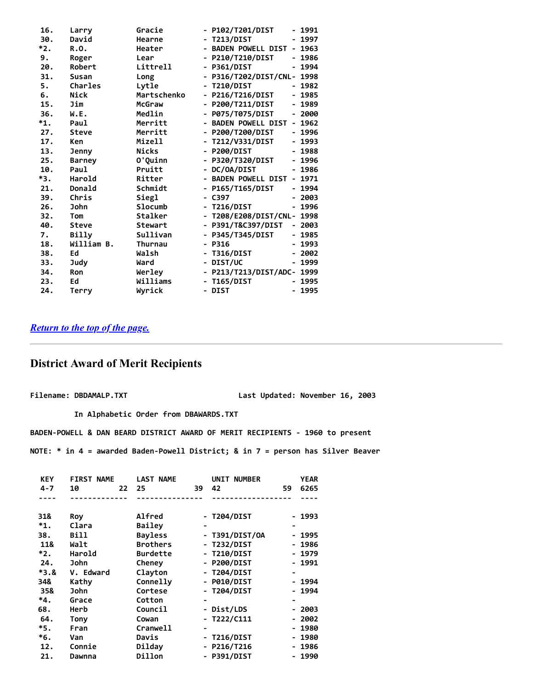| 16. | Larry          | Gracie         | - P102/T201/DIST<br>1991<br>-                                       |
|-----|----------------|----------------|---------------------------------------------------------------------|
| 30. | David          | Hearne         | T213/DIST<br>1997                                                   |
| *2. | R.O.           | Heater         | <b>BADEN POWELL DIST</b><br>1963<br>$\overline{\phantom{0}}$<br>۰.  |
| 9.  | Roger          | Lear           | - P210/T210/DIST<br>1986                                            |
| 20. | Robert         | Littrell       | - P361/DIST<br>1994<br>-                                            |
| 31. | <b>Susan</b>   | Long           | P316/T202/DIST/CNL-<br>1998                                         |
| 5.  | <b>Charles</b> | Lytle          | <b>T210/DIST</b><br>1982                                            |
| 6.  | Nick           | Martschenko    | - P216/T216/DIST<br>1985<br>$\overline{\phantom{0}}$                |
| 15. | Jim            | McGraw         | - P200/T211/DIST<br>1989<br>-                                       |
| 36. | W.E.           | Medlin         | P075/T075/DIST<br>2000<br>$\qquad \qquad \blacksquare$<br>-         |
| *1. | Paul           | Merritt        | <b>BADEN POWELL DIST</b><br>1962<br>-                               |
| 27. | Steve          | Merritt        | <b>P200/T200/DIST</b><br>1996<br>$\qquad \qquad \blacksquare$<br>۰. |
| 17. | Ken            | Mizell         | T212/V331/DIST<br>1993<br>-<br>-                                    |
| 13. | Jenny          | <b>Nicks</b>   | 1988<br><b>P200/DIST</b>                                            |
| 25. | <b>Barney</b>  | O'Quinn        | P320/T320/DIST<br>- 1996<br>$\overline{\phantom{0}}$                |
| 10. | Paul           | Pruitt         | - DC/OA/DIST<br>1986                                                |
| *3. | Harold         | Ritter         | - BADEN POWELL DIST<br>1971<br>$\overline{\phantom{0}}$             |
| 21. | Donald         | Schmidt        | 1994<br>- P165/T165/DIST                                            |
| 39. | Chris          | Siegl          | $-2003$<br>- C397                                                   |
| 26. | John           | Slocumb        | <b>T216/DIST</b><br>1996                                            |
| 32. | Tom            | Stalker        | - T208/E208/DIST/CNL- 1998                                          |
| 40. | Steve          | <b>Stewart</b> | P391/T&C397/DIST<br>2003<br>-                                       |
| 7.  | Billy          | Sullivan       | - P345/T345/DIST<br>- 1985                                          |
| 18. | William B.     | <b>Thurnau</b> | 1993<br>- P316<br>-                                                 |
| 38. | Ed             | Walsh          | - T316/DIST<br>$-2002$                                              |
| 33. | Judy           | Ward           | - DIST/UC<br>1999<br>-                                              |
| 34. | <b>Ron</b>     | Werley         | P213/T213/DIST/ADC- 1999                                            |
| 23. | Ed             | Williams       | - 1995<br>- T165/DIST                                               |
| 24. | Terry          | Wyrick         | - DIST<br>1995<br>-                                                 |

# *[Return to the top of the page.](#page-0-1)*

## <span id="page-14-0"></span> **District Award of Merit Recipients**

Filename: DBDAMALP.TXT **Last Updated: November 16, 2003** 

 **In Alphabetic Order from DBAWARDS.TXT**

**BADEN-POWELL & DAN BEARD DISTRICT AWARD OF MERIT RECIPIENTS - 1960 to present**

**NOTE: \* in 4 = awarded Baden-Powell District; & in 7 = person has Silver Beaver**

| <b>KEY</b> | <b>FIRST NAME</b> | <b>LAST NAME</b> |    | UNIT NUMBER           |    | <b>YEAR</b> |
|------------|-------------------|------------------|----|-----------------------|----|-------------|
| $4 - 7$    | 10<br>22          | 25               | 39 | 42                    | 59 | 6265        |
|            |                   |                  |    |                       |    |             |
|            |                   |                  |    |                       |    |             |
| 31&        | Roy               | Alfred           |    | - T204/DIST           |    | - 1993      |
| *1.        | Clara             | Bailey           |    |                       |    |             |
| 38.        | Bill              | <b>Bayless</b>   |    | <b>- T391/DIST/OA</b> |    | - 1995      |
| 11&        | Walt              | <b>Brothers</b>  |    | - T232/DIST           |    | - 1986      |
| *2.        | Harold            | <b>Burdette</b>  |    | - T210/DIST           |    | - 1979      |
| 24.        | John              | Cheney           |    | - P200/DIST           |    | - 1991      |
| *3.&       | V. Edward         | Clayton          |    | - T204/DIST           |    |             |
| 34&        | Kathy             | Connelly         |    | - P010/DIST           |    | - 1994      |
| 35&        | John              | Cortese          |    | - T204/DIST           |    | - 1994      |
| *4.        | Grace             | Cotton           |    |                       |    |             |
| 68.        | Herb              | Council          |    | - Dist/LDS            |    | - 2003      |
| 64.        | Tony              | Cowan            |    | - T222/C111           |    | $-2002$     |
| *5.        | Fran              | Cranwell         |    |                       |    | - 1980      |
| *6.        | Van               | Davis            |    | - T216/DIST           |    | - 1980      |
| 12.        | Connie            | Dilday           |    | $-$ P216/T216         |    | - 1986      |
| 21.        | Dawnna            | Dillon           |    | - P391/DIST           |    | - 1990      |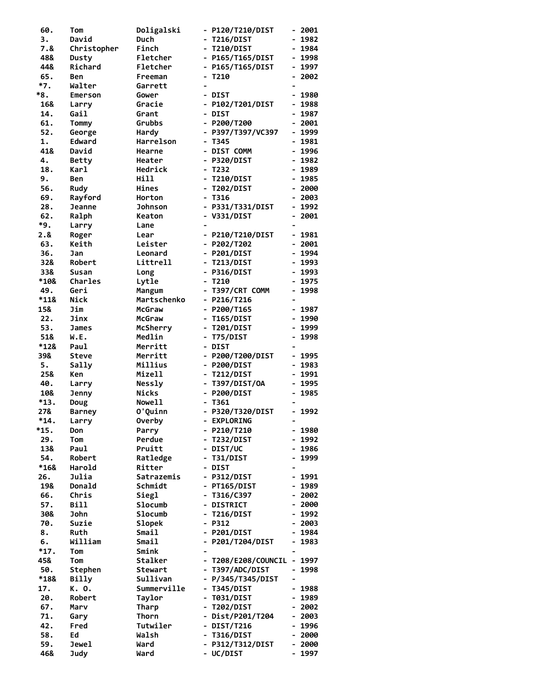| 60.         | Tom                  | Doligalski         |                              | - P120/T210/DIST           |                              | - 2001         |
|-------------|----------------------|--------------------|------------------------------|----------------------------|------------------------------|----------------|
| 3.          | David                | Duch               |                              | <b>T216/DIST</b>           |                              | 1982           |
| 7.8         | Christopher          | Finch              |                              | - T210/DIST                |                              | $-1984$        |
| 48&         | Dusty                | Fletcher           |                              | - P165/T165/DIST           |                              | 1998           |
| 44&         | Richard              | Fletcher           |                              | - P165/T165/DIST           |                              | - 1997         |
| 65.         | Ben                  | Freeman            |                              | $- T210$                   |                              | $-2002$        |
| *7.         | Walter               | Garrett            | $\blacksquare$               |                            | $\blacksquare$               |                |
| *8.         | Emerson              | Gower              |                              | - DIST                     |                              | 1980           |
| 16&<br>14.  | Larry<br>Gail        | Gracie             |                              | - P102/T201/DIST<br>- DIST |                              | 1988<br>- 1987 |
| 61.         | Tommy                | Grant<br>Grubbs    |                              | $-$ P200/T200              |                              | 2001           |
| 52.         | George               | Hardy              |                              | - P397/T397/VC397          | $\blacksquare$               | 1999           |
| 1.          | Edward               | Harrelson          |                              | $- T345$                   | $\qquad \qquad \blacksquare$ | 1981           |
| 41&         | David                | Hearne             |                              | - DIST COMM                |                              | $-1996$        |
| 4.          | <b>Betty</b>         | Heater             |                              | - P320/DIST                |                              | $-1982$        |
| 18.         | <b>Karl</b>          | Hedrick            |                              | $- T232$                   |                              | $-1989$        |
| 9.          | Ben                  | Hill               |                              | - T210/DIST                |                              | $-1985$        |
| 56.         | Rudy                 | Hines              | $\overline{\phantom{a}}$     | <b>T202/DIST</b>           |                              | 2000           |
| 69.         | Rayford              | Horton             |                              | - T316                     |                              | 2003           |
| 28.         | <b>Jeanne</b>        | <b>Johnson</b>     |                              | - P331/T331/DIST           |                              | 1992           |
| 62.         | Ralph                | Keaton             |                              | - V331/DIST                |                              | $-2001$        |
| *9.         | Larry                | Lane               |                              |                            |                              |                |
| 2.&         | Roger                | Lear               |                              | - P210/T210/DIST           |                              | $-1981$        |
| 63.         | Keith                | Leister            |                              | $-$ P202/T202              |                              | $-2001$        |
| 36.         | Jan                  | Leonard            |                              | - P201/DIST                |                              | $-1994$        |
| 32&         | Robert               | Littrell           |                              | - T213/DIST                |                              | $-1993$        |
| 33&         | Susan                | Long               |                              | - P316/DIST                |                              | 1993           |
| *10&        | <b>Charles</b>       | Lytle              | $\qquad \qquad \blacksquare$ | T210                       |                              | - 1975         |
| 49.         | Geri                 | Mangum             |                              | - T397/CRT COMM            |                              | $-1998$        |
| *11&        | Nick                 | Martschenko        |                              | $-$ P216/T216              |                              |                |
| 15&         | Jim                  | McGraw             |                              | $-$ P200/T165              |                              | - 1987         |
| 22.         | Jinx                 | McGraw             |                              | <b>T165/DIST</b>           |                              | 1990           |
| 53.         | James                | McSherry           |                              | <b>T201/DIST</b>           |                              | - 1999         |
| 51&<br>*12& | W.E.                 | Medlin             |                              | T75/DIST<br>- DIST         |                              | 1998           |
| 39&         | Paul<br><b>Steve</b> | Merritt<br>Merritt |                              | - P200/T200/DIST           | $\qquad \qquad \blacksquare$ | 1995           |
| 5.          | Sally                | Millius            |                              | - P200/DIST                |                              | 1983           |
| 25&         | Ken                  | Mizell             |                              | - T212/DIST                |                              | $-1991$        |
| 40.         | Larry                | <b>Nessly</b>      |                              | - T397/DIST/OA             |                              | $-1995$        |
| 10&         | <b>Jenny</b>         | <b>Nicks</b>       |                              | - P200/DIST                |                              | $-1985$        |
| *13.        | Doug                 | Nowe11             |                              | T361                       |                              |                |
| 27&         | <b>Barney</b>        | O'Quinn            |                              | - P320/T320/DIST           |                              | $-1992$        |
| $*14.$      | Larry                | <b>Overby</b>      |                              | - EXPLORING                |                              |                |
| *15.        | Don                  | Parry              |                              | - P210/T210                |                              | $-1980$        |
| 29.         | Tom                  | Perdue             | -                            | <b>T232/DIST</b>           |                              | - 1992         |
| 13&         | Paul                 | Pruitt             |                              | - DIST/UC                  |                              | - 1986         |
| 54.         | Robert               | Ratledge           |                              | T31/DIST                   |                              | 1999           |
| *16&        | Harold               | Ritter             |                              | - DIST                     |                              |                |
| 26.         | Julia                | Satrazemis         |                              | - P312/DIST                |                              | $-1991$        |
| 19&         | Donald               | Schmidt            |                              | - PT165/DIST               |                              | 1989           |
| 66.         | Chris                | Siegl              |                              | - T316/C397                |                              | $-2002$        |
| 57.         | <b>Bill</b>          | Slocumb            |                              | - DISTRICT                 |                              | $-2000$        |
| 30&         | <b>John</b>          | <b>Slocumb</b>     |                              | <b>T216/DIST</b>           |                              | $-1992$        |
| 70.<br>8.   | Suzie<br>Ruth        | Slopek<br>Smail    |                              | $- P312$<br>- P201/DIST    |                              | - 2003<br>1984 |
| 6.          | William              | Smail              |                              | P201/T204/DIST             |                              | 1983           |
| $*17.$      | Tom                  | Smink              |                              |                            |                              |                |
| 45&         | Tom                  | Stalker            | $\qquad \qquad \blacksquare$ | T208/E208/COUNCIL          |                              | $-1997$        |
| 50.         | Stephen              | Stewart            |                              | - T397/ADC/DIST            | -                            | 1998           |
| *18&        | Billy                | Sullivan           |                              | - P/345/T345/DIST          |                              |                |
| 17.         | K. O.                | Summerville        |                              | T345/DIST                  |                              | $-1988$        |
| 20.         | Robert               | Taylor             |                              | T031/DIST                  |                              | 1989           |
| 67.         | Marv                 | Tharp              | $\overline{\phantom{a}}$     | T202/DIST                  | -                            | 2002           |
| 71.         | Gary                 | Thorn              |                              | - Dist/P201/T204           |                              | 2003           |
| 42.         | Fred                 | Tutwiler           |                              | - DIST/T216                | $\qquad \qquad \blacksquare$ | 1996           |
| 58.         | Ed                   | Walsh              |                              | <b>T316/DIST</b>           |                              | 2000           |
| 59.         | Jewel                | Ward               |                              | P312/T312/DIST             | $\qquad \qquad \blacksquare$ | 2000           |
| 46&         | <b>Judy</b>          | Ward               |                              | - UC/DIST                  |                              | - 1997         |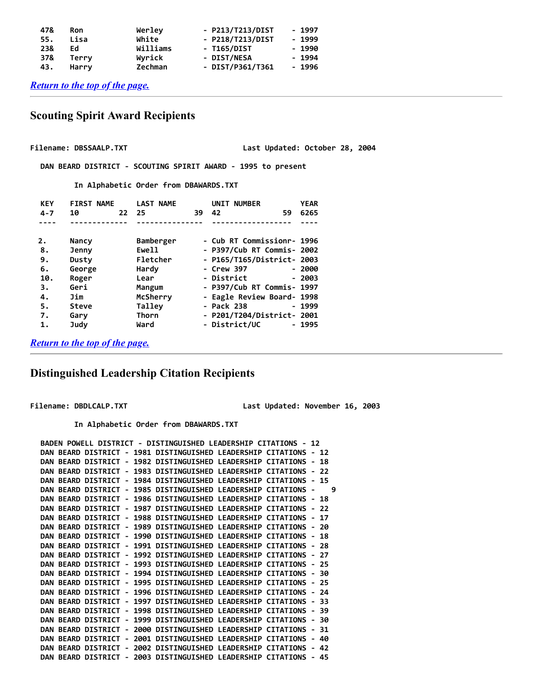| - 1997  |
|---------|
| $-1999$ |
| $-1990$ |
| - 1994  |
| $-1996$ |
|         |

*[Return to the top of the page.](#page-0-1)*

## <span id="page-16-0"></span> **Scouting Spirit Award Recipients**

Filename: DBSSAALP.TXT **Last Updated: October 28, 2004** 

 **DAN BEARD DISTRICT - SCOUTING SPIRIT AWARD - 1995 to present**

 **In Alphabetic Order from DBAWARDS.TXT**

| <b>KEY</b> | <b>FIRST NAME</b> | <b>LAST NAME</b> |    | <b>NUMBER</b><br>UNIT      | <b>YEAR</b> |
|------------|-------------------|------------------|----|----------------------------|-------------|
| $4 - 7$    | 10<br>22          | 25               | 39 | 42<br>59                   | 6265        |
|            |                   |                  |    |                            |             |
| 2.         | Nancy             | Bamberger        |    | - Cub RT Commissionr- 1996 |             |
| 8.         | Jenny             | Ewell            |    | - P397/Cub RT Commis- 2002 |             |
| 9.         | Dusty             | Fletcher         |    | - P165/T165/District- 2003 |             |
| 6.         | George            | Hardy            |    | - Crew 397                 | - 2000      |
| 10.        | Roger             | Lear             |    | - District                 | $-2003$     |
| 3.         | Geri              | Mangum           |    | - P397/Cub RT Commis- 1997 |             |
| 4.         | Jim               | McSherry         |    | - Eagle Review Board- 1998 |             |
| 5.         | <b>Steve</b>      | Talley           |    | - Pack 238                 | - 1999      |
| 7.         | Garv              | Thorn            |    | - P201/T204/District- 2001 |             |
| 1.         | Judy              | Ward             |    | - District/UC              | - 1995      |

*[Return to the top of the page.](#page-0-1)*

## <span id="page-16-1"></span> **Distinguished Leadership Citation Recipients**

**Filename: DBDLCALP.TXT Last Updated: November 16, 2003**

 **In Alphabetic Order from DBAWARDS.TXT**

```
 BADEN POWELL DISTRICT - DISTINGUISHED LEADERSHIP CITATIONS - 12
DAN BEARD DISTRICT - 1981 DISTINGUISHED LEADERSHIP CITATIONS - 12
DAN BEARD DISTRICT - 1982 DISTINGUISHED LEADERSHIP CITATIONS - 18
DAN BEARD DISTRICT - 1983 DISTINGUISHED LEADERSHIP CITATIONS - 22
DAN BEARD DISTRICT - 1984 DISTINGUISHED LEADERSHIP CITATIONS - 15
DAN BEARD DISTRICT - 1985 DISTINGUISHED LEADERSHIP CITATIONS - 9
DAN BEARD DISTRICT - 1986 DISTINGUISHED LEADERSHIP CITATIONS - 18
DAN BEARD DISTRICT - 1987 DISTINGUISHED LEADERSHIP CITATIONS - 22
DAN BEARD DISTRICT - 1988 DISTINGUISHED LEADERSHIP CITATIONS - 17
DAN BEARD DISTRICT - 1989 DISTINGUISHED LEADERSHIP CITATIONS - 20
DAN BEARD DISTRICT - 1990 DISTINGUISHED LEADERSHIP CITATIONS - 18
DAN BEARD DISTRICT - 1991 DISTINGUISHED LEADERSHIP CITATIONS - 28
DAN BEARD DISTRICT - 1992 DISTINGUISHED LEADERSHIP CITATIONS - 27
DAN BEARD DISTRICT - 1993 DISTINGUISHED LEADERSHIP CITATIONS - 25
DAN BEARD DISTRICT - 1994 DISTINGUISHED LEADERSHIP CITATIONS - 30
DAN BEARD DISTRICT - 1995 DISTINGUISHED LEADERSHIP CITATIONS - 25
DAN BEARD DISTRICT - 1996 DISTINGUISHED LEADERSHIP CITATIONS - 24
DAN BEARD DISTRICT - 1997 DISTINGUISHED LEADERSHIP CITATIONS - 33
DAN BEARD DISTRICT - 1998 DISTINGUISHED LEADERSHIP CITATIONS - 39
DAN BEARD DISTRICT - 1999 DISTINGUISHED LEADERSHIP CITATIONS - 30
DAN BEARD DISTRICT - 2000 DISTINGUISHED LEADERSHIP CITATIONS - 31
DAN BEARD DISTRICT - 2001 DISTINGUISHED LEADERSHIP CITATIONS - 40
DAN BEARD DISTRICT - 2002 DISTINGUISHED LEADERSHIP CITATIONS - 42
DAN BEARD DISTRICT - 2003 DISTINGUISHED LEADERSHIP CITATIONS - 45
```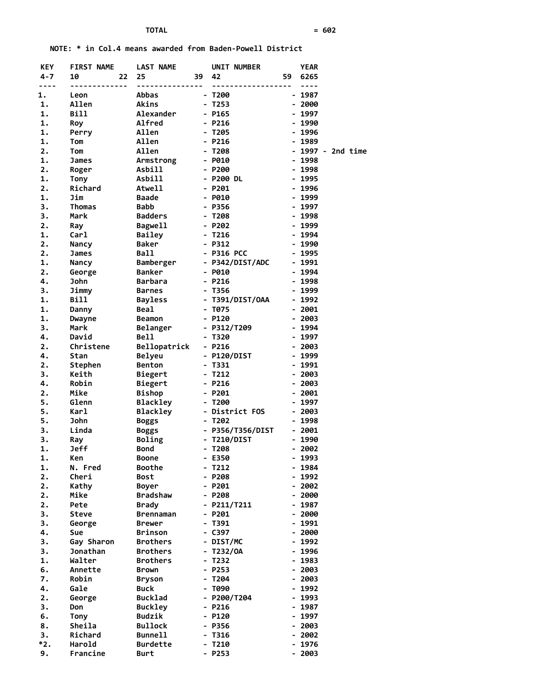**NOTE: \* in Col.4 means awarded from Baden-Powell District**

| <b>KEY</b> | <b>FIRST NAME</b> | <b>LAST NAME</b> |    | UNIT NUMBER         |                          | <b>YEAR</b> |                   |
|------------|-------------------|------------------|----|---------------------|--------------------------|-------------|-------------------|
| 4-7        | 10<br>22          | 25               | 39 | 42                  |                          | 59 6265     |                   |
| $- - - -$  | --------          | ---------------  |    | ------------------- |                          | $- - - -$   |                   |
| 1.         | Leon              | Abbas            |    | - T200              |                          | $-1987$     |                   |
| 1.         | Allen             | Akins            |    | - T253              |                          | $-2000$     |                   |
| 1.         | <b>Bill</b>       | Alexander        |    | - P165              |                          | $-1997$     |                   |
| 1.         | Roy               | Alfred           |    | - P216              |                          | $-1990$     |                   |
| 1.         | Perry             | Allen            |    | - T205              |                          | $-1996$     |                   |
| 1.         | Tom               | Allen            |    | $- P216$            |                          | $-1989$     |                   |
| 2.         | Tom               | Allen            |    | - T208              |                          |             | - 1997 - 2nd time |
| 1.         | James             | Armstrong        |    | $-$ P010            |                          | $-1998$     |                   |
| 2.         | Roger             | Asbill           |    | $- P200$            |                          | $-1998$     |                   |
| 1.         | Tony              | <b>Asbill</b>    |    | - P200 DL           |                          | $-1995$     |                   |
| 2.         | Richard           | Atwell           |    | $- P201$            |                          | $-1996$     |                   |
| 1.         | Jim               | Baade            |    | $-$ P010            |                          | $-1999$     |                   |
|            |                   |                  |    |                     |                          |             |                   |
| 3.         | Thomas            | <b>Babb</b>      |    | - P356              |                          | $-1997$     |                   |
| 3.         | Mark              | <b>Badders</b>   |    | - T208              |                          | $-1998$     |                   |
| 2.         | Ray               | Bagwell          |    | - P202              |                          | - 1999      |                   |
| 1.         | Carl              | Bailey           |    | - T216              |                          | $-1994$     |                   |
| 2.         | <b>Nancy</b>      | Baker            |    | $- P312$            |                          | $-1990$     |                   |
| 2.         | James             | Ball             |    | - P316 PCC          |                          | $-1995$     |                   |
| 1.         | <b>Nancy</b>      | Bamberger        |    | - P342/DIST/ADC     |                          | $-1991$     |                   |
| 2.         | George            | <b>Banker</b>    |    | - P010              |                          | $-1994$     |                   |
| 4.         | John              | <b>Barbara</b>   |    | $- P216$            |                          | $-1998$     |                   |
| 3.         | Jimmy             | Barnes           |    | - T356              |                          | $-1999$     |                   |
| 1.         | Bill              | Bayless          |    | - T391/DIST/OAA     |                          | $-1992$     |                   |
| 1.         | Danny             | <b>Beal</b>      |    | - T075              |                          | $-2001$     |                   |
| 1.         | Dwayne            | Beamon           |    | $- P120$            |                          | $-2003$     |                   |
| 3.         | Mark              | Belanger         |    | - P312/T209         |                          | $-1994$     |                   |
| 4.         | David             | Bell             |    | - T320              |                          | $-1997$     |                   |
| 2.         | Christene         | Bellopatrick     |    | $- P216$            |                          | $-2003$     |                   |
| 4.         | Stan              | <b>Belyeu</b>    |    | - P120/DIST         |                          | $-1999$     |                   |
| 2.         | Stephen           | Benton           |    | - T331              |                          | $-1991$     |                   |
| 3.         | Keith             | Biegert          |    | - T212              |                          | $-2003$     |                   |
| 4.         | Robin             | Biegert          |    | - P216              |                          | $-2003$     |                   |
| 2.         | Mike              |                  |    | - P201              |                          | $-2001$     |                   |
| 5.         | Glenn             | Bishop           |    | $- T200$            |                          | $-1997$     |                   |
|            |                   | Blackley         |    |                     |                          |             |                   |
| 5.         | Karl              | Blackley         |    | - District FOS      |                          | $-2003$     |                   |
| 5.         | John              | Boggs            |    | $- T202$            |                          | $-1998$     |                   |
| 3.         | Linda             | Boggs            |    | - P356/T356/DIST    |                          | $-2001$     |                   |
| 3.         | Ray               | Boling           |    | - T210/DIST         |                          | $-1990$     |                   |
| 1.         | <b>Jeff</b>       | <b>Bond</b>      |    | $- T208$            |                          | $-2002$     |                   |
| 1.         | Ken               | <b>Boone</b>     |    | - E350              |                          | - 1993      |                   |
| 1.         | N. Fred           | Boothe           |    | $-7212$             |                          | 1984        |                   |
| 2.         | Cheri             | Bost             |    | $- P208$            | ۰.                       | 1992        |                   |
| 2.         | Kathy             | <b>Boyer</b>     |    | $- P201$            |                          | 2002        |                   |
| 2.         | Mike              | Bradshaw         |    | $- P208$            |                          | - 2000      |                   |
| 2.         | Pete              | <b>Brady</b>     |    | - P211/T211         | $\overline{\phantom{0}}$ | 1987        |                   |
| 3.         | Steve             | <b>Brennaman</b> |    | $- P201$            |                          | - 2000      |                   |
| 3.         | George            | <b>Brewer</b>    |    | $-$ T391            |                          | - 1991      |                   |
| 4.         | Sue               | Brinson          |    | - C397              |                          | $-2000$     |                   |
| 3.         | Gay Sharon        | <b>Brothers</b>  |    | - DIST/MC           |                          | 1992        |                   |
| 3.         | Jonathan          | <b>Brothers</b>  |    | $- T232/0A$         | $\overline{\phantom{0}}$ | 1996        |                   |
| 1.         | Walter            | <b>Brothers</b>  |    | $- T232$            | $\overline{\phantom{0}}$ | 1983        |                   |
| 6.         | Annette           | Brown            |    | $- P253$            |                          | - 2003      |                   |
| 7.         | Robin             | <b>Bryson</b>    |    | $- T204$            |                          | - 2003      |                   |
| 4.         | Gale              | <b>Buck</b>      |    | - T090              |                          | - 1992      |                   |
| 2.         | George            | Bucklad          |    | - P200/T204         |                          | 1993        |                   |
| 3.         | Don               | Buckley          |    | $- P216$            |                          | - 1987      |                   |
| 6.         | Tony              | <b>Budzik</b>    |    | $- P120$            |                          | 1997        |                   |
| 8.         | Sheila            | <b>Bullock</b>   |    | - P356              |                          | - 2003      |                   |
| 3.         | Richard           | <b>Bunnell</b>   |    | $-7316$             | $\overline{\phantom{0}}$ | 2002        |                   |
| *2.        | Harold            | <b>Burdette</b>  |    | - T210              |                          | 1976        |                   |
| 9.         | Francine          | Burt             |    | - P253              |                          | - 2003      |                   |
|            |                   |                  |    |                     |                          |             |                   |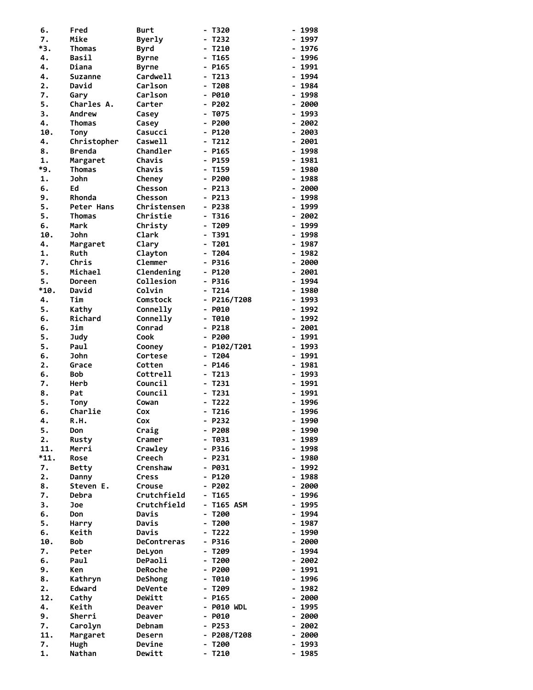| 6.        | Fred               | Burt                       | T320                                 | 1998                             |
|-----------|--------------------|----------------------------|--------------------------------------|----------------------------------|
| 7.        | Mike               | <b>Byerly</b>              | T232                                 | - 1997                           |
| *3.       | Thomas             | Byrd                       | T210<br>$\blacksquare$               | 1976<br>۰.                       |
| 4.        | Basil              | <b>Byrne</b>               | T165                                 | 1996<br>۰.                       |
| 4.        | Diana              | <b>Byrne</b>               | P165                                 | - 1991                           |
| 4.        | <b>Suzanne</b>     | Cardwell                   | T213                                 | 1994<br>$\blacksquare$           |
| 2.        | David              | Carlson                    | T208<br>$\blacksquare$               | 1984<br>$\overline{\phantom{0}}$ |
| 7.        | Garv               | Carlson                    | P010<br>$\blacksquare$               | 1998<br>$\overline{\phantom{0}}$ |
| 5.        | Charles A.         | Carter                     | P202                                 | 2000<br>-                        |
| 3.        | Andrew             | Casey                      | T075                                 | 1993<br>н.                       |
| 4.        | Thomas             | Casey                      | $- P200$                             | 2002                             |
| 10.       | Tony               | Casucci                    | $- P120$                             | 2003<br>$\overline{\phantom{0}}$ |
| 4.        | Christopher        | Caswell                    | $- T212$                             | 2001<br>$\blacksquare$           |
| 8.        | Brenda             | Chandler                   | $-$ P165                             | 1998<br>$\overline{\phantom{0}}$ |
| 1.<br>*9. | Margaret<br>Thomas | Chavis<br>Chavis           | - P159<br>T159<br>$\blacksquare$     | 1981<br>$\blacksquare$<br>1980   |
| 1.        | John               | Cheney                     | $- P200$                             | ۰.<br>1988<br>۰.                 |
| 6.        | Ed                 | <b>Chesson</b>             | $- P213$                             | 2000<br>н.                       |
| 9.        | Rhonda             | Chesson                    | $- P213$                             | 1998                             |
| 5.        | Peter Hans         | Christensen                | $- P238$                             | 1999                             |
| 5.        | Thomas             | Christie                   | T316<br>$\blacksquare$               | 2002<br>$\overline{\phantom{0}}$ |
| 6.        | Mark               | Christy                    | T209<br>$\blacksquare$               | 1999<br>$\blacksquare$           |
| 10.       | John               | Clark                      | T391                                 | 1998<br>$\blacksquare$           |
| 4.        | Margaret           | Clary                      | T201                                 | 1987<br>$\blacksquare$           |
| 1.        | Ruth               | Clayton                    | T204<br>$\blacksquare$               | $-1982$                          |
| 7.        | Chris              | Clemmer                    | P316<br>$\blacksquare$               | 2000<br>۰.                       |
| 5.        | Michael            | Clendening                 | $- P120$                             | 2001<br>۰.                       |
| 5.        | Doreen             | Collesion                  | $- P316$                             | 1994                             |
| *10.      | David              | Colvin                     | $- T214$                             | 1980<br>$\overline{\phantom{0}}$ |
| 4.        | Tim                | Comstock                   | $-$ P216/T208                        | 1993<br>۰.                       |
| 5.        | Kathy              | Connelly                   | P010<br>$\overline{\phantom{a}}$     | 1992<br>$\blacksquare$           |
| 6.        | Richard            | Connelly                   | T010<br>$\blacksquare$               | 1992<br>н.                       |
| 6.        | Jim                | Conrad                     | P218<br>$\blacksquare$               | 2001<br>н.                       |
| 5.        | Judy               | Cook                       | $- P200$                             | 1991                             |
| 5.        | Paul               | Cooney                     | $- P102/T201$                        | 1993<br>۰.                       |
| 6.        | John               | Cortese                    | T204<br>$\qquad \qquad \blacksquare$ | 1991<br>$\overline{\phantom{0}}$ |
| 2.        | Grace              | Cotten                     | P146                                 | 1981<br>$\blacksquare$           |
| 6.        | <b>Bob</b>         | Cottrell                   | T213                                 | 1993<br>$\blacksquare$           |
| 7.        | Herb               | Council                    | T231<br>$\blacksquare$               | 1991<br>۰.                       |
| 8.        | Pat                | Council                    | T231<br>$\overline{\phantom{a}}$     | 1991<br>$\overline{\phantom{0}}$ |
| 5.        | <b>Tony</b>        | Cowan                      | T222                                 | 1996<br>۰.                       |
| 6.        | Charlie            | Cox                        | T216                                 | 1996                             |
| 4.        | R.H.               | Cox                        | $- P232$                             | 1990<br>$\overline{\phantom{a}}$ |
| 5.        | Don                | Craig                      | $- P208$                             | $-1990$                          |
| 2.        | Rusty              | Cramer                     | T031<br>$\qquad \qquad \blacksquare$ | 1989<br>$\blacksquare$           |
| 11.       | Merri              | Crawley                    | $- P316$                             | $-1998$                          |
| $*11.$    | Rose               | Creech                     | $- P231$                             | - 1980                           |
| 7.        | Betty              | Crenshaw                   | $-$ P031                             | - 1992                           |
| 2.        | Danny<br>Steven E. | Cress                      | $- P120$<br>$- P202$                 | $-1988$<br>2000                  |
| 8.        |                    | <b>Crouse</b>              |                                      | ۰.                               |
| 7.<br>3.  | Debra<br>Joe       | Crutchfield<br>Crutchfield | T165<br><b>T165 ASM</b>              | $-1996$<br>$-1995$               |
| 6.        | Don                | Davis                      | T200<br>$\blacksquare$               | - 1994                           |
| 5.        | Harry              | Davis                      | T200<br>$\blacksquare$               | $-1987$                          |
| 6.        | Keith              | Davis                      | T222<br>$\blacksquare$               | - 1990                           |
| 10.       | <b>Bob</b>         | DeContreras                | <b>P316</b><br>$\blacksquare$        | - 2000                           |
| 7.        | Peter              | DeLyon                     | T209                                 | $-1994$                          |
| 6.        | Paul               | DePaoli                    | T200<br>$\overline{\phantom{a}}$     | $-2002$                          |
| 9.        | Ken                | <b>DeRoche</b>             | $- P200$                             | 1991<br>$\overline{\phantom{0}}$ |
| 8.        | Kathryn            | <b>DeShong</b>             | T010                                 | $-1996$                          |
| 2.        |                    | <b>DeVente</b>             | T209                                 | $-1982$                          |
|           | Edward             |                            |                                      |                                  |
| 12.       | Cathy              | DeWitt                     | $-$ P165                             | $-2000$                          |
| 4.        | Keith              | Deaver                     | <b>P010 WDL</b><br>$\blacksquare$    | 1995<br>$\blacksquare$           |
| 9.        | Sherri             | Deaver                     | $-$ P010                             | 2000<br>$\overline{\phantom{0}}$ |
| 7.        | Carolyn            | Debnam                     | $- P253$                             | - 2002                           |
| 11.       | Margaret           | Desern                     | $-$ P208/T208                        | $-2000$                          |
| 7.        | Hugh               | Devine                     | T200                                 | 1993<br>$\overline{\phantom{0}}$ |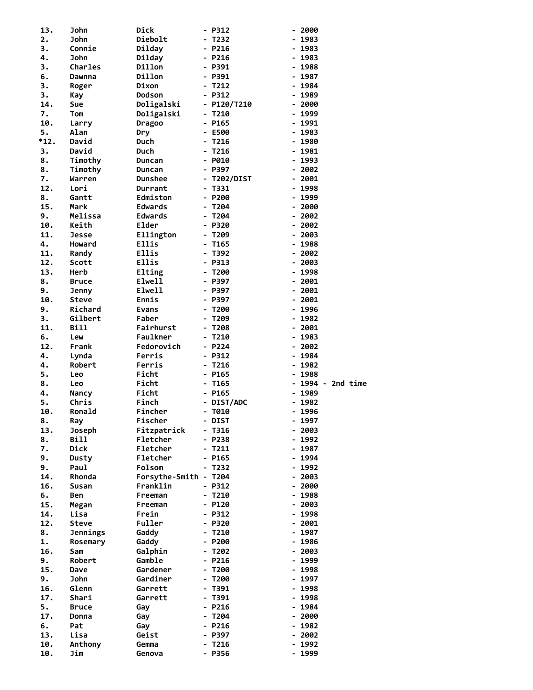| 13.          | John           | Dick                  | - P312             | - 2000                           |
|--------------|----------------|-----------------------|--------------------|----------------------------------|
| 2.           | <b>John</b>    | Diebolt               | - T232             | - 1983                           |
| 3.           | Connie         | Dilday                | - P216             | 1983                             |
| 4.           | <b>John</b>    | Dilday                | - P216             | 1983                             |
| 3.           | <b>Charles</b> | Dillon                | - P391             | 1988                             |
| 6.           | Dawnna         | Dillon                | - P391             | 1987                             |
| 3.           | Roger          | Dixon                 | - T212             | 1984                             |
| 3.           | Kay            | Dodson                | $- P312$           | 1989                             |
| 14.          | Sue            | Doligalski            | $- P120/T210$      | 2000                             |
| 7.<br>10.    | Tom            | Doligalski            | - T210             | 1999                             |
|              | Larry          | Dragoo                | - P165             | 1991                             |
| 5.<br>$*12.$ | Alan<br>David  | Dry<br>Duch           | - E500             | 1983<br>۰.<br>1980               |
| 3.           | David          | Duch                  | - T216<br>T216     | 1981                             |
| 8.           | Timothy        | Duncan                | - P010             | 1993                             |
| 8.           | Timothy        | Duncan                | - P397             | 2002<br>$\blacksquare$           |
| 7.           | Warren         | <b>Dunshee</b>        | - T202/DIST        | $-2001$                          |
| 12.          | Lori           | Durrant               | - T331             | - 1998                           |
| $\bf 8$ .    | Gantt          | Edmiston              | - P200             | 1999                             |
| 15.          | Mark           | <b>Edwards</b>        | - T204             | 2000                             |
| 9.           | Melissa        | <b>Edwards</b>        | $- T204$           | 2002                             |
| 10.          | Keith          | Elder                 | - P320             | 2002                             |
| 11.          | <b>Jesse</b>   | Ellington             | - T209             | 2003                             |
| 4.           | Howard         | Ellis                 | - T165             | 1988                             |
| 11.          | Randy          | Ellis                 | - T392             | $-2002$                          |
| 12.          | Scott          | Ellis                 | - P313             | 2003<br>$\blacksquare$           |
| 13.          | Herb           | Elting                | - T200             | $-1998$                          |
| 8.           | <b>Bruce</b>   | Elwell                | - P397             | 2001                             |
| 9.           | Jenny          | Elwell                | - P397             | 2001                             |
| 10.          | <b>Steve</b>   | Ennis                 | - P397             | 2001<br>$\overline{\phantom{0}}$ |
| 9.           | Richard        | <b>Evans</b>          | - T200             | 1996<br>$\overline{\phantom{0}}$ |
| 3.           | Gilbert        | Faber                 | T209               | 1982                             |
| 11.          | Bill           | Fairhurst             | - T208             | $-2001$                          |
| 6.           | Lew            | Faulkner              | - T210             | $-1983$                          |
|              |                |                       |                    |                                  |
| 12.          | Frank          | Fedorovich            | - P224             | $-2002$                          |
| 4.           | Lynda          | Ferris                | - P312             | 1984                             |
| 4.           | Robert         | Ferris                | - T216             | 1982                             |
| 5.           | Leo            | Ficht                 | - P165             | 1988                             |
| 8.           | Leo            | Ficht                 | - T165             | - 1994 - 2nd time                |
| 4.           | Nancy          | Ficht                 | - P165             | 1989<br>$\overline{\phantom{0}}$ |
| 5.           | Chris          | Finch                 | - DIST/ADC         | 1982                             |
| 10.          | Ronald         | Fincher               | - T010             | 1996<br>$\blacksquare$           |
| 8.           | Ray            | Fischer               | - DIST             | - 1997                           |
| 13.          | <b>Joseph</b>  | Fitzpatrick           | - T316             | 2003                             |
| 8.           | Bill           | Fletcher              | - P238             | 1992                             |
| 7.           | Dick           | Fletcher              | - T211             | 1987                             |
| 9.           | Dusty          | Fletcher              | - P165             | 1994                             |
| 9.           | Paul           | Folsom                | - T232             | - 1992                           |
| 14.          | Rhonda         | Forsythe-Smith - T204 |                    | $-2003$                          |
| 16.          | <b>Susan</b>   | Franklin              | - P312             | 2000                             |
| 6.           | Ben            | Freeman               | - T210             | 1988                             |
| 15.          | Megan          | Freeman               | - P120             | - 2003                           |
| 14.          | Lisa           | Frein                 | - P312             | 1998<br>$\overline{\phantom{0}}$ |
| 12.          | <b>Steve</b>   | Fuller                | - P320             | 2001<br>$\blacksquare$           |
| 8.           | Jennings       | Gaddy                 | - T210             | 1987                             |
| 1.           | Rosemary       | Gaddy                 | - P200             | 1986                             |
| 16.          | Sam            | Galphin<br>Gamble     | - T202             | - 2003<br>$\blacksquare$         |
| 9.<br>15.    | Robert<br>Dave | Gardener              | - P216<br>- T200   | 1999<br>1998                     |
| 9.           | John           | Gardiner              | - T200             | 1997                             |
| 16.          | Glenn          | Garrett               | - T391             | 1998                             |
| 17.          | Shari          | Garrett               | - T391             | - 1998                           |
| 5.           | <b>Bruce</b>   | Gay                   | - P216             | 1984                             |
| 17.          | Donna          | Gay                   | - T204             | 2000                             |
| 6.           | Pat            | Gay                   | - P216             | 1982                             |
| 13.          | Lisa           | Geist                 | - P397             | 2002                             |
| 10.<br>10.   | Anthony<br>Jim | Gemma<br>Genova       | $- T216$<br>- P356 | 1992<br>1999                     |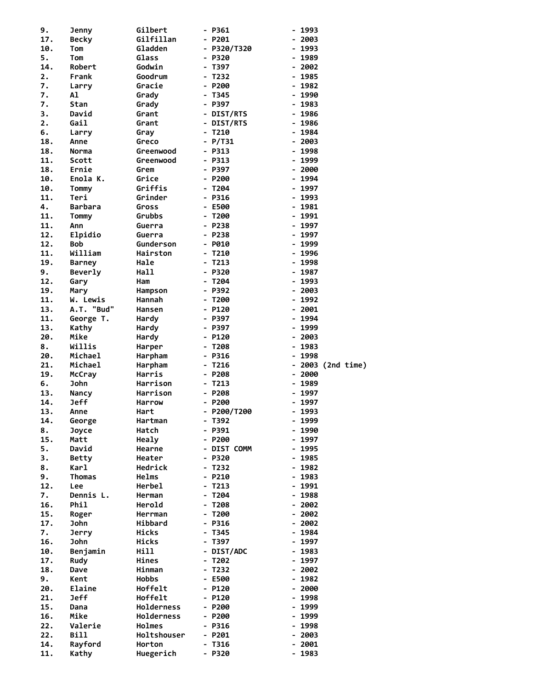| 9.  | <b>Jenny</b>     | Gilbert             | - P361                           | $-1993$                          |
|-----|------------------|---------------------|----------------------------------|----------------------------------|
| 17. | <b>Becky</b>     | Gilfillan           | $- P201$                         | $-2003$                          |
| 10. | Tom              | Gladden             | - P320/T320                      | 1993<br>$\overline{\phantom{0}}$ |
| 5.  | Tom              | Glass               | $- P320$                         | $-1989$                          |
| 14. | Robert           | Godwin              | T397                             | 2002                             |
| 2.  | Frank            | Goodrum             | - T232                           | 1985                             |
| 7.  | Larry            | Gracie              | $- P200$                         | 1982                             |
| 7.  | Al               | Grady               | - T345                           | $-1990$                          |
| 7.  | Stan             | Grady               | - P397                           | 1983                             |
| 3.  | David            | Grant               | - DIST/RTS                       | $-1986$                          |
| 2.  | Gail             | Grant               | - DIST/RTS                       | $-1986$                          |
| 6.  | Larry            | Gray                | $- T210$                         | 1984<br>$\blacksquare$           |
| 18. | Anne             | Greco               | - P/T31                          | 2003                             |
| 18. | Norma            | Greenwood           | - P313                           | 1998                             |
| 11. | Scott            | Greenwood           | $- P313$                         | 1999<br>$\overline{\phantom{0}}$ |
| 18. | Ernie            | Grem                | - P397                           | $-2000$                          |
| 10. | Enola K.         | Grice               | $- P200$                         | - 1994                           |
| 10. | Tommy            | Griffis             | - T204                           | - 1997                           |
| 11. | Teri             | Grinder             | $- P316$                         | $-1993$                          |
| 4.  | <b>Barbara</b>   | Gross               | - E500                           | $-1981$                          |
| 11. | Tommy            | Grubbs              | $- T200$                         | 1991                             |
| 11. | Ann              | Guerra              | $- P238$                         | $-1997$                          |
| 12. | Elpidio          | Guerra              | - P238                           | 1997                             |
| 12. | Bob              | Gunderson           | $-$ P010                         | 1999                             |
| 11. | William          | Hairston            | $- T210$                         | $-1996$                          |
| 19. | <b>Barney</b>    | Hale                | $- T213$                         | - 1998                           |
| 9.  | Beverly          | Hall                | - P320                           | $-1987$                          |
| 12. | Gary             | Ham                 | - T204                           | $-1993$                          |
| 19. | Mary             | Hampson             | - P392                           | 2003                             |
| 11. | W. Lewis         | Hannah              | T200<br>$\overline{\phantom{0}}$ | 1992<br>$\overline{\phantom{0}}$ |
| 13. | A.T. "Bud"       | Hansen              | $- P120$                         | 2001<br>۰.                       |
| 11. | George T.        | Hardy               | - P397                           | $-1994$                          |
| 13. | Kathy            | Hardy               | - P397                           | - 1999                           |
| 20. | Mike             | Hardy               | - P120                           | $-2003$                          |
| 8.  | Willis           | Harper              | $- T208$                         | 1983<br>$\overline{\phantom{a}}$ |
|     |                  |                     |                                  |                                  |
| 20. | Michael          | Harpham             | - P316                           | 1998                             |
| 21. | Michael          | Harpham             | T216                             | 2003 (2nd time)                  |
| 19. | McCray           | Harris              | $- P208$                         | $-2000$                          |
| 6.  | <b>John</b>      | Harrison            | $- T213$                         | 1989<br>$\blacksquare$           |
| 13. | Nancy            | Harrison            | $- P208$                         | 1997                             |
| 14. | Jeff             | <b>Harrow</b>       | $- P200$                         | 1997                             |
| 13. | Anne             | Hart                | P200/T200                        | 1993<br>$\blacksquare$           |
| 14. | George           | Hartman             | - T392                           | - 1999                           |
| 8.  | Joyce            | Hatch               | - P391                           | 1990                             |
| 15. | Matt             | Healy               | - P200                           | 1997                             |
| 5.  | David            | Hearne              | - DIST COMM                      | 1995                             |
| 3.  | <b>Betty</b>     | Heater              | - P320                           | $-1985$                          |
| 8.  | Karl             | Hedrick             | $- T232$                         | $-1982$                          |
| 9.  | Thomas           | Helms               | $- P210$                         | $-1983$                          |
| 12. | Lee              | Herbel              | - T213                           | - 1991                           |
| 7.  | Dennis L.        | Herman              | T204                             | 1988                             |
| 16. | Phil             | Herold              | - T208                           | $-2002$                          |
| 15. | Roger            | Herrman             | $- T200$                         | $-2002$                          |
| 17. | John             | Hibbard             | $- P316$                         | 2002<br>$\overline{\phantom{0}}$ |
| 7.  | <b>Jerry</b>     | Hicks               | T345                             | - 1984                           |
| 16. | John             | Hicks               | T397                             | - 1997                           |
| 10. | Benjamin         | Hill                | - DIST/ADC                       | $-1983$                          |
| 17. | Rudy             | Hines               | - T202                           | - 1997                           |
| 18. | Dave             | Hinman              | - T232                           | - 2002                           |
| 9.  | Kent             | <b>Hobbs</b>        | - E500                           | 1982                             |
| 20. | Elaine           | Hoffelt             | - P120                           | $-2000$                          |
| 21. | <b>Jeff</b>      | Hoffelt             | - P120                           | $-1998$                          |
| 15. | Dana             | Holderness          | - P200                           | 1999<br>$\blacksquare$           |
| 16. | Mike             | <b>Holderness</b>   | - P200                           | - 1999                           |
| 22. | Valerie          | Holmes              | - P316                           | 1998                             |
| 22. | <b>Bill</b>      | Holtshouser         | - P201                           | 2003                             |
| 14. | Rayford<br>Kathy | Horton<br>Huegerich | T316<br>- P320                   | 2001<br>$-1983$                  |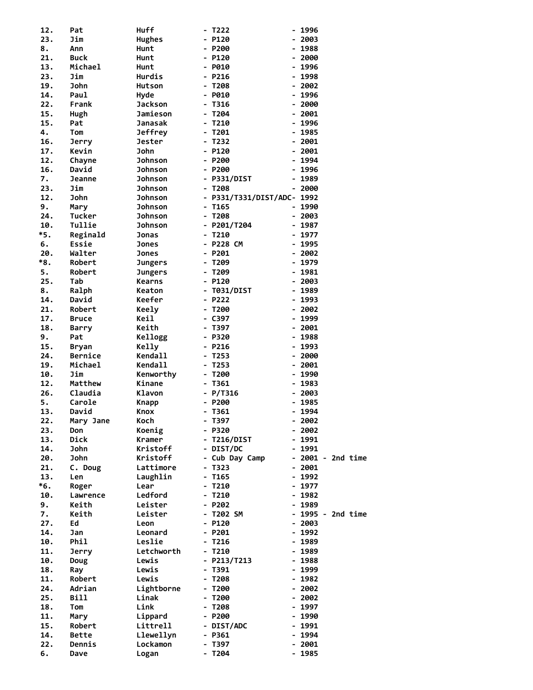| 12. | Pat            | <b>Huff</b>    | - T222                     |                          | - 1996             |  |
|-----|----------------|----------------|----------------------------|--------------------------|--------------------|--|
| 23. | Jim            | <b>Hughes</b>  | - P120                     |                          | 2003               |  |
| 8.  | Ann            | Hunt           | - P200                     |                          | 1988               |  |
| 21. | <b>Buck</b>    |                | - P120                     |                          | 2000               |  |
|     |                | Hunt           |                            |                          |                    |  |
| 13. | Michael        | Hunt           | - P010                     |                          | - 1996             |  |
| 23. | Jim            | Hurdis         | - P216                     |                          | 1998               |  |
| 19. | John           | Hutson         | $- T208$                   |                          | $-2002$            |  |
| 14. | Paul           | Hyde           | - P010                     |                          | - 1996             |  |
| 22. | Frank          | <b>Jackson</b> | - T316                     |                          | - 2000             |  |
| 15. | Hugh           | Jamieson       | - T204                     |                          | $-2001$            |  |
| 15. | Pat            | Janasak        | - T210                     | $\overline{\phantom{0}}$ | 1996               |  |
|     |                |                |                            |                          |                    |  |
| 4.  | Tom            | <b>Jeffrey</b> | - T201                     |                          | - 1985             |  |
| 16. | <b>Jerry</b>   | <b>Jester</b>  | - T232                     |                          | $-2001$            |  |
| 17. | Kevin          | <b>John</b>    | - P120                     |                          | $-2001$            |  |
| 12. | Chayne         | <b>Johnson</b> | - P200                     |                          | 1994               |  |
| 16. | David          | <b>Johnson</b> | - P200                     |                          | 1996               |  |
| 7.  | <b>Jeanne</b>  | <b>Johnson</b> | - P331/DIST                |                          | - 1989             |  |
| 23. | Jim            | <b>Johnson</b> | - T208                     |                          | - 2000             |  |
|     |                |                |                            |                          |                    |  |
| 12. | John           | <b>Johnson</b> | - P331/T331/DIST/ADC- 1992 |                          |                    |  |
| 9.  | Mary           | <b>Johnson</b> | $- T165$                   |                          | $-1990$            |  |
| 24. | Tucker         | <b>Johnson</b> | - T208                     |                          | $-2003$            |  |
| 10. | Tullie         | <b>Johnson</b> | - P201/T204                |                          | $-1987$            |  |
| *5. | Reginald       | <b>Jonas</b>   | - T210                     |                          | - 1977             |  |
| 6.  | Essie          | <b>Jones</b>   | - P228 CM                  |                          | - 1995             |  |
| 20. |                |                |                            |                          |                    |  |
|     | Walter         | Jones          | - P201                     |                          | $-2002$            |  |
| *8. | Robert         | <b>Jungers</b> | - T209                     |                          | - 1979             |  |
| 5.  | Robert         | <b>Jungers</b> | - T209                     |                          | - 1981             |  |
| 25. | Tab            | <b>Kearns</b>  | - P120                     |                          | - 2003             |  |
| 8.  | Ralph          | Keaton         | - T031/DIST                |                          | $-1989$            |  |
| 14. | David          | Keefer         | - P222                     |                          | - 1993             |  |
| 21. | Robert         | <b>Keely</b>   | - T200                     |                          | $-2002$            |  |
|     |                |                |                            |                          |                    |  |
| 17. | <b>Bruce</b>   | Keil           | - C397                     |                          | 1999               |  |
| 18. | <b>Barry</b>   | Keith          | - T397                     |                          | $-2001$            |  |
| 9.  | Pat            | Kellogg        | - P320                     |                          | $-1988$            |  |
| 15. | <b>Bryan</b>   | Kelly          | - P216                     |                          | - 1993             |  |
| 24. | <b>Bernice</b> | <b>Kendall</b> | - T253                     |                          | $-2000$            |  |
| 19. | Michael        | <b>Kendall</b> | - T253                     |                          | $-2001$            |  |
| 10. | Jim            | Kenworthy      | - T200                     |                          | 1990               |  |
|     |                | Kinane         |                            |                          |                    |  |
| 12. | Matthew        |                | - T361                     |                          | - 1983             |  |
| 26. | Claudia        | Klavon         | $- P/T316$                 |                          | - 2003             |  |
| 5.  | Carole         | <b>Knapp</b>   | - P200                     |                          | 1985               |  |
| 13. | David          | Knox           | - T361                     |                          | $-1994$            |  |
| 22. | Mary Jane      | <b>Koch</b>    | - T397                     |                          | - 2002             |  |
| 23. | Don            | Koenig         | - P320                     |                          | - 2002             |  |
| 13. | Dick           | <b>Kramer</b>  | - T216/DIST                |                          | - 1991             |  |
|     |                |                |                            |                          |                    |  |
| 14. | <b>John</b>    | Kristoff       | - DIST/DC                  |                          | $-1991$            |  |
| 20. | John           | Kristoff       | - Cub Day Camp             |                          | $-2001 - 2nd time$ |  |
| 21. | C. Doug        | Lattimore      | - T323                     |                          | $-2001$            |  |
| 13. | Len            | Laughlin       | - T165                     |                          | - 1992             |  |
| *6. | Roger          | Lear           | - T210                     |                          | $-1977$            |  |
| 10. | Lawrence       | Ledford        | - T210                     |                          | $-1982$            |  |
| 9.  | Keith          | Leister        | - P202                     |                          | $-1989$            |  |
|     |                | Leister        |                            |                          |                    |  |
| 7.  | Keith          |                | - T202 SM                  |                          | - 1995 - 2nd time  |  |
| 27. | Ed             | Leon           | - P120                     |                          | $-2003$            |  |
| 14. | Jan            | Leonard        | - P201                     |                          | - 1992             |  |
| 10. | Phil           | Leslie         | - T216                     |                          | - 1989             |  |
| 11. | <b>Jerry</b>   | Letchworth     | - T210                     |                          | - 1989             |  |
| 10. | Doug           | Lewis          | - P213/T213                |                          | - 1988             |  |
| 18. | Ray            | Lewis          | - T391                     |                          | - 1999             |  |
|     |                |                |                            |                          |                    |  |
| 11. | Robert         | Lewis          | - T208                     |                          | - 1982             |  |
| 24. | Adrian         | Lightborne     | - T200                     |                          | $-2002$            |  |
| 25. | <b>Bill</b>    | Linak          | - T200                     |                          | $-2002$            |  |
| 18. | Tom            | Link           | - T208                     |                          | - 1997             |  |
| 11. | Mary           | Lippard        | - P200                     |                          | - 1990             |  |
| 15. | Robert         | Littrell       | - DIST/ADC                 |                          | - 1991             |  |
|     |                |                |                            |                          |                    |  |
| 14. | Bette          | Llewellyn      | - P361                     |                          | - 1994             |  |
| 22. | Dennis         | Lockamon       | - T397                     |                          | - 2001             |  |
| 6.  | Dave           | Logan          | - T204                     |                          | $-1985$            |  |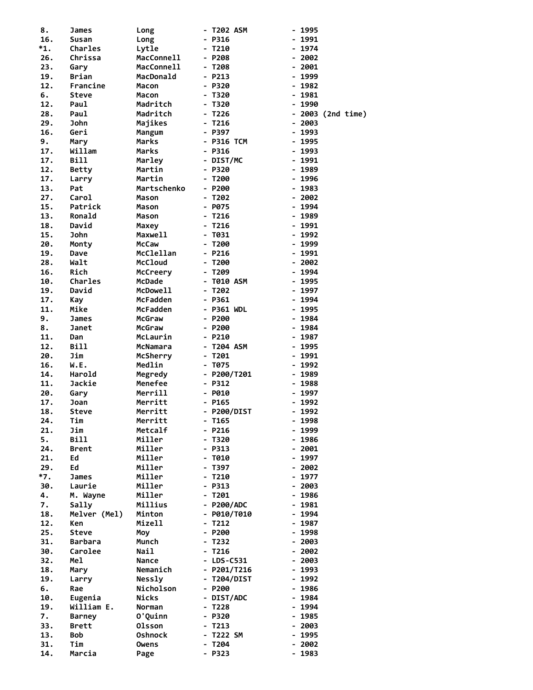| 8.     | James          | Long              | - T202 ASM    | $-1995$           |
|--------|----------------|-------------------|---------------|-------------------|
| 16.    |                | Long              |               | - 1991            |
|        | Susan          |                   | - P316        |                   |
| $^*1.$ | <b>Charles</b> | Lytle             | - T210        | - 1974            |
| 26.    | Chrissa        | <b>MacConnell</b> | - P208        | $-2002$           |
| 23.    | Gary           | MacConnell        | $- T208$      | $-2001$           |
| 19.    | Brian          | MacDonald         | - P213        | - 1999            |
| 12.    | Francine       | Macon             | - P320        | $-1982$           |
| 6.     | <b>Steve</b>   | Macon             | - T320        | $-1981$           |
| 12.    | Paul           | Madritch          | - T320        | $-1990$           |
| 28.    | Paul           | Madritch          | - T226        | - 2003 (2nd time) |
| 29.    | John           | Majikes           | - T216        | $-2003$           |
|        |                |                   |               |                   |
| 16.    | Geri           | Mangum            | - P397        | $-1993$           |
| 9.     | Mary           | Marks             | - P316 TCM    | $-1995$           |
| 17.    | Willam         | Marks             | - P316        | - 1993            |
| 17.    | <b>Bill</b>    | Marley            | - DIST/MC     | - 1991            |
| 12.    | <b>Betty</b>   | Martin            | - P320        | $-1989$           |
| 17.    | Larry          | Martin            | - T200        | - 1996            |
| 13.    | Pat            | Martschenko       | - P200        | - 1983            |
| 27.    | Carol          | Mason             | - T202        | $-2002$           |
| 15.    | Patrick        | Mason             | - P075        | $-1994$           |
| 13.    | Ronald         | Mason             | - T216        | $-1989$           |
| 18.    | David          | Maxey             | - T216        | - 1991            |
|        |                |                   |               |                   |
| 15.    | John           | Maxwell           | - T031        | $-1992$           |
| 20.    | Monty          | McCaw             | - T200        | - 1999            |
| 19.    | Dave           | McClellan         | $- P216$      | $-1991$           |
| 28.    | Walt           | <b>McCloud</b>    | - T200        | $-2002$           |
| 16.    | Rich           | McCreery          | - T209        | - 1994            |
| 10.    | Charles        | <b>McDade</b>     | - T010 ASM    | $-1995$           |
| 19.    | David          | McDowell          | - T202        | $-1997$           |
| 17.    | Kay            | McFadden          | $-$ P361      | $-1994$           |
| 11.    | Mike           | McFadden          | - P361 WDL    | - 1995            |
| 9.     | James          | McGraw            | - P200        | - 1984            |
| 8.     | Janet          | McGraw            | - P200        | - 1984            |
|        |                |                   |               |                   |
| 11.    | Dan            | McLaurin          | - P210        | $-1987$           |
| 12.    | Bill           | McNamara          | - T204 ASM    | - 1995            |
| 20.    | Jim            | McSherry          | - T201        | - 1991            |
| 16.    | W.E.           | Medlin            | - T075        | $-1992$           |
| 14.    | Harold         | Megredy           | $-$ P200/T201 | $-1989$           |
| 11.    | Jackie         | Menefee           | - P312        | $-1988$           |
| 20.    | Gary           | Merrill           | - P010        | - 1997            |
| 17.    | Joan           | Merritt           | - P165        | - 1992            |
| 18.    | <b>Steve</b>   | Merritt           | - P200/DIST   | - 1992            |
| 24.    | Tim            | Merritt           | - T165        | - 1998            |
| 21.    | Jim            | Metcalf           | - P216        | - 1999            |
|        |                |                   |               |                   |
| 5.     | Bill           | Miller            | - T320        | 1986              |
| 24.    | <b>Brent</b>   | Miller            | - P313        | - 2001            |
| 21.    | Ed             | Miller            | - T010        | - 1997            |
| 29.    | Ed             | Miller            | - T397        | - 2002            |
| $*7.$  | James          | Miller            | - T210        | - 1977            |
| 30.    | Laurie         | Miller            | - P313        | - 2003            |
| 4.     | M. Wayne       | Miller            | - T201        | - 1986            |
| 7.     | Sally          | Millius           | - P200/ADC    | - 1981            |
| 18.    | Melver (Mel)   | Minton            | - P010/T010   | - 1994            |
| 12.    | Ken            | Mizell            | - T212        | - 1987            |
| 25.    | <b>Steve</b>   | Moy               | - P200        | - 1998            |
| 31.    | <b>Barbara</b> | Munch             | - T232        | - 2003            |
|        |                |                   |               |                   |
| 30.    | Carolee        | Nail              | - T216        | - 2002            |
| 32.    | Mel            | Nance             | - LDS-C531    | - 2003            |
| 18.    | Mary           | Nemanich          | - P201/T216   | - 1993            |
| 19.    | Larry          | <b>Nessly</b>     | - T204/DIST   | - 1992            |
| 6.     | Rae            | Nicholson         | - P200        | - 1986            |
| 10.    | Eugenia        | Nicks             | - DIST/ADC    | - 1984            |
| 19.    | William E.     | Norman            | - T228        | - 1994            |
| 7.     | <b>Barney</b>  | O'Quinn           | - P320        | - 1985            |
| 33.    | <b>Brett</b>   | <b>Olsson</b>     | - T213        | - 2003            |
| 13.    | <b>Bob</b>     | <b>Oshnock</b>    | - T222 SM     | - 1995            |
| 31.    | Tim            | Owens             | - T204        | - 2002            |
| 14.    | Marcia         |                   | - P323        | - 1983            |
|        |                | Page              |               |                   |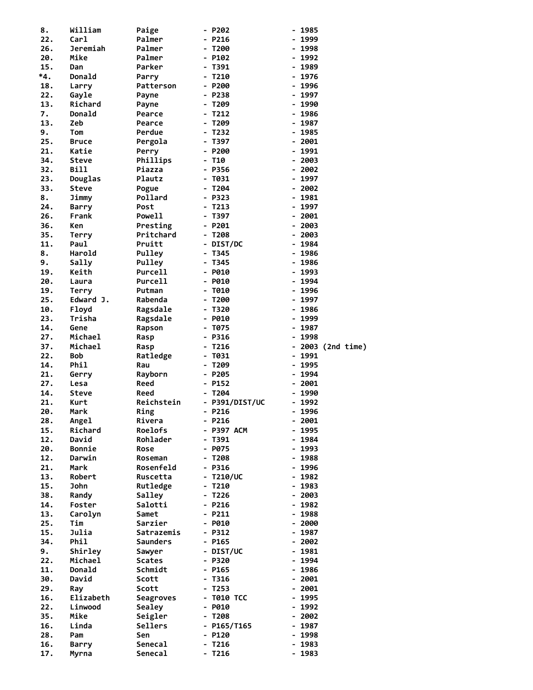| 8.  | William      | Paige            | - P202         | - 1985            |
|-----|--------------|------------------|----------------|-------------------|
| 22. | Carl         | Palmer           | - P216         | 1999              |
| 26. | Jeremiah     | Palmer           | - T200         | - 1998            |
| 20. | Mike         | Palmer           | - P102         | 1992              |
| 15. | Dan          | Parker           | - T391         | - 1989            |
|     |              |                  |                |                   |
| *4. | Donald       | Parry            | - T210         | 1976              |
| 18. | Larry        | Patterson        | - P200         | $-1996$           |
| 22. | Gayle        | Payne            | - P238         | - 1997            |
| 13. | Richard      | Payne            | - T209         | - 1990            |
| 7.  | Donald       | Pearce           | - T212         | - 1986            |
|     |              |                  |                |                   |
| 13. | Zeb          | Pearce           | - T209         | 1987              |
| 9.  | Tom          | Perdue           | - T232         | - 1985            |
| 25. | <b>Bruce</b> | Pergola          | - T397         | $-2001$           |
| 21. | Katie        | Perry            | - P200         | - 1991            |
| 34. | <b>Steve</b> | Phillips         | $- T10$        | - 2003            |
|     |              |                  |                |                   |
| 32. | Bill         | Piazza           | - P356         | $-2002$           |
| 23. | Douglas      | Plautz           | - Т031         | - 1997            |
| 33. | <b>Steve</b> | Pogue            | - T204         | $-2002$           |
| 8.  | Jimmy        | Pollard          | - P323         | - 1981            |
| 24. |              | Post             | $- T213$       | 1997              |
|     | <b>Barry</b> |                  |                |                   |
| 26. | Frank        | Powell           | - T397         | $-2001$           |
| 36. | Ken          | Presting         | - P201         | - 2003            |
| 35. | Terry        | Pritchard        | - T208         | - 2003            |
| 11. | Paul         | Pruitt           | - DIST/DC      | - 1984            |
|     |              |                  |                |                   |
| 8.  | Harold       | Pulley           | - T345         | $-1986$           |
| 9.  | Sally        | Pulley           | - T345         | - 1986            |
| 19. | Keith        | Purcell          | - P010         | - 1993            |
| 20. | Laura        | Purcell          | - P010         | - 1994            |
| 19. | Terry        | Putman           | - тө10         | - 1996            |
|     |              |                  |                |                   |
| 25. | Edward J.    | Rabenda          | - T200         | 1997<br>-         |
| 10. | Floyd        | Ragsdale         | - T320         | - 1986            |
| 23. | Trisha       | Ragsdale         | - P010         | 1999              |
| 14. | Gene         | Rapson           | - T075         | $-1987$           |
| 27. | Michael      | Rasp             | - P316         | 1998              |
| 37. | Michael      |                  | - T216         | - 2003 (2nd time) |
|     |              | Rasp             |                |                   |
|     |              |                  |                |                   |
| 22. | <b>Bob</b>   | Ratledge         | - T031         | - 1991            |
| 14. | Phil         | Rau              | - T209         | - 1995            |
|     |              |                  |                |                   |
| 21. | Gerry        | Rayborn          | - P205         | - 1994            |
| 27. | Lesa         | Reed             | - P152         | 2001<br>-         |
| 14. | Steve        | Reed             | - T204         | - 1990            |
| 21. | Kurt         | Reichstein       | - P391/DIST/UC | - 1992            |
| 20. | Mark         | Ring             | $- P216$       | - 1996            |
|     |              |                  |                |                   |
| 28. | Angel        | Rivera           | $- P216$       | - 2001            |
| 15. | Richard      | Roelofs          | - P397 ACM     | - 1995            |
| 12. | David        | Rohlader         | - T391         | - 1984            |
| 20. | Bonnie       | Rose             | - P075         | - 1993            |
| 12. | Darwin       | Roseman          | - T208         | - 1988            |
|     | Mark         | Rosenfeld        |                |                   |
| 21. |              |                  | - P316         | - 1996            |
| 13. | Robert       | Ruscetta         | - T210/UC      | $-1982$           |
| 15. | John         | Rutledge         | - T210         | - 1983            |
| 38. | Randy        | Salley           | - T226         | - 2003            |
| 14. | Foster       | Salotti          | - P216         | $-1982$           |
|     |              |                  |                |                   |
| 13. | Carolyn      | Samet            | $- P211$       | - 1988            |
| 25. | Tim          | Sarzier          | - P010         | - 2000            |
| 15. | Julia        | Satrazemis       | - P312         | - 1987            |
| 34. | Phil         | <b>Saunders</b>  | - P165         | $-2002$           |
| 9.  | Shirley      | Sawyer           | - DIST/UC      | - 1981            |
| 22. | Michael      | <b>Scates</b>    | - P320         | - 1994            |
|     |              |                  |                |                   |
| 11. | Donald       | Schmidt          | - P165         | $-1986$           |
| 30. | David        | Scott            | - T316         | $-2001$           |
| 29. | Ray          | Scott            | - T253         | $-2001$           |
| 16. | Elizabeth    | <b>Seagroves</b> | - тө1ө тсс     | - 1995            |
| 22. | Linwood      | Sealey           | - P010         | - 1992            |
|     |              |                  |                |                   |
| 35. | Mike         | Seigler          | - T208         | $-2002$           |
| 16. | Linda        | Sellers          | - P165/T165    | - 1987            |
| 28. | Pam          | Sen              | - P120         | $-1998$           |
| 16. | Barry        | Senecal          | - T216         | - 1983            |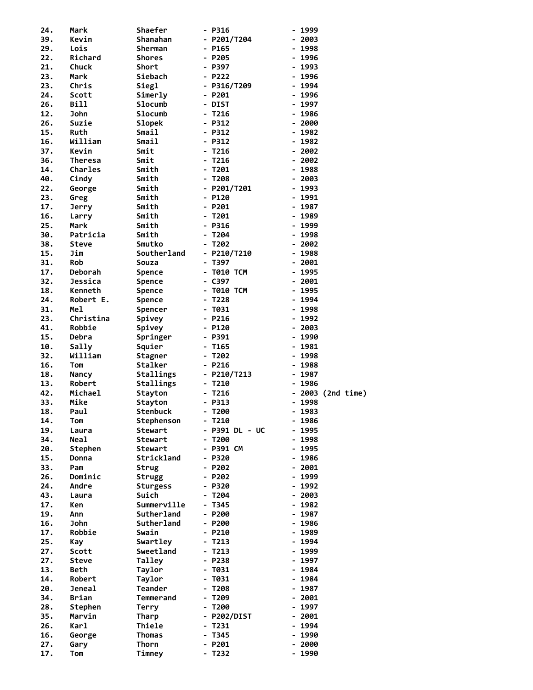| 24. | Mark           | Shaefer         | - P316           | - 1999                            |
|-----|----------------|-----------------|------------------|-----------------------------------|
| 39. | Kevin          | Shanahan        | - P201/T204      | - 2003                            |
| 29. | Lois           | Sherman         | - P165           | 1998<br>$\blacksquare$            |
| 22. | Richard        | Shores          | - P205           | - 1996                            |
| 21. | Chuck          | Short           | - P397           | - 1993                            |
| 23. | Mark           | Siebach         | - P222           | 1996                              |
| 23. | Chris          | Siegl           | - P316/T209      | 1994                              |
| 24. | Scott          | Simerly         | - P201           | $-1996$                           |
| 26. | Bill           | Slocumb         | - DIST           | 1997                              |
| 12. | John           | <b>Slocumb</b>  | - T216           | $-1986$                           |
| 26. | Suzie          | <b>Slopek</b>   | - P312           | $-2000$                           |
| 15. | Ruth           | Smail           | - P312           | $-1982$                           |
| 16. | William        | <b>Smail</b>    | - P312           | $-1982$                           |
| 37. | Kevin          | Smit            | - T216           | - 2002                            |
| 36. | <b>Theresa</b> | Smit            | $- T216$         | $-2002$                           |
| 14. | Charles        | Smith           | - T201           | 1988<br>$\blacksquare$            |
| 40. | Cindy          | Smith           | - T208           | $-2003$                           |
| 22. | George         | Smith           | - P201/T201      | $-1993$                           |
| 23. | Greg           | Smith           | - P120           | - 1991                            |
| 17. | Jerry          | Smith           | - P201           | $-1987$                           |
| 16. | Larry          | Smith           | - T201           | 1989                              |
| 25. | Mark           | Smith           | - P316           | - 1999                            |
| 30. | Patricia       | Smith           | T204             | 1998                              |
| 38. | Steve          | Smutko          | - T202           | $-2002$                           |
| 15. | Jim            | Southerland     | $-$ P210/T210    | $-1988$                           |
| 31. | Rob            | Souza           | - T397           | $-2001$                           |
| 17. | <b>Deborah</b> | Spence          | - T010 TCM       | $-1995$                           |
| 32. | Jessica        | Spence          | - C397           | $-2001$                           |
| 18. | Kenneth        | Spence          | - T010 TCM       | - 1995                            |
| 24. | Robert E.      | <b>Spence</b>   | - T228           | 1994<br>$\blacksquare$            |
| 31. | Mel            | Spencer         | - T031           | 1998<br>$\blacksquare$            |
| 23. | Christina      | Spivey          | - P216           | 1992                              |
| 41. | Robbie         | Spivey          | - P120           | $-2003$                           |
| 15. | Debra          | Springer        | - P391           | $-1990$                           |
| 10. | Sally          | Squier          | - T165           | 1981<br>$\blacksquare$            |
| 32. | William        | Stagner         | - T202           | $-1998$                           |
| 16. | Tom            | Stalker         | - P216           | - 1988                            |
| 18. | Nancy          | Stallings       | $-$ P210/T213    | $-1987$                           |
| 13. | Robert         | Stallings       | $-7210$          | 1986<br>$\blacksquare$            |
| 42. | Michael        | Stayton         | $- T216$         | 2003 (2nd time)<br>$\blacksquare$ |
| 33. | Mike           | <b>Stayton</b>  | - P313           | 1998<br>$\overline{\phantom{a}}$  |
| 18. | Paul           | <b>Stenbuck</b> | $- T200$         | $-1983$                           |
| 14. | Tom            | Stephenson      | $- T210$         | $-1986$                           |
| 19. | Laura          | Stewart         | - P391 DL - UC   | 1995                              |
| 34. | <b>Neal</b>    | Stewart         | $- T200$         | - 1998                            |
| 20. | Stephen        | Stewart         | - P391 CM        | 1995                              |
| 15. | Donna          | Strickland      | - P320           | $-1986$                           |
| 33. | Pam            | Strug           | - P202           | $-2001$                           |
| 26. | Dominic        | <b>Strugg</b>   | - P202           | - 1999                            |
| 24. | Andre          | Sturgess        | - P320           | - 1992                            |
| 43. | Laura          | Suich           | - T204           | $-2003$                           |
| 17. | Ken            | Summerville     | - T345           | $-1982$                           |
| 19. | Ann            | Sutherland      | - P200           | $-1987$                           |
| 16. | John           | Sutherland      | $- P200$         | $-1986$                           |
| 17. | Robbie         | Swain           | - P210           | - 1989                            |
| 25. | Kay            | Swartley        | - T213           | - 1994                            |
| 27. | Scott          | Sweetland       | - T213           | - 1999                            |
| 27. | Steve          | Talley          | - P238           | - 1997                            |
| 13. | Beth           | Taylor          | - T031           | $-1984$                           |
| 14. | Robert         | Taylor          | - T031           | - 1984                            |
| 20. | Jeneal         | Teander         | - T208           | - 1987                            |
| 34. |                | Temmerand       | - T209           | $-2001$                           |
|     | Brian          |                 |                  |                                   |
| 28. | Stephen        | Terry           | - T200           | 1997<br>$\overline{\phantom{0}}$  |
| 35. | Marvin         | Tharp           | - P202/DIST      | $-2001$                           |
| 26. | Karl           | Thiele          | - T231           | - 1994                            |
| 16. | George         | Thomas          | - T345           | 1990                              |
| 27. | Gary           | Thorn<br>Timney | - P201<br>- T232 | - 2000<br>$-1990$                 |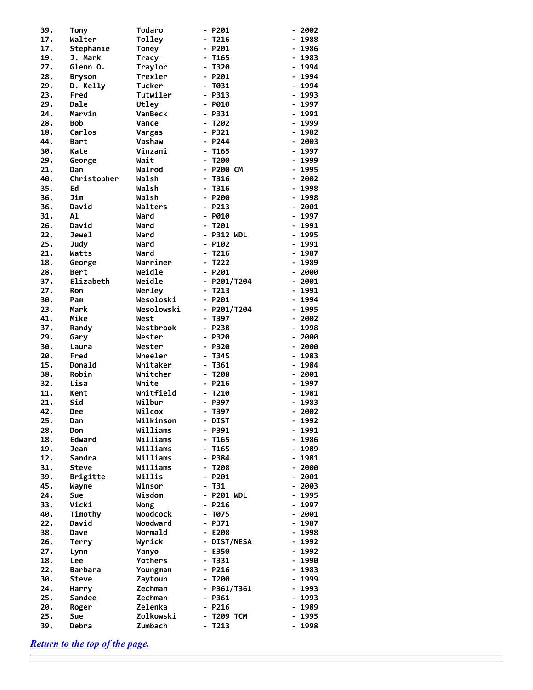| 39.        | <b>Tony</b>     | <b>Todaro</b>       |                              | - P201              |                              | 2002         |
|------------|-----------------|---------------------|------------------------------|---------------------|------------------------------|--------------|
| 17.        | Walter          | Tolley              |                              | T216                |                              | 1988         |
| 17.        | Stephanie       | Toney               | $\overline{\phantom{0}}$     | P201                | $\overline{\phantom{0}}$     | 1986         |
| 19.        | J. Mark         | Tracy               | $\blacksquare$               | T165                |                              | 1983         |
| 27.        | Glenn O.        | Traylor             | -                            | T320                | $\blacksquare$               | 1994         |
| 28.        | <b>Bryson</b>   | Trexler             |                              | $- P201$            |                              | 1994         |
| 29.        | D. Kelly        | <b>Tucker</b>       | $\qquad \qquad \blacksquare$ | T031                | $\overline{\phantom{a}}$     | 1994         |
| 23.        | Fred            | Tutwiler            | ۰.                           | P313                | $\overline{\phantom{0}}$     | 1993         |
| 29.        | Dale            | Utley               |                              | - P010              |                              | 1997         |
| 24.        | Marvin          | VanBeck             |                              | - P331              |                              | 1991         |
| 28.        | <b>Bob</b>      | Vance               |                              | T202                |                              | 1999         |
| 18.        | Carlos          | Vargas              | $\overline{\phantom{0}}$     | P321                | $\blacksquare$               | 1982         |
| 44.        | <b>Bart</b>     | Vashaw              |                              | $- P244$            | $\overline{\phantom{a}}$     | 2003         |
| 30.        | Kate            | Vinzani             |                              | T165                | $\overline{\phantom{a}}$     | 1997         |
| 29.        | George          | Wait                |                              | T200                |                              | 1999         |
| 21.        | Dan             | Walrod              | $\blacksquare$               | P200 CM             | $\overline{\phantom{0}}$     | 1995         |
| 40.        | Christopher     | Walsh               | $\qquad \qquad \blacksquare$ | T316                | $\overline{\phantom{0}}$     | 2002         |
| 35.        | Ed              | Walsh               | $\overline{\phantom{0}}$     | T316                | $\blacksquare$               | 1998         |
| 36.        | Jim             | Walsh               |                              | $- P200$            | $\overline{\phantom{0}}$     | 1998         |
| 36.        | David           | Walters             |                              | $- P213$            |                              | 2001         |
| 31.        | A1              | Ward                | $\blacksquare$               | P010                | $\blacksquare$               | 1997         |
| 26.        | David           | Ward                | $\blacksquare$               | T201                | $\blacksquare$               | 1991         |
| 22.        | Jewel           | Ward                |                              | <b>P312 WDL</b>     |                              | $-1995$      |
| 25.        | Judy            | Ward                |                              | P102                |                              | 1991         |
| 21.        | Watts           | Ward                | $\overline{\phantom{0}}$     | T216                | $\blacksquare$               | 1987         |
| 18.        | George          | Warriner            | $\overline{\phantom{a}}$     | T222                | $\blacksquare$               | 1989         |
| 28.        | Bert            | Weidle              |                              | $- P201$            | $\blacksquare$               | 2000         |
| 37.        | Elizabeth       | Weidle              |                              | $-$ P201/T204       |                              | 2001         |
| 27.        | <b>Ron</b>      | Werley              |                              | $- T213$            |                              | 1991         |
| 30.        | Pam             | Wesoloski           |                              | $- P201$            | $\blacksquare$               | 1994         |
| 23.        | Mark            | Wesolowski          |                              | $-$ P201/T204       | $\overline{\phantom{a}}$     | 1995         |
| 41.        | Mike            | West                | $\blacksquare$               | T397                |                              | 2002         |
| 37.        | Randy           | Westbrook           |                              | $- P238$            | $\blacksquare$               | 1998         |
| 29.        | Gary            | Wester              |                              | $- P320$            | $\blacksquare$               | 2000         |
| 30.        | Laura           | Wester              | $\overline{\phantom{0}}$     | P320                | $\blacksquare$               | 2000         |
| 20.        | Fred            | Wheeler             | $\blacksquare$               | T345                | $\overline{\phantom{0}}$     | 1983         |
| 15.        | Donald          | Whitaker            |                              | T361                | $\overline{\phantom{a}}$     | 1984         |
| 38.        | Robin<br>Lisa   | Whitcher<br>White   |                              | T208                |                              | 2001         |
| 32.<br>11. |                 |                     | $\blacksquare$               | P216                |                              | 1997         |
| 21.        | Kent<br>Sid     | Whitfield<br>Wilbur | $\qquad \qquad \blacksquare$ | T210<br><b>P397</b> | $\blacksquare$               | 1981<br>1983 |
| 42.        |                 | Wilcox              |                              | T397                | $\qquad \qquad \blacksquare$ | 2002         |
|            | Dee             | Wilkinson           |                              |                     |                              | 1992         |
| 25.<br>28. | Dan<br>Don      | Williams            | $\blacksquare$               | - DIST<br>P391      | $\blacksquare$               | 1991         |
| 18.        | Edward          | Williams            | $\qquad \qquad \blacksquare$ | T165                |                              | 1986         |
| 19.        | Jean            | Williams            | $\qquad \qquad \blacksquare$ | T165                |                              | - 1989       |
| 12.        | Sandra          | Williams            |                              | $-$ P384            | $\blacksquare$               | 1981         |
| 31.        | Steve           | Williams            | $\overline{\phantom{0}}$     | T208                |                              | $-2000$      |
| 39.        | <b>Brigitte</b> | Willis              | $\blacksquare$               | P201                | $\blacksquare$               | 2001         |
| 45.        | Wayne           | Winsor              | $\blacksquare$               | T31                 | $\overline{\phantom{a}}$     | 2003         |
| 24.        | Sue             | Wisdom              |                              | - P201 WDL          |                              | - 1995       |
| 33.        | Vicki           | Wong                |                              | $- P216$            |                              | - 1997       |
| 40.        | Timothy         | Woodcock            | $\overline{\phantom{0}}$     | T075                |                              | $-2001$      |
| 22.        | David           | Woodward            | ۰.                           | P371                | $\overline{\phantom{a}}$     | 1987         |
| 38.        | Dave            | Wormald             |                              | $- E208$            |                              | $-1998$      |
| 26.        | Terry           | Wyrick              |                              | - DIST/NESA         | $\overline{\phantom{a}}$     | 1992         |
| 27.        | Lynn            | Yanyo               |                              | $- E350$            |                              | $-1992$      |
| 18.        | Lee             | Yothers             | $\blacksquare$               | T331                | $\blacksquare$               | 1990         |
| 22.        | Barbara         | Youngman            |                              | $- P216$            |                              | $-1983$      |
| 30.        | <b>Steve</b>    | Zaytoun             | -                            | T200                |                              | - 1999       |
| 24.        | Harry           | Zechman             |                              | $-$ P361/T361       |                              | $-1993$      |
| 25.        | Sandee          | Zechman             |                              | $-$ P361            |                              | - 1993       |
| 20.        | Roger           | Zelenka             | $\blacksquare$               | P216                | $\sim$                       | 1989         |
| 25.        | Sue             | Zolkowski           | -                            | <b>T209 TCM</b>     |                              | $-1995$      |
| 39.        | Debra           | Zumbach             |                              | T213                |                              | 1998         |
|            |                 |                     |                              |                     |                              |              |

*[Return to the top of the page.](#page-0-1)*